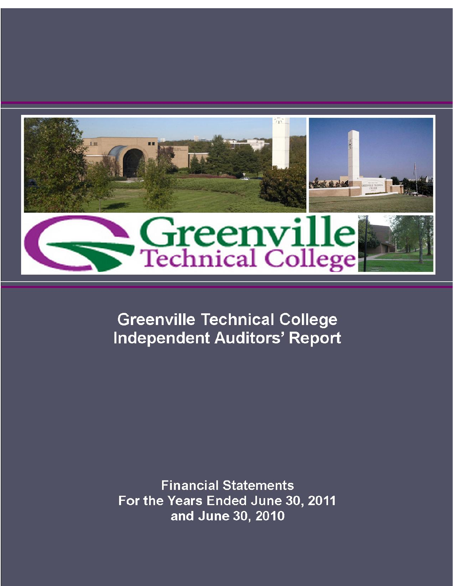

**Greenville Technical College Independent Auditors' Report** 

**Financial Statements** For the Years Ended June 30, 2011 and June 30, 2010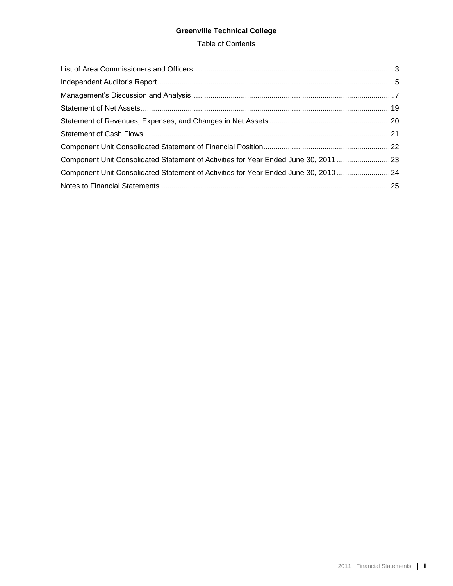# **Greenville Technical College**

## Table of Contents

| Component Unit Consolidated Statement of Activities for Year Ended June 30, 2011  23 |  |
|--------------------------------------------------------------------------------------|--|
| Component Unit Consolidated Statement of Activities for Year Ended June 30, 2010  24 |  |
|                                                                                      |  |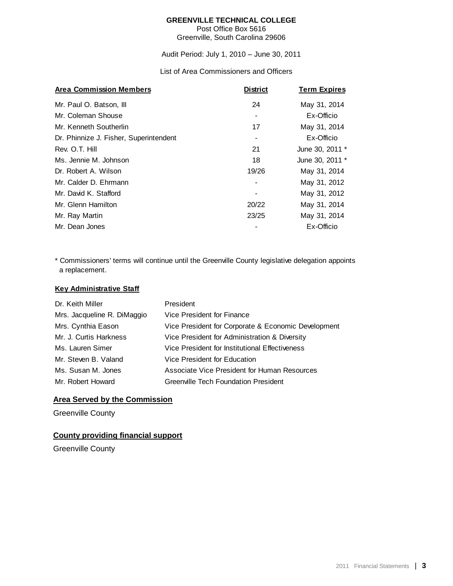Post Office Box 5616 Greenville, South Carolina 29606

Audit Period: July 1, 2010 – June 30, 2011

List of Area Commissioners and Officers

<span id="page-4-0"></span>

| <b>Area Commission Members</b>         | <b>District</b> | <b>Term Expires</b> |
|----------------------------------------|-----------------|---------------------|
| Mr. Paul O. Batson, III                | 24              | May 31, 2014        |
| Mr. Coleman Shouse                     |                 | Ex-Officio          |
| Mr. Kenneth Southerlin                 | 17              | May 31, 2014        |
| Dr. Phinnize J. Fisher, Superintendent |                 | Ex-Officio          |
| Rev. O.T. Hill                         | 21              | June 30, 2011 *     |
| Ms. Jennie M. Johnson                  | 18              | June 30, 2011 *     |
| Dr. Robert A. Wilson                   | 19/26           | May 31, 2014        |
| Mr. Calder D. Ehrmann                  |                 | May 31, 2012        |
| Mr. David K. Stafford                  |                 | May 31, 2012        |
| Mr. Glenn Hamilton                     | 20/22           | May 31, 2014        |
| Mr. Ray Martin                         | 23/25           | May 31, 2014        |
| Mr. Dean Jones                         |                 | Ex-Officio          |

 a replacement. \* Commissioners' terms will continue until the Greenville County legislative delegation appoints

## **Key Administrative Staff**

| Dr. Keith Miller            | President                                           |
|-----------------------------|-----------------------------------------------------|
| Mrs. Jacqueline R. DiMaggio | Vice President for Finance                          |
| Mrs. Cynthia Eason          | Vice President for Corporate & Economic Development |
| Mr. J. Curtis Harkness      | Vice President for Administration & Diversity       |
| Ms. Lauren Simer            | Vice President for Institutional Effectiveness      |
| Mr. Steven B. Valand        | Vice President for Education                        |
| Ms. Susan M. Jones          | Associate Vice President for Human Resources        |
| Mr. Robert Howard           | <b>Greenville Tech Foundation President</b>         |

# **Area Served by the Commission**

Greenville County

# **County providing financial support**

Greenville County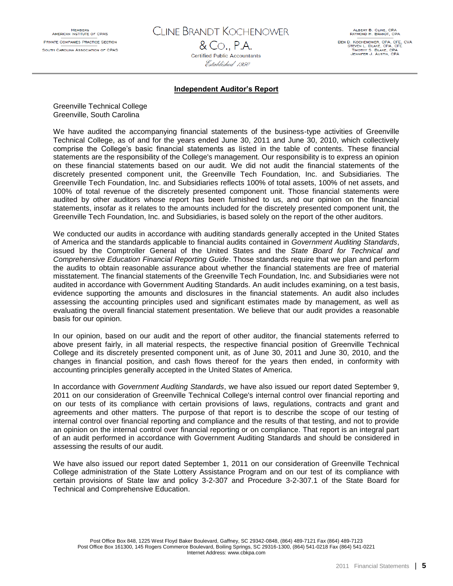CLINE BRANDT KOCHENOWER & Co., P.A.

Certified Public Accountants Established 1950

ALBERT B. CLINE, CPA<br>RAYMOND H. BRANDT, CPA BEN D. KOCHENOWER, CPA, CFE, CVA<br>STEVEN L. BLAKE, CPA, CFE TIMOTHY S. BLAKE, CPA<br>JENNIFER J. AUSTIN, CPA

#### **Independent Auditor's Report**

<span id="page-6-0"></span>Greenville Technical College Greenville, South Carolina

We have audited the accompanying financial statements of the business-type activities of Greenville Technical College, as of and for the years ended June 30, 2011 and June 30, 2010, which collectively comprise the College's basic financial statements as listed in the table of contents. These financial statements are the responsibility of the College's management. Our responsibility is to express an opinion on these financial statements based on our audit. We did not audit the financial statements of the discretely presented component unit, the Greenville Tech Foundation, Inc. and Subsidiaries. The Greenville Tech Foundation, Inc. and Subsidiaries reflects 100% of total assets, 100% of net assets, and 100% of total revenue of the discretely presented component unit. Those financial statements were audited by other auditors whose report has been furnished to us, and our opinion on the financial statements, insofar as it relates to the amounts included for the discretely presented component unit, the Greenville Tech Foundation, Inc. and Subsidiaries, is based solely on the report of the other auditors.

We conducted our audits in accordance with auditing standards generally accepted in the United States of America and the standards applicable to financial audits contained in *Government Auditing Standards*, issued by the Comptroller General of the United States and the *State Board for Technical and Comprehensive Education Financial Reporting Guide*. Those standards require that we plan and perform the audits to obtain reasonable assurance about whether the financial statements are free of material misstatement. The financial statements of the Greenville Tech Foundation, Inc. and Subsidiaries were not audited in accordance with Government Auditing Standards. An audit includes examining, on a test basis, evidence supporting the amounts and disclosures in the financial statements. An audit also includes assessing the accounting principles used and significant estimates made by management, as well as evaluating the overall financial statement presentation. We believe that our audit provides a reasonable basis for our opinion.

In our opinion, based on our audit and the report of other auditor, the financial statements referred to above present fairly, in all material respects, the respective financial position of Greenville Technical College and its discretely presented component unit, as of June 30, 2011 and June 30, 2010, and the changes in financial position, and cash flows thereof for the years then ended, in conformity with accounting principles generally accepted in the United States of America.

In accordance with *Government Auditing Standards*, we have also issued our report dated September 9, 2011 on our consideration of Greenville Technical College's internal control over financial reporting and on our tests of its compliance with certain provisions of laws, regulations, contracts and grant and agreements and other matters. The purpose of that report is to describe the scope of our testing of internal control over financial reporting and compliance and the results of that testing, and not to provide an opinion on the internal control over financial reporting or on compliance. That report is an integral part of an audit performed in accordance with Government Auditing Standards and should be considered in assessing the results of our audit.

We have also issued our report dated September 1, 2011 on our consideration of Greenville Technical College administration of the State Lottery Assistance Program and on our test of its compliance with certain provisions of State law and policy 3-2-307 and Procedure 3-2-307.1 of the State Board for Technical and Comprehensive Education.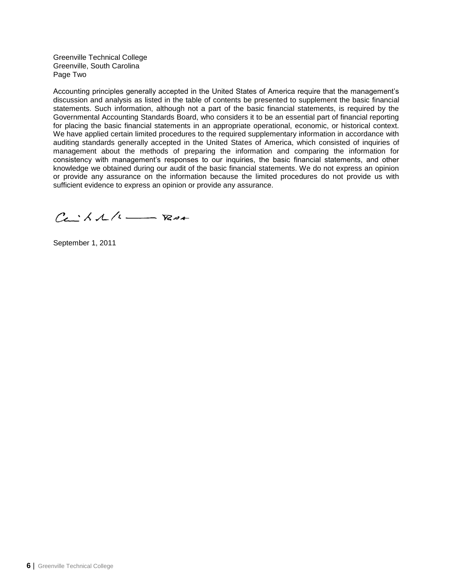Greenville Technical College Greenville, South Carolina Page Two

Accounting principles generally accepted in the United States of America require that the management's discussion and analysis as listed in the table of contents be presented to supplement the basic financial statements. Such information, although not a part of the basic financial statements, is required by the Governmental Accounting Standards Board, who considers it to be an essential part of financial reporting for placing the basic financial statements in an appropriate operational, economic, or historical context. We have applied certain limited procedures to the required supplementary information in accordance with auditing standards generally accepted in the United States of America, which consisted of inquiries of management about the methods of preparing the information and comparing the information for consistency with management's responses to our inquiries, the basic financial statements, and other knowledge we obtained during our audit of the basic financial statements. We do not express an opinion or provide any assurance on the information because the limited procedures do not provide us with sufficient evidence to express an opinion or provide any assurance.

 $Ca<sub>1</sub>AA/A$  -  $RBA$ 

September 1, 2011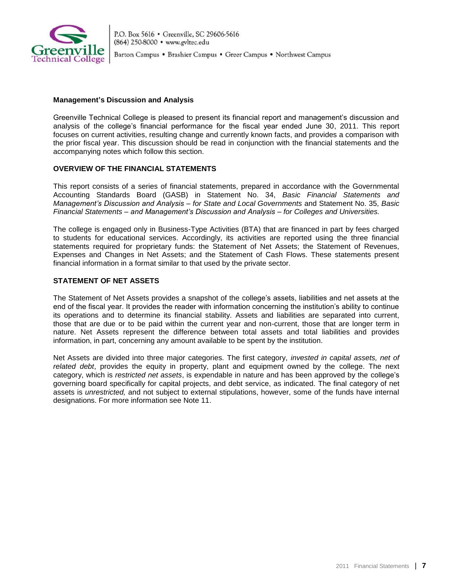

### <span id="page-8-0"></span>**Management's Discussion and Analysis**

Greenville Technical College is pleased to present its financial report and management's discussion and analysis of the college's financial performance for the fiscal year ended June 30, 2011. This report focuses on current activities, resulting change and currently known facts, and provides a comparison with the prior fiscal year. This discussion should be read in conjunction with the financial statements and the accompanying notes which follow this section.

## **OVERVIEW OF THE FINANCIAL STATEMENTS**

This report consists of a series of financial statements, prepared in accordance with the Governmental Accounting Standards Board (GASB) in Statement No. 34, *Basic Financial Statements and Management's Discussion and Analysis – for State and Local Governments* and Statement No. 35, *Basic Financial Statements – and Management's Discussion and Analysis – for Colleges and Universities.* 

The college is engaged only in Business-Type Activities (BTA) that are financed in part by fees charged to students for educational services. Accordingly, its activities are reported using the three financial statements required for proprietary funds: the Statement of Net Assets; the Statement of Revenues, Expenses and Changes in Net Assets; and the Statement of Cash Flows. These statements present financial information in a format similar to that used by the private sector.

# **STATEMENT OF NET ASSETS**

The Statement of Net Assets provides a snapshot of the college's assets, liabilities and net assets at the end of the fiscal year. It provides the reader with information concerning the institution's ability to continue its operations and to determine its financial stability. Assets and liabilities are separated into current, those that are due or to be paid within the current year and non-current, those that are longer term in nature. Net Assets represent the difference between total assets and total liabilities and provides information, in part, concerning any amount available to be spent by the institution.

Net Assets are divided into three major categories. The first category, *invested in capital assets, net of related debt*, provides the equity in property, plant and equipment owned by the college. The next category, which is *restricted net assets*, is expendable in nature and has been approved by the college's governing board specifically for capital projects, and debt service, as indicated. The final category of net assets is *unrestricted,* and not subject to external stipulations, however, some of the funds have internal designations. For more information see Note 11.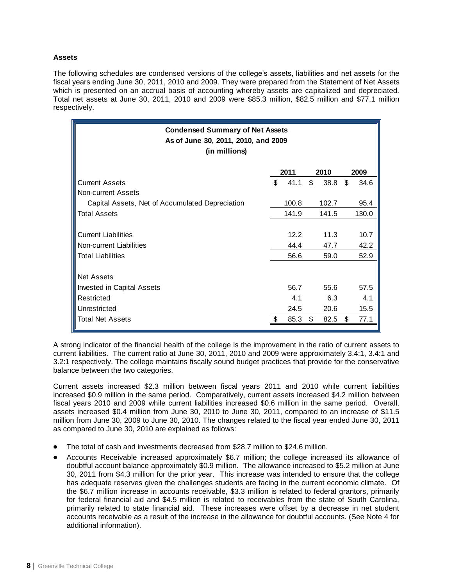## **Assets**

The following schedules are condensed versions of the college's assets, liabilities and net assets for the fiscal years ending June 30, 2011, 2010 and 2009. They were prepared from the Statement of Net Assets which is presented on an accrual basis of accounting whereby assets are capitalized and depreciated. Total net assets at June 30, 2011, 2010 and 2009 were \$85.3 million, \$82.5 million and \$77.1 million respectively.

| <b>Condensed Summary of Net Assets</b><br>As of June 30, 2011, 2010, and 2009<br>(in millions) |    |       |              |       |    |       |  |
|------------------------------------------------------------------------------------------------|----|-------|--------------|-------|----|-------|--|
|                                                                                                |    | 2011  |              | 2010  |    | 2009  |  |
| <b>Current Assets</b>                                                                          | \$ | 41.1  | $\mathbb{S}$ | 38.8  | \$ | 34.6  |  |
| <b>Non-current Assets</b>                                                                      |    |       |              |       |    |       |  |
| Capital Assets, Net of Accumulated Depreciation                                                |    | 100.8 |              | 102.7 |    | 95.4  |  |
| <b>Total Assets</b>                                                                            |    | 141.9 |              | 141.5 |    | 130.0 |  |
|                                                                                                |    |       |              |       |    |       |  |
| <b>Current Liabilities</b>                                                                     |    | 12.2  |              | 11.3  |    | 10.7  |  |
| Non-current Liabilities                                                                        |    | 44.4  |              | 47.7  |    | 42.2  |  |
| <b>Total Liabilities</b>                                                                       |    | 56.6  |              | 59.0  |    | 52.9  |  |
|                                                                                                |    |       |              |       |    |       |  |
| <b>Net Assets</b>                                                                              |    |       |              |       |    |       |  |
| Invested in Capital Assets                                                                     |    | 56.7  |              | 55.6  |    | 57.5  |  |
| Restricted                                                                                     |    | 4.1   |              | 6.3   |    | 4.1   |  |
| Unrestricted                                                                                   |    | 24.5  |              | 20.6  |    | 15.5  |  |
| <b>Total Net Assets</b>                                                                        |    | 85.3  | \$           | 82.5  | \$ | 77.1  |  |
|                                                                                                |    |       |              |       |    |       |  |

A strong indicator of the financial health of the college is the improvement in the ratio of current assets to current liabilities. The current ratio at June 30, 2011, 2010 and 2009 were approximately 3.4:1, 3.4:1 and 3.2:1 respectively. The college maintains fiscally sound budget practices that provide for the conservative balance between the two categories.

Current assets increased \$2.3 million between fiscal years 2011 and 2010 while current liabilities increased \$0.9 million in the same period. Comparatively, current assets increased \$4.2 million between fiscal years 2010 and 2009 while current liabilities increased \$0.6 million in the same period. Overall, assets increased \$0.4 million from June 30, 2010 to June 30, 2011, compared to an increase of \$11.5 million from June 30, 2009 to June 30, 2010. The changes related to the fiscal year ended June 30, 2011 as compared to June 30, 2010 are explained as follows:

- The total of cash and investments decreased from \$28.7 million to \$24.6 million.
- Accounts Receivable increased approximately \$6.7 million; the college increased its allowance of doubtful account balance approximately \$0.9 million. The allowance increased to \$5.2 million at June 30, 2011 from \$4.3 million for the prior year. This increase was intended to ensure that the college has adequate reserves given the challenges students are facing in the current economic climate. Of the \$6.7 million increase in accounts receivable, \$3.3 million is related to federal grantors, primarily for federal financial aid and \$4.5 million is related to receivables from the state of South Carolina, primarily related to state financial aid. These increases were offset by a decrease in net student accounts receivable as a result of the increase in the allowance for doubtful accounts. (See Note 4 for additional information).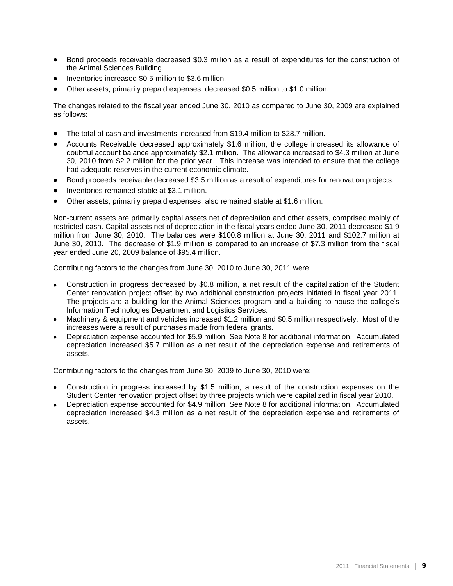- Bond proceeds receivable decreased \$0.3 million as a result of expenditures for the construction of the Animal Sciences Building.
- Inventories increased \$0.5 million to \$3.6 million.
- Other assets, primarily prepaid expenses, decreased \$0.5 million to \$1.0 million.

The changes related to the fiscal year ended June 30, 2010 as compared to June 30, 2009 are explained as follows:

- The total of cash and investments increased from \$19.4 million to \$28.7 million.
- Accounts Receivable decreased approximately \$1.6 million; the college increased its allowance of doubtful account balance approximately \$2.1 million. The allowance increased to \$4.3 million at June 30, 2010 from \$2.2 million for the prior year. This increase was intended to ensure that the college had adequate reserves in the current economic climate.
- Bond proceeds receivable decreased \$3.5 million as a result of expenditures for renovation projects.
- Inventories remained stable at \$3.1 million.
- Other assets, primarily prepaid expenses, also remained stable at \$1.6 million.

Non-current assets are primarily capital assets net of depreciation and other assets, comprised mainly of restricted cash. Capital assets net of depreciation in the fiscal years ended June 30, 2011 decreased \$1.9 million from June 30, 2010. The balances were \$100.8 million at June 30, 2011 and \$102.7 million at June 30, 2010. The decrease of \$1.9 million is compared to an increase of \$7.3 million from the fiscal year ended June 20, 2009 balance of \$95.4 million.

Contributing factors to the changes from June 30, 2010 to June 30, 2011 were:

- Construction in progress decreased by \$0.8 million, a net result of the capitalization of the Student Center renovation project offset by two additional construction projects initiated in fiscal year 2011. The projects are a building for the Animal Sciences program and a building to house the college's Information Technologies Department and Logistics Services.
- Machinery & equipment and vehicles increased \$1.2 million and \$0.5 million respectively. Most of the increases were a result of purchases made from federal grants.
- Depreciation expense accounted for \$5.9 million. See Note 8 for additional information. Accumulated depreciation increased \$5.7 million as a net result of the depreciation expense and retirements of assets.

Contributing factors to the changes from June 30, 2009 to June 30, 2010 were:

- Construction in progress increased by \$1.5 million, a result of the construction expenses on the Student Center renovation project offset by three projects which were capitalized in fiscal year 2010.
- Depreciation expense accounted for \$4.9 million. See Note 8 for additional information. Accumulated depreciation increased \$4.3 million as a net result of the depreciation expense and retirements of assets.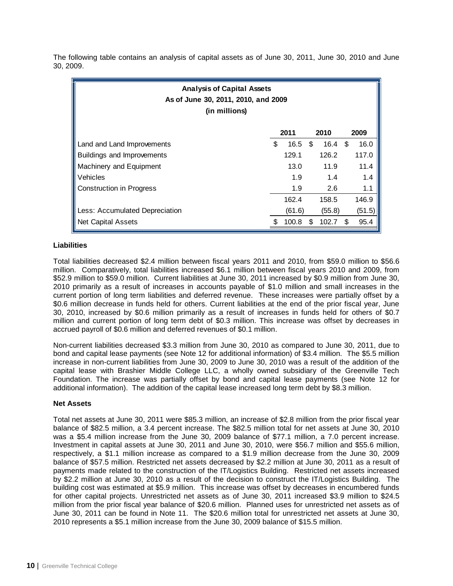The following table contains an analysis of capital assets as of June 30, 2011, June 30, 2010 and June 30, 2009.

| <b>Analysis of Capital Assets</b><br>As of June 30, 2011, 2010, and 2009<br>(in millions) |    |        |    |                   |      |        |
|-------------------------------------------------------------------------------------------|----|--------|----|-------------------|------|--------|
|                                                                                           |    | 2011   |    | 2010              |      | 2009   |
| Land and Land Improvements                                                                | \$ | 16.5   | \$ | $16.4 \text{ } $$ |      | 16.0   |
| Buildings and Improvements                                                                |    | 129.1  |    | 126.2             |      | 117.0  |
| Machinery and Equipment                                                                   |    | 13.0   |    | 11.9              |      | 11.4   |
| Vehicles                                                                                  |    | 1.9    |    | 1.4               |      | 1.4    |
| <b>Construction in Progress</b>                                                           |    | 1.9    |    | 2.6               |      | 1.1    |
|                                                                                           |    | 162.4  |    | 158.5             |      | 146.9  |
| Less: Accumulated Depreciation                                                            |    | (61.6) |    | (55.8)            |      | (51.5) |
| <b>Net Capital Assets</b>                                                                 |    | 100.8  | \$ | 102.7             | - \$ | 95.4   |

### **Liabilities**

Total liabilities decreased \$2.4 million between fiscal years 2011 and 2010, from \$59.0 million to \$56.6 million. Comparatively, total liabilities increased \$6.1 million between fiscal years 2010 and 2009, from \$52.9 million to \$59.0 million. Current liabilities at June 30, 2011 increased by \$0.9 million from June 30, 2010 primarily as a result of increases in accounts payable of \$1.0 million and small increases in the current portion of long term liabilities and deferred revenue. These increases were partially offset by a \$0.6 million decrease in funds held for others. Current liabilities at the end of the prior fiscal year, June 30, 2010, increased by \$0.6 million primarily as a result of increases in funds held for others of \$0.7 million and current portion of long term debt of \$0.3 million. This increase was offset by decreases in accrued payroll of \$0.6 million and deferred revenues of \$0.1 million.

Non-current liabilities decreased \$3.3 million from June 30, 2010 as compared to June 30, 2011, due to bond and capital lease payments (see Note 12 for additional information) of \$3.4 million. The \$5.5 million increase in non-current liabilities from June 30, 2009 to June 30, 2010 was a result of the addition of the capital lease with Brashier Middle College LLC, a wholly owned subsidiary of the Greenville Tech Foundation. The increase was partially offset by bond and capital lease payments (see Note 12 for additional information). The addition of the capital lease increased long term debt by \$8.3 million.

### **Net Assets**

Total net assets at June 30, 2011 were \$85.3 million, an increase of \$2.8 million from the prior fiscal year balance of \$82.5 million, a 3.4 percent increase. The \$82.5 million total for net assets at June 30, 2010 was a \$5.4 million increase from the June 30, 2009 balance of \$77.1 million, a 7.0 percent increase. Investment in capital assets at June 30, 2011 and June 30, 2010, were \$56.7 million and \$55.6 million, respectively, a \$1.1 million increase as compared to a \$1.9 million decrease from the June 30, 2009 balance of \$57.5 million. Restricted net assets decreased by \$2.2 million at June 30, 2011 as a result of payments made related to the construction of the IT/Logistics Building. Restricted net assets increased by \$2.2 million at June 30, 2010 as a result of the decision to construct the IT/Logistics Building. The building cost was estimated at \$5.9 million. This increase was offset by decreases in encumbered funds for other capital projects. Unrestricted net assets as of June 30, 2011 increased \$3.9 million to \$24.5 million from the prior fiscal year balance of \$20.6 million. Planned uses for unrestricted net assets as of June 30, 2011 can be found in Note 11. The \$20.6 million total for unrestricted net assets at June 30, 2010 represents a \$5.1 million increase from the June 30, 2009 balance of \$15.5 million.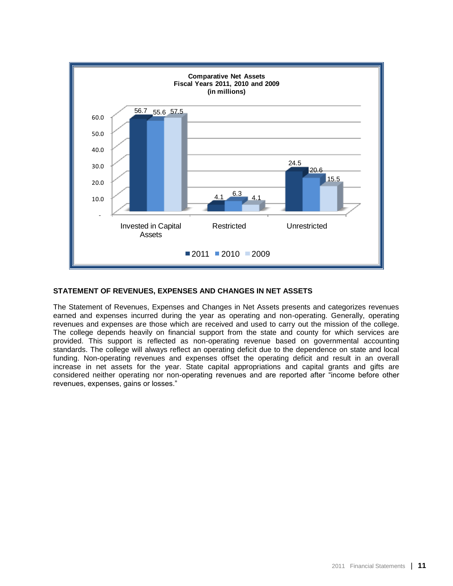

## **STATEMENT OF REVENUES, EXPENSES AND CHANGES IN NET ASSETS**

The Statement of Revenues, Expenses and Changes in Net Assets presents and categorizes revenues earned and expenses incurred during the year as operating and non-operating. Generally, operating revenues and expenses are those which are received and used to carry out the mission of the college. The college depends heavily on financial support from the state and county for which services are provided. This support is reflected as non-operating revenue based on governmental accounting standards. The college will always reflect an operating deficit due to the dependence on state and local funding. Non-operating revenues and expenses offset the operating deficit and result in an overall increase in net assets for the year. State capital appropriations and capital grants and gifts are considered neither operating nor non-operating revenues and are reported after "income before other revenues, expenses, gains or losses."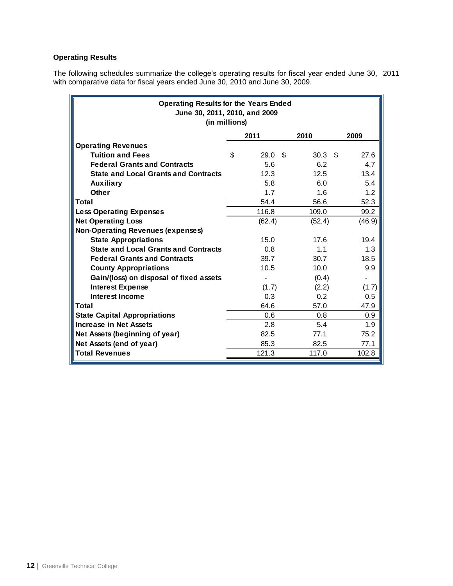# **Operating Results**

The following schedules summarize the college's operating results for fiscal year ended June 30, 2011 with comparative data for fiscal years ended June 30, 2010 and June 30, 2009.

| <b>Operating Results for the Years Ended</b><br>June 30, 2011, 2010, and 2009<br>(in millions) |    |        |     |                   |  |        |  |  |  |
|------------------------------------------------------------------------------------------------|----|--------|-----|-------------------|--|--------|--|--|--|
| 2009<br>2011<br>2010                                                                           |    |        |     |                   |  |        |  |  |  |
| <b>Operating Revenues</b>                                                                      |    |        |     |                   |  |        |  |  |  |
| <b>Tuition and Fees</b>                                                                        | \$ | 29.0   | \$. | 30.3 <sup>5</sup> |  | 27.6   |  |  |  |
| <b>Federal Grants and Contracts</b>                                                            |    | 5.6    |     | 6.2               |  | 4.7    |  |  |  |
| <b>State and Local Grants and Contracts</b>                                                    |    | 12.3   |     | 12.5              |  | 13.4   |  |  |  |
| <b>Auxiliary</b>                                                                               |    | 5.8    |     | 6.0               |  | 5.4    |  |  |  |
| <b>Other</b>                                                                                   |    | 1.7    |     | 1.6               |  | 1.2    |  |  |  |
| Total                                                                                          |    | 54.4   |     | 56.6              |  | 52.3   |  |  |  |
| <b>Less Operating Expenses</b>                                                                 |    | 116.8  |     | 109.0             |  | 99.2   |  |  |  |
| <b>Net Operating Loss</b>                                                                      |    | (62.4) |     | (52.4)            |  | (46.9) |  |  |  |
| <b>Non-Operating Revenues (expenses)</b>                                                       |    |        |     |                   |  |        |  |  |  |
| <b>State Appropriations</b>                                                                    |    | 15.0   |     | 17.6              |  | 19.4   |  |  |  |
| <b>State and Local Grants and Contracts</b>                                                    |    | 0.8    |     | 1.1               |  | 1.3    |  |  |  |
| <b>Federal Grants and Contracts</b>                                                            |    | 39.7   |     | 30.7              |  | 18.5   |  |  |  |
| <b>County Appropriations</b>                                                                   |    | 10.5   |     | 10.0              |  | 9.9    |  |  |  |
| Gain/(loss) on disposal of fixed assets                                                        |    |        |     | (0.4)             |  |        |  |  |  |
| <b>Interest Expense</b>                                                                        |    | (1.7)  |     | (2.2)             |  | (1.7)  |  |  |  |
| <b>Interest Income</b>                                                                         |    | 0.3    |     | 0.2               |  | 0.5    |  |  |  |
| Total                                                                                          |    | 64.6   |     | 57.0              |  | 47.9   |  |  |  |
| <b>State Capital Appropriations</b>                                                            |    | 0.6    |     | 0.8               |  | 0.9    |  |  |  |
| <b>Increase in Net Assets</b>                                                                  |    | 2.8    |     | 5.4               |  | 1.9    |  |  |  |
| Net Assets (beginning of year)                                                                 |    | 82.5   |     | 77.1              |  | 75.2   |  |  |  |
| Net Assets (end of year)                                                                       |    | 85.3   |     | 82.5              |  | 77.1   |  |  |  |
| <b>Total Revenues</b>                                                                          |    | 121.3  |     | 117.0             |  | 102.8  |  |  |  |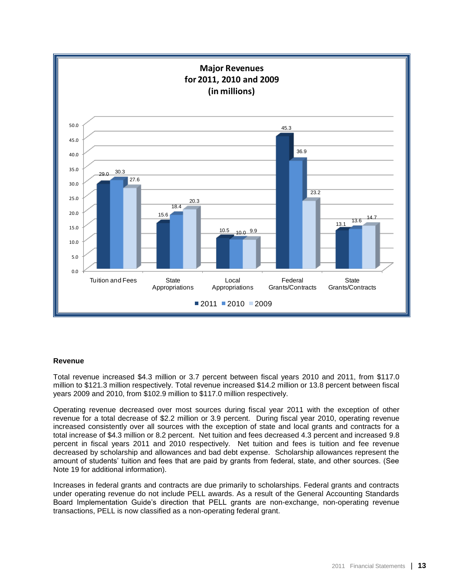

### **Revenue**

Total revenue increased \$4.3 million or 3.7 percent between fiscal years 2010 and 2011, from \$117.0 million to \$121.3 million respectively. Total revenue increased \$14.2 million or 13.8 percent between fiscal years 2009 and 2010, from \$102.9 million to \$117.0 million respectively.

Operating revenue decreased over most sources during fiscal year 2011 with the exception of other revenue for a total decrease of \$2.2 million or 3.9 percent. During fiscal year 2010, operating revenue increased consistently over all sources with the exception of state and local grants and contracts for a total increase of \$4.3 million or 8.2 percent. Net tuition and fees decreased 4.3 percent and increased 9.8 percent in fiscal years 2011 and 2010 respectively. Net tuition and fees is tuition and fee revenue decreased by scholarship and allowances and bad debt expense. Scholarship allowances represent the amount of students' tuition and fees that are paid by grants from federal, state, and other sources. (See Note 19 for additional information).

Increases in federal grants and contracts are due primarily to scholarships. Federal grants and contracts under operating revenue do not include PELL awards. As a result of the General Accounting Standards Board Implementation Guide's direction that PELL grants are non-exchange, non-operating revenue transactions, PELL is now classified as a non-operating federal grant.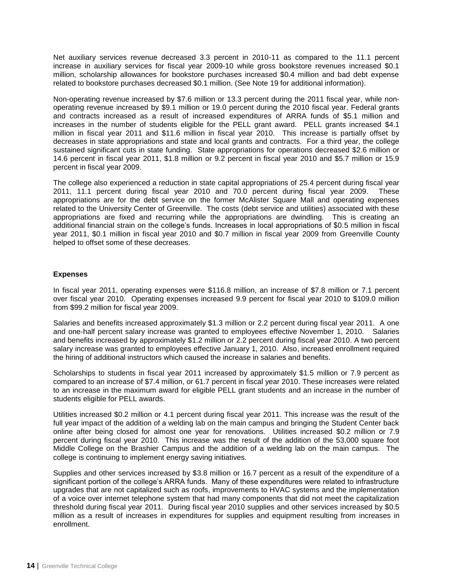Net auxiliary services revenue decreased 3.3 percent in 2010-11 as compared to the 11.1 percent increase in auxiliary services for fiscal year 2009-10 while gross bookstore revenues increased \$0.1 million, scholarship allowances for bookstore purchases increased \$0.4 million and bad debt expense related to bookstore purchases decreased \$0.1 million. (See Note 19 for additional information).

Non-operating revenue increased by \$7.6 million or 13.3 percent during the 2011 fiscal year, while nonoperating revenue increased by \$9.1 million or 19.0 percent during the 2010 fiscal year. Federal grants and contracts increased as a result of increased expenditures of ARRA funds of \$5.1 million and increases in the number of students eligible for the PELL grant award. PELL grants increased \$4.1 million in fiscal year 2011 and \$11.6 million in fiscal year 2010. This increase is partially offset by decreases in state appropriations and state and local grants and contracts. For a third year, the college sustained significant cuts in state funding. State appropriations for operations decreased \$2.6 million or 14.6 percent in fiscal year 2011, \$1.8 million or 9.2 percent in fiscal year 2010 and \$5.7 million or 15.9 percent in fiscal year 2009.

The college also experienced a reduction in state capital appropriations of 25.4 percent during fiscal year 2011, 11.1 percent during fiscal year 2010 and 70.0 percent during fiscal year 2009. These appropriations are for the debt service on the former McAlister Square Mall and operating expenses related to the University Center of Greenville. The costs (debt service and utilities) associated with these appropriations are fixed and recurring while the appropriations are dwindling. This is creating an additional financial strain on the college's funds. Increases in local appropriations of \$0.5 million in fiscal year 2011, \$0.1 million in fiscal year 2010 and \$0.7 million in fiscal year 2009 from Greenville County helped to offset some of these decreases.

## **Expenses**

In fiscal year 2011, operating expenses were \$116.8 million, an increase of \$7.8 million or 7.1 percent over fiscal year 2010. Operating expenses increased 9.9 percent for fiscal year 2010 to \$109.0 million from \$99.2 million for fiscal year 2009.

Salaries and benefits increased approximately \$1.3 million or 2.2 percent during fiscal year 2011. A one and one-half percent salary increase was granted to employees effective November 1, 2010. Salaries and benefits increased by approximately \$1.2 million or 2.2 percent during fiscal year 2010. A two percent salary increase was granted to employees effective January 1, 2010. Also, increased enrollment required the hiring of additional instructors which caused the increase in salaries and benefits.

Scholarships to students in fiscal year 2011 increased by approximately \$1.5 million or 7.9 percent as compared to an increase of \$7.4 million, or 61.7 percent in fiscal year 2010. These increases were related to an increase in the maximum award for eligible PELL grant students and an increase in the number of students eligible for PELL awards.

Utilities increased \$0.2 million or 4.1 percent during fiscal year 2011. This increase was the result of the full year impact of the addition of a welding lab on the main campus and bringing the Student Center back online after being closed for almost one year for renovations. Utilities increased \$0.2 million or 7.9 percent during fiscal year 2010. This increase was the result of the addition of the 53,000 square foot Middle College on the Brashier Campus and the addition of a welding lab on the main campus. The college is continuing to implement energy saving initiatives.

Supplies and other services increased by \$3.8 million or 16.7 percent as a result of the expenditure of a significant portion of the college's ARRA funds. Many of these expenditures were related to infrastructure upgrades that are not capitalized such as roofs, improvements to HVAC systems and the implementation of a voice over internet telephone system that had many components that did not meet the capitalization threshold during fiscal year 2011. During fiscal year 2010 supplies and other services increased by \$0.5 million as a result of increases in expenditures for supplies and equipment resulting from increases in enrollment.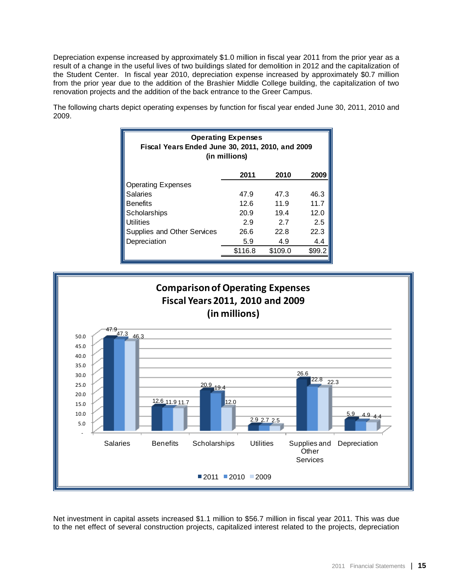Depreciation expense increased by approximately \$1.0 million in fiscal year 2011 from the prior year as a result of a change in the useful lives of two buildings slated for demolition in 2012 and the capitalization of the Student Center. In fiscal year 2010, depreciation expense increased by approximately \$0.7 million from the prior year due to the addition of the Brashier Middle College building, the capitalization of two renovation projects and the addition of the back entrance to the Greer Campus.

The following charts depict operating expenses by function for fiscal year ended June 30, 2011, 2010 and 2009.

| <b>Operating Expenses</b><br>Fiscal Years Ended June 30, 2011, 2010, and 2009<br>(in millions) |         |         |        |  |  |  |  |
|------------------------------------------------------------------------------------------------|---------|---------|--------|--|--|--|--|
|                                                                                                | 2011    | 2010    | 2009   |  |  |  |  |
| <b>Operating Expenses</b>                                                                      |         |         |        |  |  |  |  |
| <b>Salaries</b>                                                                                | 47.9    | 47.3    | 46.3   |  |  |  |  |
| <b>Benefits</b>                                                                                | 12.6    | 11.9    | 11.7   |  |  |  |  |
| Scholarships                                                                                   | 20.9    | 19.4    | 12.0   |  |  |  |  |
| <b>Utilities</b>                                                                               | 2.9     | 2.7     | 2.5    |  |  |  |  |
| Supplies and Other Services                                                                    | 26.6    | 22.8    | 22.3   |  |  |  |  |
| Depreciation                                                                                   | 5.9     | 4.9     | 4.4    |  |  |  |  |
|                                                                                                | \$116.8 | \$109.0 | \$99.2 |  |  |  |  |



Net investment in capital assets increased \$1.1 million to \$56.7 million in fiscal year 2011. This was due to the net effect of several construction projects, capitalized interest related to the projects, depreciation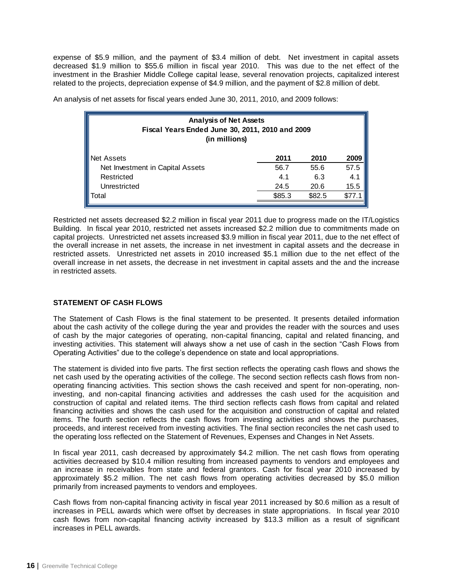expense of \$5.9 million, and the payment of \$3.4 million of debt. Net investment in capital assets decreased \$1.9 million to \$55.6 million in fiscal year 2010. This was due to the net effect of the investment in the Brashier Middle College capital lease, several renovation projects, capitalized interest related to the projects, depreciation expense of \$4.9 million, and the payment of \$2.8 million of debt.

An analysis of net assets for fiscal years ended June 30, 2011, 2010, and 2009 follows:

| <b>Analysis of Net Assets</b><br>Fiscal Years Ended June 30, 2011, 2010 and 2009<br>(in millions) |        |        |      |  |  |  |  |
|---------------------------------------------------------------------------------------------------|--------|--------|------|--|--|--|--|
| Net Assets                                                                                        | 2011   | 2010   | 2009 |  |  |  |  |
| Net Investment in Capital Assets                                                                  | 56.7   | 55.6   | 57.5 |  |  |  |  |
| Restricted                                                                                        | 4.1    | 6.3    | 4.1  |  |  |  |  |
| Unrestricted                                                                                      | 24.5   | 20.6   | 15.5 |  |  |  |  |
| Total                                                                                             | \$85.3 | \$82.5 |      |  |  |  |  |

Restricted net assets decreased \$2.2 million in fiscal year 2011 due to progress made on the IT/Logistics Building. In fiscal year 2010, restricted net assets increased \$2.2 million due to commitments made on capital projects. Unrestricted net assets increased \$3.9 million in fiscal year 2011, due to the net effect of the overall increase in net assets, the increase in net investment in capital assets and the decrease in restricted assets. Unrestricted net assets in 2010 increased \$5.1 million due to the net effect of the overall increase in net assets, the decrease in net investment in capital assets and the and the increase in restricted assets.

# **STATEMENT OF CASH FLOWS**

The Statement of Cash Flows is the final statement to be presented. It presents detailed information about the cash activity of the college during the year and provides the reader with the sources and uses of cash by the major categories of operating, non-capital financing, capital and related financing, and investing activities. This statement will always show a net use of cash in the section "Cash Flows from Operating Activities" due to the college's dependence on state and local appropriations.

The statement is divided into five parts. The first section reflects the operating cash flows and shows the net cash used by the operating activities of the college. The second section reflects cash flows from nonoperating financing activities. This section shows the cash received and spent for non-operating, noninvesting, and non-capital financing activities and addresses the cash used for the acquisition and construction of capital and related items. The third section reflects cash flows from capital and related financing activities and shows the cash used for the acquisition and construction of capital and related items. The fourth section reflects the cash flows from investing activities and shows the purchases, proceeds, and interest received from investing activities. The final section reconciles the net cash used to the operating loss reflected on the Statement of Revenues, Expenses and Changes in Net Assets.

In fiscal year 2011, cash decreased by approximately \$4.2 million. The net cash flows from operating activities decreased by \$10.4 million resulting from increased payments to vendors and employees and an increase in receivables from state and federal grantors. Cash for fiscal year 2010 increased by approximately \$5.2 million. The net cash flows from operating activities decreased by \$5.0 million primarily from increased payments to vendors and employees.

Cash flows from non-capital financing activity in fiscal year 2011 increased by \$0.6 million as a result of increases in PELL awards which were offset by decreases in state appropriations. In fiscal year 2010 cash flows from non-capital financing activity increased by \$13.3 million as a result of significant increases in PELL awards.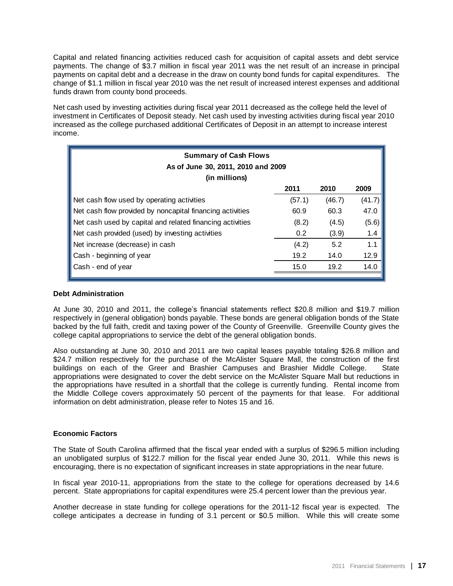Capital and related financing activities reduced cash for acquisition of capital assets and debt service payments. The change of \$3.7 million in fiscal year 2011 was the net result of an increase in principal payments on capital debt and a decrease in the draw on county bond funds for capital expenditures. The change of \$1.1 million in fiscal year 2010 was the net result of increased interest expenses and additional funds drawn from county bond proceeds.

Net cash used by investing activities during fiscal year 2011 decreased as the college held the level of investment in Certificates of Deposit steady. Net cash used by investing activities during fiscal year 2010 increased as the college purchased additional Certificates of Deposit in an attempt to increase interest income.

| <b>Summary of Cash Flows</b><br>As of June 30, 2011, 2010 and 2009 |               |        |        |  |  |  |  |
|--------------------------------------------------------------------|---------------|--------|--------|--|--|--|--|
| (in millions)                                                      |               |        |        |  |  |  |  |
|                                                                    | 2011          | 2010   | 2009   |  |  |  |  |
| Net cash flow used by operating activities                         | (57.1)        | (46.7) | (41.7) |  |  |  |  |
| Net cash flow provided by noncapital financing activities          | 60.9          | 60.3   | 47.0   |  |  |  |  |
| Net cash used by capital and related financing activities          | (8.2)         | (4.5)  | (5.6)  |  |  |  |  |
| Net cash provided (used) by investing activities                   | $0.2^{\circ}$ | (3.9)  | 1.4    |  |  |  |  |
| Net increase (decrease) in cash                                    | (4.2)         | 5.2    | 1.1    |  |  |  |  |
| Cash - beginning of year                                           | 19.2          | 14.0   | 12.9   |  |  |  |  |
| Cash - end of year                                                 | 15.0          | 19.2   | 14.0   |  |  |  |  |
|                                                                    |               |        |        |  |  |  |  |

### **Debt Administration**

At June 30, 2010 and 2011, the college's financial statements reflect \$20.8 million and \$19.7 million respectively in (general obligation) bonds payable. These bonds are general obligation bonds of the State backed by the full faith, credit and taxing power of the County of Greenville. Greenville County gives the college capital appropriations to service the debt of the general obligation bonds.

Also outstanding at June 30, 2010 and 2011 are two capital leases payable totaling \$26.8 million and \$24.7 million respectively for the purchase of the McAlister Square Mall, the construction of the first buildings on each of the Greer and Brashier Campuses and Brashier Middle College. State appropriations were designated to cover the debt service on the McAlister Square Mall but reductions in the appropriations have resulted in a shortfall that the college is currently funding. Rental income from the Middle College covers approximately 50 percent of the payments for that lease. For additional information on debt administration, please refer to Notes 15 and 16.

### **Economic Factors**

The State of South Carolina affirmed that the fiscal year ended with a surplus of \$296.5 million including an unobligated surplus of \$122.7 million for the fiscal year ended June 30, 2011. While this news is encouraging, there is no expectation of significant increases in state appropriations in the near future.

In fiscal year 2010-11, appropriations from the state to the college for operations decreased by 14.6 percent. State appropriations for capital expenditures were 25.4 percent lower than the previous year.

Another decrease in state funding for college operations for the 2011-12 fiscal year is expected. The college anticipates a decrease in funding of 3.1 percent or \$0.5 million. While this will create some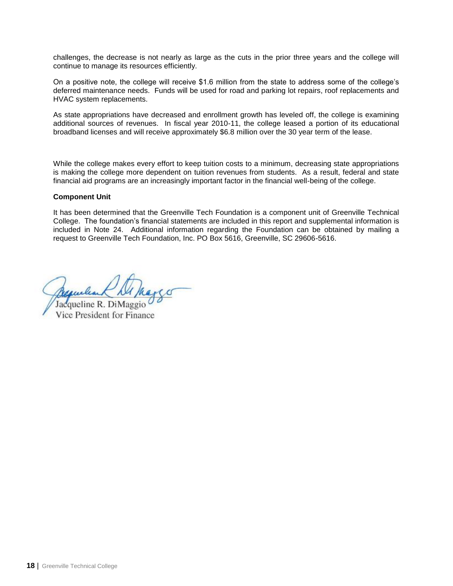challenges, the decrease is not nearly as large as the cuts in the prior three years and the college will continue to manage its resources efficiently.

On a positive note, the college will receive \$1.6 million from the state to address some of the college's deferred maintenance needs. Funds will be used for road and parking lot repairs, roof replacements and HVAC system replacements.

As state appropriations have decreased and enrollment growth has leveled off, the college is examining additional sources of revenues. In fiscal year 2010-11, the college leased a portion of its educational broadband licenses and will receive approximately \$6.8 million over the 30 year term of the lease.

While the college makes every effort to keep tuition costs to a minimum, decreasing state appropriations is making the college more dependent on tuition revenues from students. As a result, federal and state financial aid programs are an increasingly important factor in the financial well-being of the college.

## **Component Unit**

It has been determined that the Greenville Tech Foundation is a component unit of Greenville Technical College. The foundation's financial statements are included in this report and supplemental information is included in Note 24. Additional information regarding the Foundation can be obtained by mailing a request to Greenville Tech Foundation, Inc. PO Box 5616, Greenville, SC 29606-5616.

Jacqueline R. Di Vice President for Finance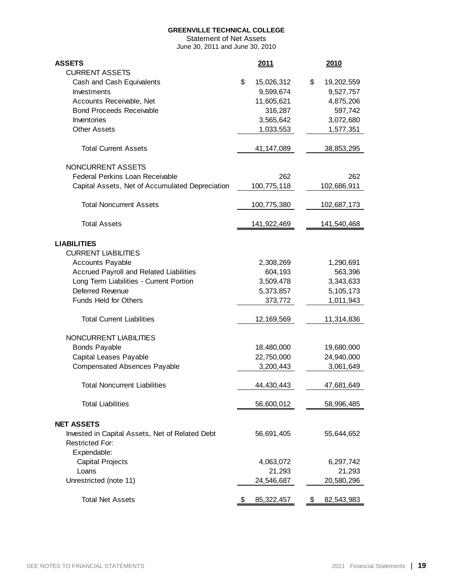Statement of Net Assets June 30, 2011 and June 30, 2010

<span id="page-20-0"></span>

| <b>ASSETS</b><br><b>CURRENT ASSETS</b>                      | 2011             | 2010                   |
|-------------------------------------------------------------|------------------|------------------------|
| Cash and Cash Equivalents                                   | \$<br>15,026,312 | \$<br>19,202,559       |
| Investments                                                 | 9,599,674        | 9,527,757              |
| Accounts Receivable, Net                                    | 11,605,621       | 4,875,206              |
| <b>Bond Proceeds Receivable</b>                             | 316,287          | 597,742                |
| Inventories                                                 | 3,565,642        | 3,072,680              |
| <b>Other Assets</b>                                         | 1,033,553        | 1,577,351              |
|                                                             |                  |                        |
| <b>Total Current Assets</b>                                 | 41,147,089       | 38,853,295             |
| NONCURRENT ASSETS                                           |                  |                        |
| Federal Perkins Loan Receivable                             | 262              | 262                    |
| Capital Assets, Net of Accumulated Depreciation             | 100,775,118      | 102,686,911            |
| <b>Total Noncurrent Assets</b>                              | 100,775,380      | 102,687,173            |
| <b>Total Assets</b>                                         | 141,922,469      | 141,540,468            |
|                                                             |                  |                        |
| <b>LIABILITIES</b>                                          |                  |                        |
| <b>CURRENT LIABILITIES</b>                                  |                  |                        |
| Accounts Payable                                            | 2,308,269        | 1,290,691              |
| Accrued Payroll and Related Liabilities                     | 604,193          | 563,396                |
| Long Term Liabilities - Current Portion<br>Deferred Revenue | 3,509,478        | 3,343,633              |
| <b>Funds Held for Others</b>                                | 5,373,857        | 5,105,173<br>1,011,943 |
|                                                             | 373,772          |                        |
| <b>Total Current Liabilities</b>                            | 12,169,569       | 11,314,836             |
| NONCURRENT LIABILITIES                                      |                  |                        |
| <b>Bonds Payable</b>                                        | 18,480,000       | 19,680,000             |
| Capital Leases Payable                                      | 22,750,000       | 24,940,000             |
| <b>Compensated Absences Payable</b>                         | 3,200,443        | 3,061,649              |
|                                                             |                  |                        |
| Total Noncurrent Liabilities                                | 44,430,443       | 47,681,649             |
| <b>Total Liabilities</b>                                    | 56,600,012       | 58,996,485             |
| <b>NET ASSETS</b>                                           |                  |                        |
| Invested in Capital Assets, Net of Related Debt             | 56,691,405       | 55,644,652             |
| <b>Restricted For:</b>                                      |                  |                        |
| Expendable:                                                 |                  |                        |
| <b>Capital Projects</b>                                     | 4,063,072        | 6,297,742              |
| Loans                                                       | 21,293           | 21,293                 |
| Unrestricted (note 11)                                      | 24,546,687       | 20,580,296             |
| <b>Total Net Assets</b>                                     | 85,322,457       | 82,543,983<br>\$       |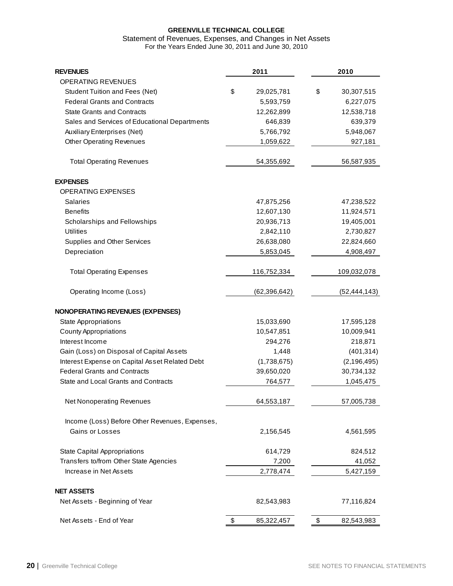#### Statement of Revenues, Expenses, and Changes in Net Assets For the Years Ended June 30, 2011 and June 30, 2010

<span id="page-21-0"></span>

| <b>REVENUES</b>                                | 2011             | 2010             |
|------------------------------------------------|------------------|------------------|
| OPERATING REVENUES                             |                  |                  |
| <b>Student Tuition and Fees (Net)</b>          | \$<br>29,025,781 | \$<br>30,307,515 |
| <b>Federal Grants and Contracts</b>            | 5,593,759        | 6,227,075        |
| <b>State Grants and Contracts</b>              | 12,262,899       | 12,538,718       |
| Sales and Services of Educational Departments  | 646,839          | 639,379          |
| <b>Auxiliary Enterprises (Net)</b>             | 5,766,792        | 5,948,067        |
| <b>Other Operating Revenues</b>                | 1,059,622        | 927,181          |
| <b>Total Operating Revenues</b>                | 54,355,692       | 56,587,935       |
| <b>EXPENSES</b>                                |                  |                  |
| OPERATING EXPENSES                             |                  |                  |
| <b>Salaries</b>                                | 47,875,256       | 47,238,522       |
| <b>Benefits</b>                                | 12,607,130       | 11,924,571       |
| Scholarships and Fellowships                   | 20,936,713       | 19,405,001       |
| <b>Utilities</b>                               | 2,842,110        | 2,730,827        |
| Supplies and Other Services                    | 26,638,080       | 22,824,660       |
| Depreciation                                   | 5,853,045        | 4,908,497        |
| <b>Total Operating Expenses</b>                | 116,752,334      | 109,032,078      |
| Operating Income (Loss)                        | (62, 396, 642)   | (52, 444, 143)   |
| <b>NONOPERATING REVENUES (EXPENSES)</b>        |                  |                  |
| <b>State Appropriations</b>                    | 15,033,690       | 17,595,128       |
| <b>County Appropriations</b>                   | 10,547,851       | 10,009,941       |
| Interest Income                                | 294,276          | 218,871          |
| Gain (Loss) on Disposal of Capital Assets      | 1,448            | (401, 314)       |
| Interest Expense on Capital Asset Related Debt | (1,738,675)      | (2, 196, 495)    |
| <b>Federal Grants and Contracts</b>            | 39,650,020       | 30,734,132       |
| State and Local Grants and Contracts           | 764,577          | 1,045,475        |
| <b>Net Nonoperating Revenues</b>               | 64,553,187       | 57,005,738       |
| Income (Loss) Before Other Revenues, Expenses, |                  |                  |
| Gains or Losses                                | 2,156,545        | 4,561,595        |
| <b>State Capital Appropriations</b>            | 614,729          | 824,512          |
| Transfers to/from Other State Agencies         | 7,200            | 41,052           |
| Increase in Net Assets                         | 2,778,474        | 5,427,159        |
| <b>NET ASSETS</b>                              |                  |                  |
| Net Assets - Beginning of Year                 | 82,543,983       | 77,116,824       |
| Net Assets - End of Year                       | \$<br>85,322,457 | \$<br>82,543,983 |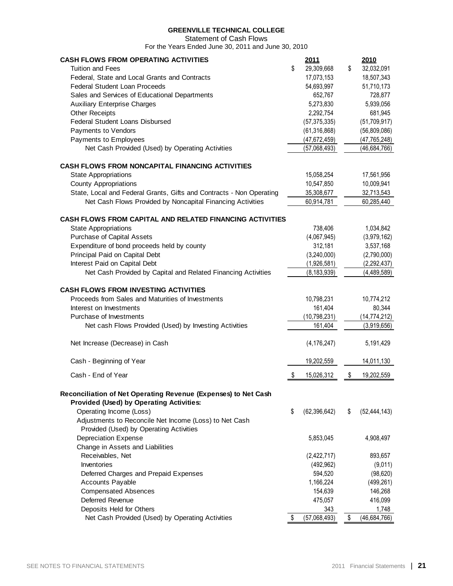Statement of Cash Flows

For the Years Ended June 30, 2011 and June 30, 2010

<span id="page-22-0"></span>

| <b>CASH FLOWS FROM OPERATING ACTIVITIES</b><br><b>Tuition and Fees</b><br>Federal, State and Local Grants and Contracts<br>Federal Student Loan Proceeds<br>Sales and Services of Educational Departments<br><b>Auxiliary Enterprise Charges</b><br><b>Other Receipts</b><br><b>Federal Student Loans Disbursed</b><br>Payments to Vendors | \$<br>2011<br>29,309,668<br>17,073,153<br>54,693,997<br>652,767<br>5,273,830<br>2,292,754<br>(57, 375, 335)<br>(61, 316, 868) | \$<br>2010<br>32,032,091<br>18,507,343<br>51,710,173<br>728,877<br>5,939,056<br>681,945<br>(51,709,917)<br>(56,809,086) |
|--------------------------------------------------------------------------------------------------------------------------------------------------------------------------------------------------------------------------------------------------------------------------------------------------------------------------------------------|-------------------------------------------------------------------------------------------------------------------------------|-------------------------------------------------------------------------------------------------------------------------|
| Payments to Employees                                                                                                                                                                                                                                                                                                                      | (47, 672, 459)                                                                                                                | (47, 765, 248)                                                                                                          |
| Net Cash Provided (Used) by Operating Activities                                                                                                                                                                                                                                                                                           | (57,068,493)                                                                                                                  | (46,684,766)                                                                                                            |
| <b>CASH FLOWS FROM NONCAPITAL FINANCING ACTIVITIES</b>                                                                                                                                                                                                                                                                                     |                                                                                                                               |                                                                                                                         |
| <b>State Appropriations</b>                                                                                                                                                                                                                                                                                                                | 15,058,254                                                                                                                    | 17,561,956                                                                                                              |
| <b>County Appropriations</b>                                                                                                                                                                                                                                                                                                               | 10,547,850                                                                                                                    | 10,009,941                                                                                                              |
| State, Local and Federal Grants, Gifts and Contracts - Non Operating                                                                                                                                                                                                                                                                       | 35,308,677                                                                                                                    | 32,713,543                                                                                                              |
| Net Cash Flows Provided by Noncapital Financing Activities                                                                                                                                                                                                                                                                                 | 60,914,781                                                                                                                    | 60,285,440                                                                                                              |
|                                                                                                                                                                                                                                                                                                                                            |                                                                                                                               |                                                                                                                         |
| <b>CASH FLOWS FROM CAPITAL AND RELATED FINANCING ACTIVITIES</b>                                                                                                                                                                                                                                                                            |                                                                                                                               |                                                                                                                         |
| <b>State Appropriations</b>                                                                                                                                                                                                                                                                                                                | 738,406                                                                                                                       | 1,034,842                                                                                                               |
| Purchase of Capital Assets                                                                                                                                                                                                                                                                                                                 | (4,067,945)                                                                                                                   | (3,979,162)                                                                                                             |
| Expenditure of bond proceeds held by county                                                                                                                                                                                                                                                                                                | 312,181                                                                                                                       | 3,537,168                                                                                                               |
| Principal Paid on Capital Debt                                                                                                                                                                                                                                                                                                             | (3,240,000)                                                                                                                   | (2,790,000)                                                                                                             |
| Interest Paid on Capital Debt                                                                                                                                                                                                                                                                                                              | (1,926,581)                                                                                                                   | (2, 292, 437)                                                                                                           |
| Net Cash Provided by Capital and Related Financing Activities                                                                                                                                                                                                                                                                              | (8, 183, 939)                                                                                                                 | (4,489,589)                                                                                                             |
| <b>CASH FLOWS FROM INVESTING ACTIVITIES</b>                                                                                                                                                                                                                                                                                                |                                                                                                                               |                                                                                                                         |
| Proceeds from Sales and Maturities of Investments                                                                                                                                                                                                                                                                                          | 10,798,231                                                                                                                    | 10,774,212                                                                                                              |
| Interest on Investments                                                                                                                                                                                                                                                                                                                    | 161,404                                                                                                                       | 80,344                                                                                                                  |
| Purchase of Investments                                                                                                                                                                                                                                                                                                                    | (10, 798, 231)                                                                                                                | (14, 774, 212)                                                                                                          |
| Net cash Flows Provided (Used) by Investing Activities                                                                                                                                                                                                                                                                                     | 161,404                                                                                                                       | (3,919,656)                                                                                                             |
| Net Increase (Decrease) in Cash                                                                                                                                                                                                                                                                                                            | (4, 176, 247)                                                                                                                 | 5,191,429                                                                                                               |
| Cash - Beginning of Year                                                                                                                                                                                                                                                                                                                   | 19,202,559                                                                                                                    | 14,011,130                                                                                                              |
| Cash - End of Year                                                                                                                                                                                                                                                                                                                         | 15,026,312                                                                                                                    | \$<br>19,202,559                                                                                                        |
|                                                                                                                                                                                                                                                                                                                                            |                                                                                                                               |                                                                                                                         |
| Reconciliation of Net Operating Revenue (Expenses) to Net Cash<br><b>Provided (Used) by Operating Activities:</b><br>Operating Income (Loss)<br>Adjustments to Reconcile Net Income (Loss) to Net Cash                                                                                                                                     | \$<br>(62, 396, 642)                                                                                                          | \$<br>(52, 444, 143)                                                                                                    |
| Provided (Used) by Operating Activities<br><b>Depreciation Expense</b><br>Change in Assets and Liabilities                                                                                                                                                                                                                                 | 5,853,045                                                                                                                     | 4,908,497                                                                                                               |
| Receivables, Net                                                                                                                                                                                                                                                                                                                           | (2,422,717)                                                                                                                   | 893,657                                                                                                                 |
| Inventories                                                                                                                                                                                                                                                                                                                                | (492, 962)                                                                                                                    | (9,011)                                                                                                                 |
| Deferred Charges and Prepaid Expenses                                                                                                                                                                                                                                                                                                      | 594,520                                                                                                                       | (98, 620)                                                                                                               |
| Accounts Payable                                                                                                                                                                                                                                                                                                                           | 1,166,224                                                                                                                     | (499, 261)                                                                                                              |
| <b>Compensated Absences</b>                                                                                                                                                                                                                                                                                                                | 154,639                                                                                                                       | 146,268                                                                                                                 |
| Deferred Revenue                                                                                                                                                                                                                                                                                                                           | 475,057                                                                                                                       | 416,099                                                                                                                 |
| Deposits Held for Others                                                                                                                                                                                                                                                                                                                   | 343                                                                                                                           | 1,748                                                                                                                   |
| Net Cash Provided (Used) by Operating Activities                                                                                                                                                                                                                                                                                           | \$<br>(57,068,493)                                                                                                            | \$<br>(46, 684, 766)                                                                                                    |
|                                                                                                                                                                                                                                                                                                                                            |                                                                                                                               |                                                                                                                         |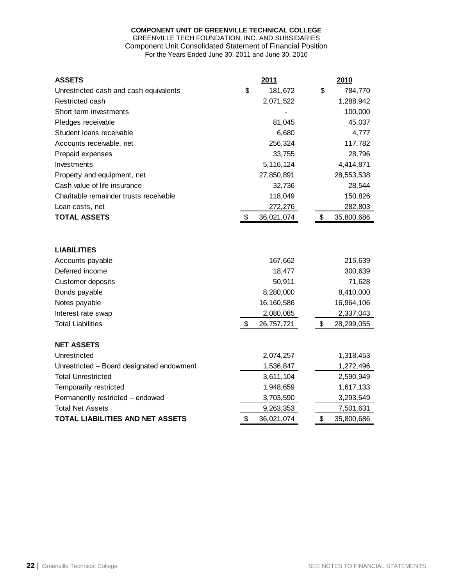# **COMPONENT UNIT OF GREENVILLE TECHNICAL COLLEGE**

#### GREENVILLE TECH FOUNDATION, INC. AND SUBSIDARIES Component Unit Consolidated Statement of Financial Position For the Years Ended June 30, 2011 and June 30, 2010

<span id="page-23-0"></span>

| <b>ASSETS</b>                             | 2011             | 2010             |
|-------------------------------------------|------------------|------------------|
| Unrestricted cash and cash equivalents    | \$<br>181,672    | \$<br>784,770    |
| Restricted cash                           | 2,071,522        | 1,288,942        |
| Short term investments                    |                  | 100,000          |
| Pledges receivable                        | 81,045           | 45,037           |
| Student loans receivable                  | 6,680            | 4,777            |
| Accounts receivable, net                  | 256,324          | 117,782          |
| Prepaid expenses                          | 33,755           | 28,796           |
| Investments                               | 5,116,124        | 4,414,871        |
| Property and equipment, net               | 27,850,891       | 28,553,538       |
| Cash value of life insurance              | 32,736           | 28,544           |
| Charitable remainder trusts receivable    | 118,049          | 150,826          |
| Loan costs, net                           | 272,276          | 282,803          |
| <b>TOTAL ASSETS</b>                       | \$<br>36,021,074 | \$<br>35,800,686 |
| <b>LIABILITIES</b>                        |                  |                  |
| Accounts payable                          | 167,662          | 215,639          |
| Deferred income                           | 18,477           | 300,639          |
| Customer deposits                         | 50,911           | 71,628           |
| Bonds payable                             | 8,280,000        | 8,410,000        |
| Notes payable                             | 16,160,586       | 16,964,106       |
| Interest rate swap                        | 2,080,085        | 2,337,043        |
| <b>Total Liabilities</b>                  | \$<br>26,757,721 | \$<br>28,299,055 |
| <b>NET ASSETS</b>                         |                  |                  |
| Unrestricted                              | 2,074,257        | 1,318,453        |
| Unrestricted - Board designated endowment | 1,536,847        | 1,272,496        |
| <b>Total Unrestricted</b>                 | 3,611,104        | 2,590,949        |
| Temporarily restricted                    | 1,948,659        | 1,617,133        |
| Permanently restricted - endowed          | 3,703,590        | 3,293,549        |
| <b>Total Net Assets</b>                   | 9,263,353        | 7,501,631        |
| <b>TOTAL LIABILITIES AND NET ASSETS</b>   | \$<br>36,021,074 | \$<br>35,800,686 |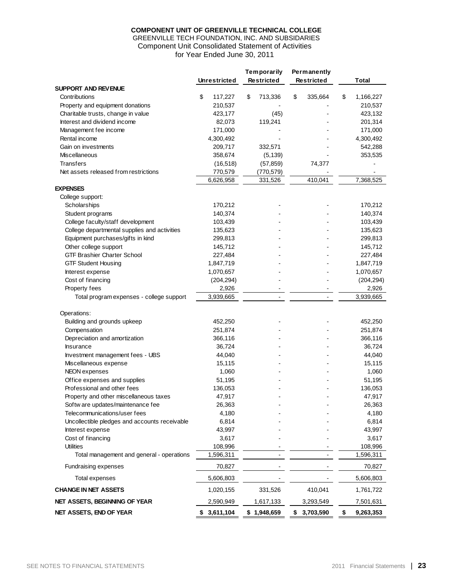### **COMPONENT UNIT OF GREENVILLE TECHNICAL COLLEGE**

#### GREENVILLE TECH FOUNDATION, INC. AND SUBSIDARIES Component Unit Consolidated Statement of Activities for Year Ended June 30, 2011

<span id="page-24-0"></span>

|                                               | <b>Unrestricted</b> | Temporarily<br><b>Restricted</b> | Permanently<br><b>Restricted</b> | Total           |
|-----------------------------------------------|---------------------|----------------------------------|----------------------------------|-----------------|
| SUPPORT AND REVENUE                           |                     |                                  |                                  |                 |
| Contributions                                 | \$<br>117,227       | \$<br>713,336                    | \$<br>335,664                    | \$<br>1,166,227 |
| Property and equipment donations              | 210,537             |                                  |                                  | 210,537         |
| Charitable trusts, change in value            | 423,177             | (45)                             |                                  | 423,132         |
| Interest and dividend income                  | 82,073              | 119,241                          |                                  | 201,314         |
| Management fee income                         | 171,000             |                                  |                                  | 171,000         |
| Rental income                                 | 4,300,492           |                                  |                                  | 4,300,492       |
| Gain on investments                           | 209,717             | 332,571                          |                                  | 542,288         |
| Miscellaneous                                 | 358,674             | (5, 139)                         |                                  | 353,535         |
| <b>Transfers</b>                              | (16, 518)           | (57, 859)                        | 74,377                           |                 |
| Net assets released from restrictions         | 770,579             | (770, 579)                       |                                  |                 |
|                                               | 6,626,958           | 331,526                          | 410,041                          | 7,368,525       |
| <b>EXPENSES</b>                               |                     |                                  |                                  |                 |
| College support:                              |                     |                                  |                                  |                 |
| Scholarships                                  | 170,212             |                                  |                                  | 170,212         |
| Student programs                              | 140,374             |                                  |                                  | 140,374         |
| College faculty/staff development             | 103,439             |                                  |                                  | 103,439         |
| College departmental supplies and activities  | 135,623             |                                  |                                  | 135,623         |
| Equipment purchases/gifts in kind             | 299,813             |                                  |                                  | 299,813         |
| Other college support                         | 145,712             |                                  |                                  | 145,712         |
| <b>GTF Brashier Charter School</b>            | 227,484             |                                  |                                  | 227,484         |
| <b>GTF Student Housing</b>                    | 1,847,719           |                                  |                                  | 1,847,719       |
| Interest expense                              | 1,070,657           |                                  |                                  | 1,070,657       |
| Cost of financing                             | (204, 294)          |                                  |                                  | (204, 294)      |
| Property fees                                 | 2,926               |                                  | $\blacksquare$                   | 2,926           |
| Total program expenses - college support      | 3,939,665           | $\overline{\phantom{a}}$         | $\overline{\phantom{a}}$         | 3,939,665       |
| Operations:                                   |                     |                                  |                                  |                 |
| Building and grounds upkeep                   | 452,250             |                                  |                                  | 452,250         |
| Compensation                                  | 251,874             |                                  |                                  | 251,874         |
| Depreciation and amortization                 | 366,116             |                                  |                                  | 366,116         |
| Insurance                                     | 36,724              |                                  |                                  | 36,724          |
| Investment management fees - UBS              | 44,040              |                                  |                                  | 44,040          |
| Miscellaneous expense                         | 15,115              |                                  |                                  | 15,115          |
| NEON expenses                                 | 1,060               |                                  |                                  | 1,060           |
| Office expenses and supplies                  | 51,195              |                                  |                                  | 51,195          |
| Professional and other fees                   | 136,053             |                                  |                                  | 136,053         |
| Property and other miscellaneous taxes        | 47,917              |                                  |                                  | 47,917          |
| Softw are updates/maintenance fee             | 26,363              |                                  |                                  | 26,363          |
| Telecommunications/user fees                  | 4,180               |                                  |                                  | 4,180           |
| Uncollectible pledges and accounts receivable | 6,814               |                                  |                                  | 6,814           |
| Interest expense                              | 43,997              |                                  |                                  | 43,997          |
| Cost of financing                             | 3,617               |                                  |                                  | 3,617           |
| <b>Utilities</b>                              | 108,996             |                                  |                                  | 108,996         |
| Total management and general - operations     | 1,596,311           |                                  |                                  | 1,596,311       |
| <b>Fundraising expenses</b>                   | 70,827              |                                  |                                  | 70,827          |
| Total expenses                                | 5,606,803           |                                  |                                  | 5,606,803       |
| <b>CHANGE IN NET ASSETS</b>                   | 1,020,155           | 331,526                          | 410,041                          | 1,761,722       |
| NET ASSETS, BEGINNING OF YEAR                 | 2,590,949           | 1,617,133                        | 3,293,549                        | 7,501,631       |
| NET ASSETS, END OF YEAR                       | \$3,611,104         | \$1,948,659                      | \$3,703,590                      | \$<br>9,263,353 |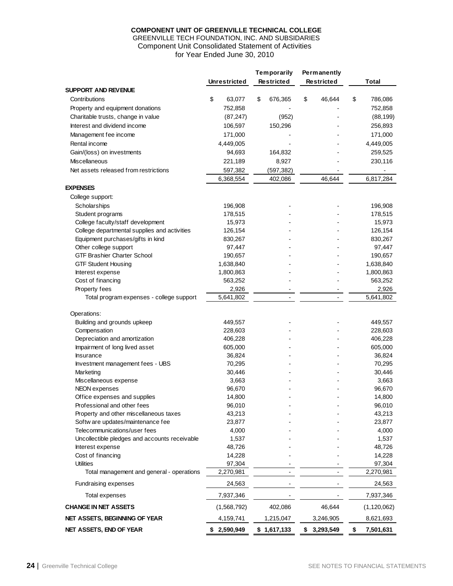### **COMPONENT UNIT OF GREENVILLE TECHNICAL COLLEGE**

### GREENVILLE TECH FOUNDATION, INC. AND SUBSIDARIES Component Unit Consolidated Statement of Activities for Year Ended June 30, 2010

<span id="page-25-0"></span>

|                                               |                     | Temporarily       | Permanently       |                 |
|-----------------------------------------------|---------------------|-------------------|-------------------|-----------------|
|                                               | <b>Unrestricted</b> | <b>Restricted</b> | <b>Restricted</b> | Total           |
| <b>SUPPORT AND REVENUE</b>                    |                     |                   |                   |                 |
| Contributions                                 | \$<br>63,077        | \$<br>676,365     | \$<br>46,644      | \$<br>786,086   |
| Property and equipment donations              | 752,858             |                   |                   | 752,858         |
| Charitable trusts, change in value            | (87, 247)           | (952)             |                   | (88, 199)       |
| Interest and dividend income                  | 106,597             | 150,296           |                   | 256,893         |
| Management fee income                         | 171,000             |                   |                   | 171,000         |
| Rental income                                 | 4,449,005           |                   |                   | 4,449,005       |
| Gain/(loss) on investments                    | 94,693              | 164,832           |                   | 259,525         |
| <b>Miscellaneous</b>                          | 221,189             | 8,927             |                   | 230,116         |
| Net assets released from restrictions         | 597,382             | (597, 382)        |                   |                 |
|                                               | 6,368,554           | 402,086           | 46,644            | 6,817,284       |
| <b>EXPENSES</b>                               |                     |                   |                   |                 |
| College support:                              |                     |                   |                   |                 |
| Scholarships                                  | 196,908             |                   |                   | 196,908         |
| Student programs                              | 178,515             |                   |                   | 178,515         |
| College faculty/staff development             | 15,973              |                   |                   | 15,973          |
| College departmental supplies and activities  | 126,154             |                   |                   | 126,154         |
| Equipment purchases/gifts in kind             | 830,267             |                   |                   | 830,267         |
| Other college support                         | 97,447              |                   |                   | 97,447          |
| <b>GTF Brashier Charter School</b>            | 190,657             |                   |                   | 190,657         |
| <b>GTF Student Housing</b>                    | 1,638,840           |                   |                   | 1,638,840       |
| Interest expense                              | 1,800,863           |                   |                   | 1,800,863       |
| Cost of financing                             | 563,252             |                   |                   | 563,252         |
| Property fees                                 | 2,926               |                   |                   | 2,926           |
| Total program expenses - college support      | 5,641,802           |                   | $\blacksquare$    | 5,641,802       |
|                                               |                     |                   |                   |                 |
| Operations:                                   |                     |                   |                   |                 |
| Building and grounds upkeep                   | 449,557             |                   |                   | 449,557         |
| Compensation                                  | 228,603             |                   |                   | 228,603         |
| Depreciation and amortization                 | 406,228             |                   |                   | 406,228         |
| Impairment of long lived asset                | 605,000             |                   |                   | 605,000         |
| <b>Insurance</b>                              | 36,824              |                   |                   | 36,824          |
| Investment management fees - UBS              | 70,295              |                   |                   | 70,295          |
| Marketing                                     | 30,446              |                   |                   | 30,446          |
| Miscellaneous expense                         | 3,663               |                   |                   | 3,663           |
| NEON expenses                                 | 96,670              |                   |                   | 96,670          |
| Office expenses and supplies                  | 14,800              |                   |                   | 14,800          |
| Professional and other fees                   | 96,010              |                   |                   | 96,010          |
| Property and other miscellaneous taxes        | 43,213              |                   |                   | 43,213          |
| Softw are updates/maintenance fee             | 23,877              |                   |                   | 23,877          |
| Telecommunications/user fees                  | 4,000               |                   |                   | 4,000           |
| Uncollectible pledges and accounts receivable | 1,537               |                   |                   | 1,537           |
| Interest expense                              | 48,726              |                   |                   | 48,726          |
| Cost of financing                             | 14,228              |                   |                   | 14,228          |
| <b>Utilities</b>                              | 97,304              |                   |                   | 97,304          |
| Total management and general - operations     | 2,270,981           |                   |                   | 2,270,981       |
| <b>Fundraising expenses</b>                   | 24,563              |                   |                   | 24,563          |
| Total expenses                                | 7,937,346           |                   |                   | 7,937,346       |
| <b>CHANGE IN NET ASSETS</b>                   | (1,568,792)         | 402,086           | 46,644            | (1, 120, 062)   |
| NET ASSETS, BEGINNING OF YEAR                 | 4,159,741           | 1,215,047         | 3,246,905         | 8,621,693       |
| NET ASSETS, END OF YEAR                       | \$2,590,949         | \$1,617,133       | \$3,293,549       | \$<br>7,501,631 |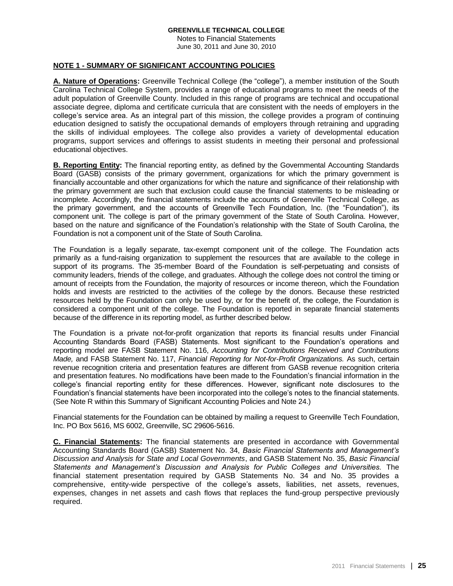Notes to Financial Statements June 30, 2011 and June 30, 2010

## <span id="page-26-0"></span>**NOTE 1 - SUMMARY OF SIGNIFICANT ACCOUNTING POLICIES**

**A. Nature of Operations:** Greenville Technical College (the "college"), a member institution of the South Carolina Technical College System, provides a range of educational programs to meet the needs of the adult population of Greenville County. Included in this range of programs are technical and occupational associate degree, diploma and certificate curricula that are consistent with the needs of employers in the college's service area. As an integral part of this mission, the college provides a program of continuing education designed to satisfy the occupational demands of employers through retraining and upgrading the skills of individual employees. The college also provides a variety of developmental education programs, support services and offerings to assist students in meeting their personal and professional educational objectives.

**B. Reporting Entity:** The financial reporting entity, as defined by the Governmental Accounting Standards Board (GASB) consists of the primary government, organizations for which the primary government is financially accountable and other organizations for which the nature and significance of their relationship with the primary government are such that exclusion could cause the financial statements to be misleading or incomplete. Accordingly, the financial statements include the accounts of Greenville Technical College, as the primary government, and the accounts of Greenville Tech Foundation, Inc. (the "Foundation"), its component unit. The college is part of the primary government of the State of South Carolina. However, based on the nature and significance of the Foundation's relationship with the State of South Carolina, the Foundation is not a component unit of the State of South Carolina.

The Foundation is a legally separate, tax-exempt component unit of the college. The Foundation acts primarily as a fund-raising organization to supplement the resources that are available to the college in support of its programs. The 35-member Board of the Foundation is self-perpetuating and consists of community leaders, friends of the college, and graduates. Although the college does not control the timing or amount of receipts from the Foundation, the majority of resources or income thereon, which the Foundation holds and invests are restricted to the activities of the college by the donors. Because these restricted resources held by the Foundation can only be used by, or for the benefit of, the college, the Foundation is considered a component unit of the college. The Foundation is reported in separate financial statements because of the difference in its reporting model, as further described below.

The Foundation is a private not-for-profit organization that reports its financial results under Financial Accounting Standards Board (FASB) Statements. Most significant to the Foundation's operations and reporting model are FASB Statement No. 116, *Accounting for Contributions Received and Contributions Made,* and FASB Statement No. 117, *Financial Reporting for Not-for-Profit Organizations.* As such, certain revenue recognition criteria and presentation features are different from GASB revenue recognition criteria and presentation features. No modifications have been made to the Foundation's financial information in the college's financial reporting entity for these differences. However, significant note disclosures to the Foundation's financial statements have been incorporated into the college's notes to the financial statements. (See Note R within this Summary of Significant Accounting Policies and Note 24.)

Financial statements for the Foundation can be obtained by mailing a request to Greenville Tech Foundation, Inc. PO Box 5616, MS 6002, Greenville, SC 29606-5616.

**C. Financial Statements:** The financial statements are presented in accordance with Governmental Accounting Standards Board (GASB) Statement No. 34, *Basic Financial Statements and Management's Discussion and Analysis for State and Local Governments*, and GASB Statement No. 35, *Basic Financial Statements and Management's Discussion and Analysis for Public Colleges and Universities.* The financial statement presentation required by GASB Statements No. 34 and No. 35 provides a comprehensive, entity-wide perspective of the college's assets, liabilities, net assets, revenues, expenses, changes in net assets and cash flows that replaces the fund-group perspective previously required.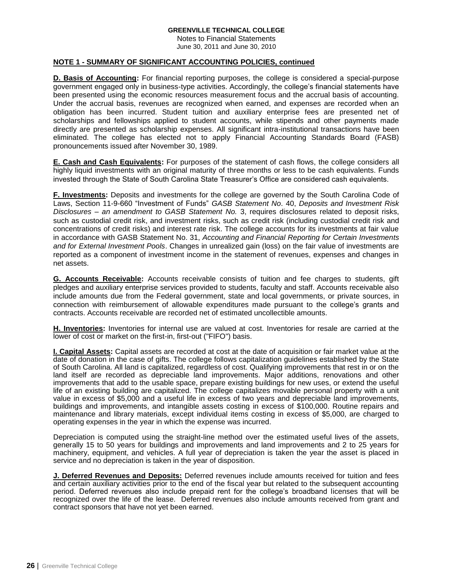Notes to Financial Statements June 30, 2011 and June 30, 2010

### **NOTE 1 - SUMMARY OF SIGNIFICANT ACCOUNTING POLICIES, continued**

**D. Basis of Accounting:** For financial reporting purposes, the college is considered a special-purpose government engaged only in business-type activities. Accordingly, the college's financial statements have been presented using the economic resources measurement focus and the accrual basis of accounting. Under the accrual basis, revenues are recognized when earned, and expenses are recorded when an obligation has been incurred. Student tuition and auxiliary enterprise fees are presented net of scholarships and fellowships applied to student accounts, while stipends and other payments made directly are presented as scholarship expenses. All significant intra-institutional transactions have been eliminated. The college has elected not to apply Financial Accounting Standards Board (FASB) pronouncements issued after November 30, 1989.

**E. Cash and Cash Equivalents:** For purposes of the statement of cash flows, the college considers all highly liquid investments with an original maturity of three months or less to be cash equivalents. Funds invested through the State of South Carolina State Treasurer's Office are considered cash equivalents.

**F. Investments:** Deposits and investments for the college are governed by the South Carolina Code of Laws, Section 11-9-660 "Investment of Funds" *GASB Statement No*. 40, *Deposits and Investment Risk Disclosures – an amendment to GASB Statement No.* 3, requires disclosures related to deposit risks, such as custodial credit risk, and investment risks, such as credit risk (including custodial credit risk and concentrations of credit risks) and interest rate risk. The college accounts for its investments at fair value in accordance with GASB Statement No. 31, *Accounting and Financial Reporting for Certain Investments and for External Investment Pools*. Changes in unrealized gain (loss) on the fair value of investments are reported as a component of investment income in the statement of revenues, expenses and changes in net assets.

**G. Accounts Receivable:** Accounts receivable consists of tuition and fee charges to students, gift pledges and auxiliary enterprise services provided to students, faculty and staff. Accounts receivable also include amounts due from the Federal government, state and local governments, or private sources, in connection with reimbursement of allowable expenditures made pursuant to the college's grants and contracts. Accounts receivable are recorded net of estimated uncollectible amounts.

**H. Inventories:** Inventories for internal use are valued at cost. Inventories for resale are carried at the lower of cost or market on the first-in, first-out ("FIFO") basis.

**I. Capital Assets:** Capital assets are recorded at cost at the date of acquisition or fair market value at the date of donation in the case of gifts. The college follows capitalization guidelines established by the State of South Carolina. All land is capitalized, regardless of cost. Qualifying improvements that rest in or on the land itself are recorded as depreciable land improvements. Major additions, renovations and other improvements that add to the usable space, prepare existing buildings for new uses, or extend the useful life of an existing building are capitalized. The college capitalizes movable personal property with a unit value in excess of \$5,000 and a useful life in excess of two years and depreciable land improvements, buildings and improvements, and intangible assets costing in excess of \$100,000. Routine repairs and maintenance and library materials, except individual items costing in excess of \$5,000, are charged to operating expenses in the year in which the expense was incurred.

Depreciation is computed using the straight-line method over the estimated useful lives of the assets, generally 15 to 50 years for buildings and improvements and land improvements and 2 to 25 years for machinery, equipment, and vehicles. A full year of depreciation is taken the year the asset is placed in service and no depreciation is taken in the year of disposition.

**J. Deferred Revenues and Deposits:** Deferred revenues include amounts received for tuition and fees and certain auxiliary activities prior to the end of the fiscal year but related to the subsequent accounting period. Deferred revenues also include prepaid rent for the college's broadband licenses that will be recognized over the life of the lease. Deferred revenues also include amounts received from grant and contract sponsors that have not yet been earned.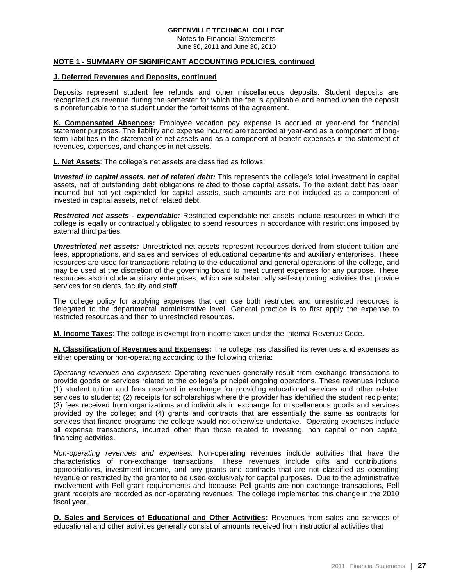Notes to Financial Statements June 30, 2011 and June 30, 2010

#### **NOTE 1 - SUMMARY OF SIGNIFICANT ACCOUNTING POLICIES, continued**

#### **J. Deferred Revenues and Deposits, continued**

Deposits represent student fee refunds and other miscellaneous deposits. Student deposits are recognized as revenue during the semester for which the fee is applicable and earned when the deposit is nonrefundable to the student under the forfeit terms of the agreement.

**K. Compensated Absences:** Employee vacation pay expense is accrued at year-end for financial statement purposes. The liability and expense incurred are recorded at year-end as a component of longterm liabilities in the statement of net assets and as a component of benefit expenses in the statement of revenues, expenses, and changes in net assets.

**L. Net Assets**: The college's net assets are classified as follows:

*Invested in capital assets, net of related debt:* This represents the college's total investment in capital assets, net of outstanding debt obligations related to those capital assets. To the extent debt has been incurred but not yet expended for capital assets, such amounts are not included as a component of invested in capital assets, net of related debt.

*Restricted net assets - expendable:* Restricted expendable net assets include resources in which the college is legally or contractually obligated to spend resources in accordance with restrictions imposed by external third parties.

*Unrestricted net assets:* Unrestricted net assets represent resources derived from student tuition and fees, appropriations, and sales and services of educational departments and auxiliary enterprises. These resources are used for transactions relating to the educational and general operations of the college, and may be used at the discretion of the governing board to meet current expenses for any purpose. These resources also include auxiliary enterprises, which are substantially self-supporting activities that provide services for students, faculty and staff.

The college policy for applying expenses that can use both restricted and unrestricted resources is delegated to the departmental administrative level. General practice is to first apply the expense to restricted resources and then to unrestricted resources.

**M. Income Taxes**: The college is exempt from income taxes under the Internal Revenue Code.

**N. Classification of Revenues and Expenses:** The college has classified its revenues and expenses as either operating or non-operating according to the following criteria:

*Operating revenues and expenses:* Operating revenues generally result from exchange transactions to provide goods or services related to the college's principal ongoing operations. These revenues include (1) student tuition and fees received in exchange for providing educational services and other related services to students; (2) receipts for scholarships where the provider has identified the student recipients; (3) fees received from organizations and individuals in exchange for miscellaneous goods and services provided by the college; and (4) grants and contracts that are essentially the same as contracts for services that finance programs the college would not otherwise undertake. Operating expenses include all expense transactions, incurred other than those related to investing, non capital or non capital financing activities.

*Non-operating revenues and expenses:* Non-operating revenues include activities that have the characteristics of non-exchange transactions. These revenues include gifts and contributions, appropriations, investment income, and any grants and contracts that are not classified as operating revenue or restricted by the grantor to be used exclusively for capital purposes. Due to the administrative involvement with Pell grant requirements and because Pell grants are non-exchange transactions, Pell grant receipts are recorded as non-operating revenues. The college implemented this change in the 2010 fiscal year.

**O. Sales and Services of Educational and Other Activities:** Revenues from sales and services of educational and other activities generally consist of amounts received from instructional activities that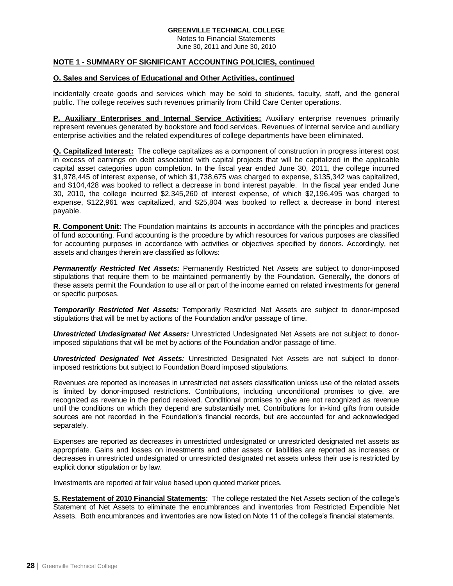Notes to Financial Statements June 30, 2011 and June 30, 2010

### **NOTE 1 - SUMMARY OF SIGNIFICANT ACCOUNTING POLICIES, continued**

### **O. Sales and Services of Educational and Other Activities, continued**

incidentally create goods and services which may be sold to students, faculty, staff, and the general public. The college receives such revenues primarily from Child Care Center operations.

**P. Auxiliary Enterprises and Internal Service Activities:** Auxiliary enterprise revenues primarily represent revenues generated by bookstore and food services. Revenues of internal service and auxiliary enterprise activities and the related expenditures of college departments have been eliminated.

**Q. Capitalized Interest:** The college capitalizes as a component of construction in progress interest cost in excess of earnings on debt associated with capital projects that will be capitalized in the applicable capital asset categories upon completion. In the fiscal year ended June 30, 2011, the college incurred \$1,978,445 of interest expense, of which \$1,738,675 was charged to expense, \$135,342 was capitalized, and \$104,428 was booked to reflect a decrease in bond interest payable. In the fiscal year ended June 30, 2010, the college incurred \$2,345,260 of interest expense, of which \$2,196,495 was charged to expense, \$122,961 was capitalized, and \$25,804 was booked to reflect a decrease in bond interest payable.

**R. Component Unit:** The Foundation maintains its accounts in accordance with the principles and practices of fund accounting. Fund accounting is the procedure by which resources for various purposes are classified for accounting purposes in accordance with activities or objectives specified by donors. Accordingly, net assets and changes therein are classified as follows:

*Permanently Restricted Net Assets:* Permanently Restricted Net Assets are subject to donor-imposed stipulations that require them to be maintained permanently by the Foundation. Generally, the donors of these assets permit the Foundation to use all or part of the income earned on related investments for general or specific purposes.

*Temporarily Restricted Net Assets:* Temporarily Restricted Net Assets are subject to donor-imposed stipulations that will be met by actions of the Foundation and/or passage of time.

*Unrestricted Undesignated Net Assets:* Unrestricted Undesignated Net Assets are not subject to donorimposed stipulations that will be met by actions of the Foundation and/or passage of time.

*Unrestricted Designated Net Assets:* Unrestricted Designated Net Assets are not subject to donorimposed restrictions but subject to Foundation Board imposed stipulations.

Revenues are reported as increases in unrestricted net assets classification unless use of the related assets is limited by donor-imposed restrictions. Contributions, including unconditional promises to give, are recognized as revenue in the period received. Conditional promises to give are not recognized as revenue until the conditions on which they depend are substantially met. Contributions for in-kind gifts from outside sources are not recorded in the Foundation's financial records, but are accounted for and acknowledged separately.

Expenses are reported as decreases in unrestricted undesignated or unrestricted designated net assets as appropriate. Gains and losses on investments and other assets or liabilities are reported as increases or decreases in unrestricted undesignated or unrestricted designated net assets unless their use is restricted by explicit donor stipulation or by law.

Investments are reported at fair value based upon quoted market prices.

**S. Restatement of 2010 Financial Statements:** The college restated the Net Assets section of the college's Statement of Net Assets to eliminate the encumbrances and inventories from Restricted Expendible Net Assets. Both encumbrances and inventories are now listed on Note 11 of the college's financial statements.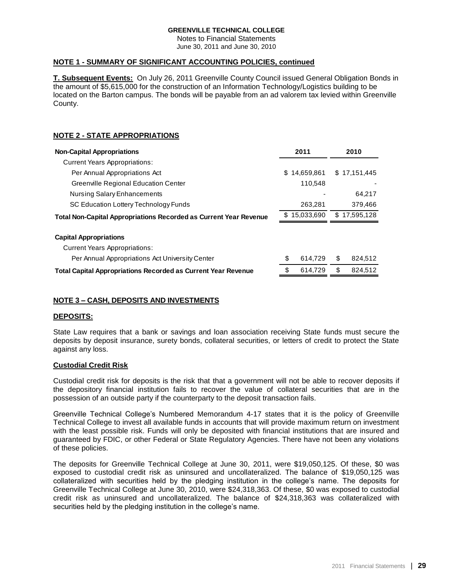Notes to Financial Statements June 30, 2011 and June 30, 2010

### **NOTE 1 - SUMMARY OF SIGNIFICANT ACCOUNTING POLICIES, continued**

**T. Subsequent Events:** On July 26, 2011 Greenville County Council issued General Obligation Bonds in the amount of \$5,615,000 for the construction of an Information Technology/Logistics building to be located on the Barton campus. The bonds will be payable from an ad valorem tax levied within Greenville County.

# **NOTE 2 - STATE APPROPRIATIONS**

| <b>Non-Capital Appropriations</b>                                        |    | 2011         |    | 2010         |
|--------------------------------------------------------------------------|----|--------------|----|--------------|
| <b>Current Years Appropriations:</b>                                     |    |              |    |              |
| Per Annual Appropriations Act                                            |    | \$14,659,861 |    | \$17,151,445 |
| Greenville Regional Education Center                                     |    | 110,548      |    |              |
| <b>Nursing Salary Enhancements</b>                                       |    |              |    | 64.217       |
| SC Education Lottery Technology Funds                                    |    | 263,281      |    | 379,466      |
| <b>Total Non-Capital Appropriations Recorded as Current Year Revenue</b> |    | \$15,033,690 | \$ | 17,595,128   |
| <b>Capital Appropriations</b>                                            |    |              |    |              |
| <b>Current Years Appropriations:</b>                                     |    |              |    |              |
| Per Annual Appropriations Act University Center                          | \$ | 614.729      | S  | 824,512      |
| <b>Total Capital Appropriations Recorded as Current Year Revenue</b>     |    | 614.729      | S  | 824.512      |

# **NOTE 3 – CASH, DEPOSITS AND INVESTMENTS**

### **DEPOSITS:**

State Law requires that a bank or savings and loan association receiving State funds must secure the deposits by deposit insurance, surety bonds, collateral securities, or letters of credit to protect the State against any loss.

### **Custodial Credit Risk**

Custodial credit risk for deposits is the risk that that a government will not be able to recover deposits if the depository financial institution fails to recover the value of collateral securities that are in the possession of an outside party if the counterparty to the deposit transaction fails.

Greenville Technical College's Numbered Memorandum 4-17 states that it is the policy of Greenville Technical College to invest all available funds in accounts that will provide maximum return on investment with the least possible risk. Funds will only be deposited with financial institutions that are insured and guaranteed by FDIC, or other Federal or State Regulatory Agencies. There have not been any violations of these policies.

The deposits for Greenville Technical College at June 30, 2011, were \$19,050,125. Of these, \$0 was exposed to custodial credit risk as uninsured and uncollateralized. The balance of \$19,050,125 was collateralized with securities held by the pledging institution in the college's name. The deposits for Greenville Technical College at June 30, 2010, were \$24,318,363. Of these, \$0 was exposed to custodial credit risk as uninsured and uncollateralized. The balance of \$24,318,363 was collateralized with securities held by the pledging institution in the college's name.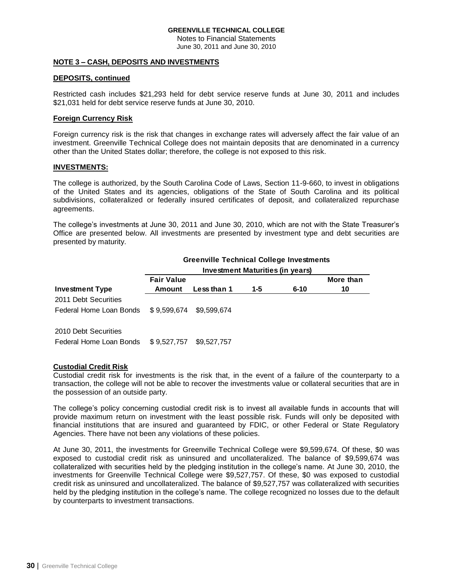Notes to Financial Statements June 30, 2011 and June 30, 2010

#### **NOTE 3 – CASH, DEPOSITS AND INVESTMENTS**

#### **DEPOSITS, continued**

Restricted cash includes \$21,293 held for debt service reserve funds at June 30, 2011 and includes \$21,031 held for debt service reserve funds at June 30, 2010.

#### **Foreign Currency Risk**

Foreign currency risk is the risk that changes in exchange rates will adversely affect the fair value of an investment. Greenville Technical College does not maintain deposits that are denominated in a currency other than the United States dollar; therefore, the college is not exposed to this risk.

#### **INVESTMENTS:**

The college is authorized, by the South Carolina Code of Laws, Section 11-9-660, to invest in obligations of the United States and its agencies, obligations of the State of South Carolina and its political subdivisions, collateralized or federally insured certificates of deposit, and collateralized repurchase agreements.

The college's investments at June 30, 2011 and June 30, 2010, which are not with the State Treasurer's Office are presented below. All investments are presented by investment type and debt securities are presented by maturity.

|                                                 | <b>Greenville Technical College Investments</b> |             |     |          |           |  |  |  |
|-------------------------------------------------|-------------------------------------------------|-------------|-----|----------|-----------|--|--|--|
|                                                 | Investment Maturities (in years)                |             |     |          |           |  |  |  |
|                                                 | <b>Fair Value</b>                               |             |     |          | More than |  |  |  |
| <b>Investment Type</b>                          | Amount                                          | Less than 1 | 1-5 | $6 - 10$ | 10        |  |  |  |
| 2011 Debt Securities<br>Federal Home Loan Bonds | \$9.599.674                                     | \$9,599,674 |     |          |           |  |  |  |
| 2010 Debt Securities<br>Federal Home Loan Bonds | \$9,527,757                                     | \$9,527,757 |     |          |           |  |  |  |

### **Custodial Credit Risk**

Custodial credit risk for investments is the risk that, in the event of a failure of the counterparty to a transaction, the college will not be able to recover the investments value or collateral securities that are in the possession of an outside party.

The college's policy concerning custodial credit risk is to invest all available funds in accounts that will provide maximum return on investment with the least possible risk. Funds will only be deposited with financial institutions that are insured and guaranteed by FDIC, or other Federal or State Regulatory Agencies. There have not been any violations of these policies.

At June 30, 2011, the investments for Greenville Technical College were \$9,599,674. Of these, \$0 was exposed to custodial credit risk as uninsured and uncollateralized. The balance of \$9,599,674 was collateralized with securities held by the pledging institution in the college's name. At June 30, 2010, the investments for Greenville Technical College were \$9,527,757. Of these, \$0 was exposed to custodial credit risk as uninsured and uncollateralized. The balance of \$9,527,757 was collateralized with securities held by the pledging institution in the college's name. The college recognized no losses due to the default by counterparts to investment transactions.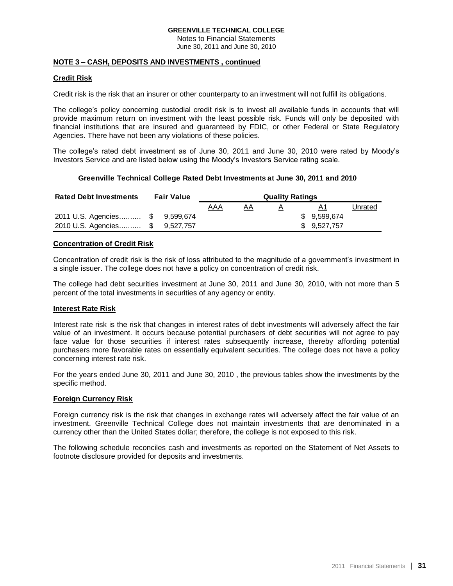Notes to Financial Statements June 30, 2011 and June 30, 2010

### **NOTE 3 – CASH, DEPOSITS AND INVESTMENTS , continued**

## **Credit Risk**

Credit risk is the risk that an insurer or other counterparty to an investment will not fulfill its obligations.

The college's policy concerning custodial credit risk is to invest all available funds in accounts that will provide maximum return on investment with the least possible risk. Funds will only be deposited with financial institutions that are insured and guaranteed by FDIC, or other Federal or State Regulatory Agencies. There have not been any violations of these policies.

The college's rated debt investment as of June 30, 2011 and June 30, 2010 were rated by Moody's Investors Service and are listed below using the Moody's Investors Service rating scale.

### **Greenville Technical College Rated Debt Investments at June 30, 2011 and 2010**

| <b>Rated Debt Investments</b>   | <b>Fair Value</b> | <b>Quality Ratings</b> |    |          |              |         |
|---------------------------------|-------------------|------------------------|----|----------|--------------|---------|
|                                 |                   | AAA                    | AΑ | $\Delta$ |              | Unrated |
| 2011 U.S. Agencies \$ 9,599,674 |                   |                        |    |          | \$ 9.599.674 |         |
| 2010 U.S. Agencies \$ 9,527,757 |                   |                        |    |          | \$9.527.757  |         |

### **Concentration of Credit Risk**

Concentration of credit risk is the risk of loss attributed to the magnitude of a government's investment in a single issuer. The college does not have a policy on concentration of credit risk.

The college had debt securities investment at June 30, 2011 and June 30, 2010, with not more than 5 percent of the total investments in securities of any agency or entity.

### **Interest Rate Risk**

Interest rate risk is the risk that changes in interest rates of debt investments will adversely affect the fair value of an investment. It occurs because potential purchasers of debt securities will not agree to pay face value for those securities if interest rates subsequently increase, thereby affording potential purchasers more favorable rates on essentially equivalent securities. The college does not have a policy concerning interest rate risk.

For the years ended June 30, 2011 and June 30, 2010 , the previous tables show the investments by the specific method.

### **Foreign Currency Risk**

Foreign currency risk is the risk that changes in exchange rates will adversely affect the fair value of an investment. Greenville Technical College does not maintain investments that are denominated in a currency other than the United States dollar; therefore, the college is not exposed to this risk.

The following schedule reconciles cash and investments as reported on the Statement of Net Assets to footnote disclosure provided for deposits and investments.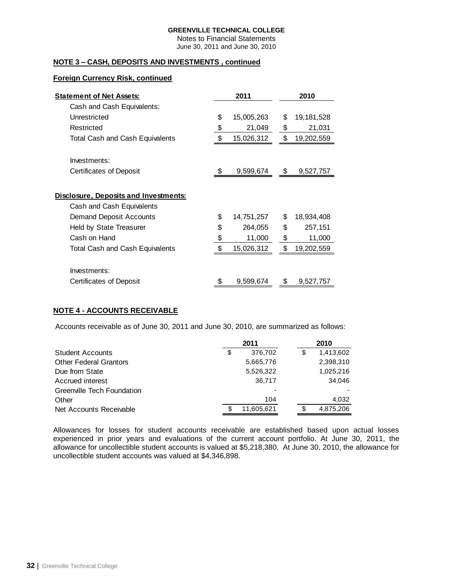Notes to Financial Statements June 30, 2011 and June 30, 2010

## **NOTE 3 – CASH, DEPOSITS AND INVESTMENTS , continued**

### **Foreign Currency Risk, continued**

| <b>Statement of Net Assets:</b>                                    | 2011             |    | 2010       |
|--------------------------------------------------------------------|------------------|----|------------|
| Cash and Cash Equivalents:                                         |                  |    |            |
| Unrestricted                                                       | \$<br>15,005,263 | \$ | 19,181,528 |
| Restricted                                                         | \$<br>21,049     | \$ | 21,031     |
| <b>Total Cash and Cash Equivalents</b>                             | \$<br>15,026,312 | \$ | 19,202,559 |
| Investments:                                                       |                  |    |            |
| Certificates of Deposit                                            | 9,599,674        | \$ | 9,527,757  |
| Disclosure, Deposits and Investments:<br>Cash and Cash Equivalents |                  |    |            |
| <b>Demand Deposit Accounts</b>                                     | \$<br>14,751,257 | \$ | 18,934,408 |
| <b>Held by State Treasurer</b>                                     | \$<br>264,055    | \$ | 257,151    |
| Cash on Hand                                                       | \$<br>11,000     | \$ | 11,000     |
| <b>Total Cash and Cash Equivalents</b>                             | \$<br>15,026,312 | \$ | 19,202,559 |
| Investments:                                                       |                  |    |            |
| Certificates of Deposit                                            | 9,599,674        | S  | 9,527,757  |

# **NOTE 4 - ACCOUNTS RECEIVABLE**

Accounts receivable as of June 30, 2011 and June 30, 2010, are summarized as follows:

|                                   | 2011          |    | 2010      |  |  |
|-----------------------------------|---------------|----|-----------|--|--|
| <b>Student Accounts</b>           | \$<br>376,702 | \$ | 1,413,602 |  |  |
| <b>Other Federal Grantors</b>     | 5,665,776     |    | 2,398,310 |  |  |
| Due from State                    | 5,526,322     |    | 1,025,216 |  |  |
| Accrued interest                  | 36,717        |    | 34.046    |  |  |
| <b>Greenville Tech Foundation</b> |               |    |           |  |  |
| Other                             | 104           |    | 4,032     |  |  |
| Net Accounts Receivable           | 11,605,621    | S  | 4,875,206 |  |  |

Allowances for losses for student accounts receivable are established based upon actual losses experienced in prior years and evaluations of the current account portfolio. At June 30, 2011, the allowance for uncollectible student accounts is valued at \$5,218,380. At June 30, 2010, the allowance for uncollectible student accounts was valued at \$4,346,898.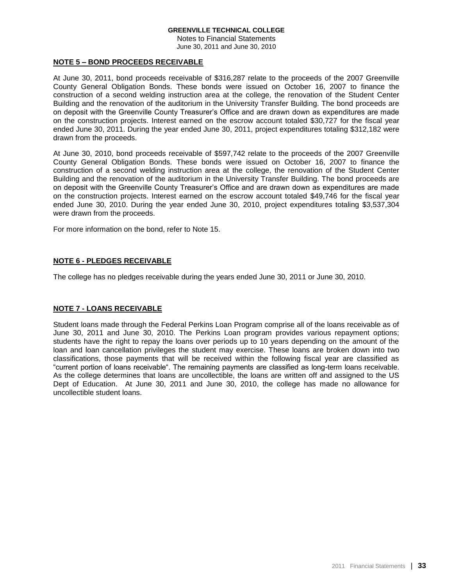Notes to Financial Statements June 30, 2011 and June 30, 2010

### **NOTE 5 – BOND PROCEEDS RECEIVABLE**

At June 30, 2011, bond proceeds receivable of \$316,287 relate to the proceeds of the 2007 Greenville County General Obligation Bonds. These bonds were issued on October 16, 2007 to finance the construction of a second welding instruction area at the college, the renovation of the Student Center Building and the renovation of the auditorium in the University Transfer Building. The bond proceeds are on deposit with the Greenville County Treasurer's Office and are drawn down as expenditures are made on the construction projects. Interest earned on the escrow account totaled \$30,727 for the fiscal year ended June 30, 2011. During the year ended June 30, 2011, project expenditures totaling \$312,182 were drawn from the proceeds.

At June 30, 2010, bond proceeds receivable of \$597,742 relate to the proceeds of the 2007 Greenville County General Obligation Bonds. These bonds were issued on October 16, 2007 to finance the construction of a second welding instruction area at the college, the renovation of the Student Center Building and the renovation of the auditorium in the University Transfer Building. The bond proceeds are on deposit with the Greenville County Treasurer's Office and are drawn down as expenditures are made on the construction projects. Interest earned on the escrow account totaled \$49,746 for the fiscal year ended June 30, 2010. During the year ended June 30, 2010, project expenditures totaling \$3,537,304 were drawn from the proceeds.

For more information on the bond, refer to Note 15.

## **NOTE 6 - PLEDGES RECEIVABLE**

The college has no pledges receivable during the years ended June 30, 2011 or June 30, 2010.

### **NOTE 7 - LOANS RECEIVABLE**

Student loans made through the Federal Perkins Loan Program comprise all of the loans receivable as of June 30, 2011 and June 30, 2010. The Perkins Loan program provides various repayment options; students have the right to repay the loans over periods up to 10 years depending on the amount of the loan and loan cancellation privileges the student may exercise. These loans are broken down into two classifications, those payments that will be received within the following fiscal year are classified as "current portion of loans receivable". The remaining payments are classified as long-term loans receivable. As the college determines that loans are uncollectible, the loans are written off and assigned to the US Dept of Education. At June 30, 2011 and June 30, 2010, the college has made no allowance for uncollectible student loans.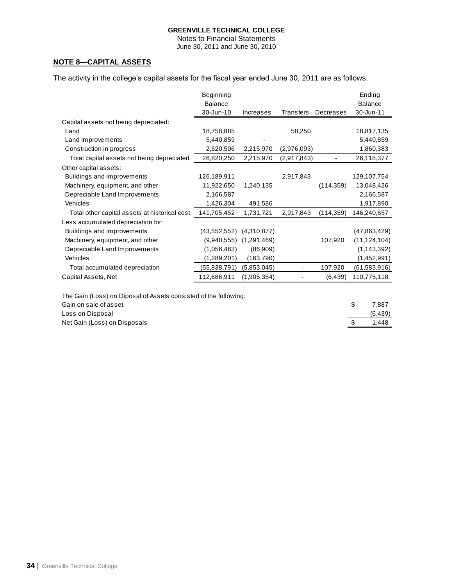Notes to Financial Statements June 30, 2011 and June 30, 2010

# **NOTE 8—CAPITAL ASSETS**

The activity in the college's capital assets for the fiscal year ended June 30, 2011 are as follows:

|                                                                  | Beginning<br><b>Balance</b> |                  |             |            |   | Ending<br><b>Balance</b> |
|------------------------------------------------------------------|-----------------------------|------------------|-------------|------------|---|--------------------------|
|                                                                  | 30-Jun-10                   | <b>Increases</b> | Transfers   | Decreases  |   | 30-Jun-11                |
| Capital assets not being depreciated:                            |                             |                  |             |            |   |                          |
| Land                                                             | 18,758,885                  |                  | 58,250      |            |   | 18,817,135               |
| Land Improvements                                                | 5,440,859                   |                  |             |            |   | 5,440,859                |
| Construction in progress                                         | 2,620,506                   | 2,215,970        | (2,976,093) |            |   | 1,860,383                |
| Total capital assets not being depreciated                       | 26,820,250                  | 2,215,970        | (2,917,843) |            |   | 26,118,377               |
| Other capital assets:                                            |                             |                  |             |            |   |                          |
| Buildings and improvements                                       | 126,189,911                 |                  | 2,917,843   |            |   | 129,107,754              |
| Machinery, equipment, and other                                  | 11,922,650                  | 1,240,135        |             | (114, 359) |   | 13,048,426               |
| Depreciable Land Improvements                                    | 2,166,587                   |                  |             |            |   | 2,166,587                |
| Vehicles                                                         | 1,426,304                   | 491,586          |             |            |   | 1,917,890                |
| Total other capital assets at historical cost                    | 141,705,452                 | 1,731,721        | 2,917,843   | (114, 359) |   | 146,240,657              |
| Less accumulated depreciation for:                               |                             |                  |             |            |   |                          |
| Buildings and improvements                                       | (43, 552, 552)              | (4,310,877)      |             |            |   | (47,863,429)             |
| Machinery, equipment, and other                                  | (9,940,555)                 | (1,291,469)      |             | 107,920    |   | (11, 124, 104)           |
| Depreciable Land Improvements                                    | (1,056,483)                 | (86,909)         |             |            |   | (1, 143, 392)            |
| Vehicles                                                         | (1,289,201)                 | (163,790)        |             |            |   | (1,452,991)              |
| Total accumulated depreciation                                   | (55, 838, 791)              | (5,853,045)      |             | 107,920    |   | (61, 583, 916)           |
| Capital Assets, Net                                              | 112,686,911                 | (1,905,354)      |             | (6, 439)   |   | 110,775,118              |
|                                                                  |                             |                  |             |            |   |                          |
| The Gain (Loss) on Diposal of Assets consisted of the following: |                             |                  |             |            |   |                          |
| Cain an eala of accot                                            |                             |                  |             |            | ¢ | 7 9 9 7                  |

| Net Gain (Loss) on Disposals | 1.448    |
|------------------------------|----------|
| Loss on Disposal             | (6, 439) |
| Gain on sale of asset        | 7.887    |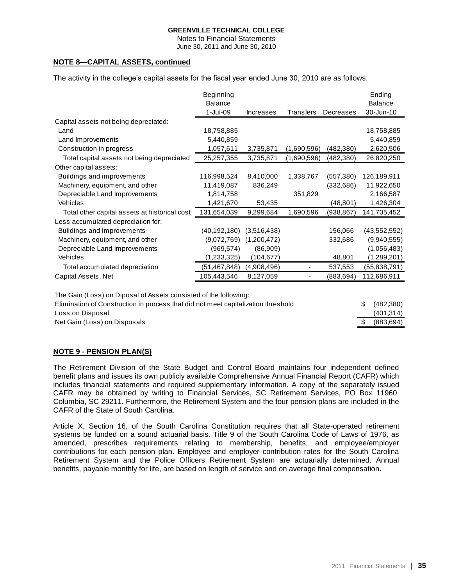Notes to Financial Statements June 30, 2011 and June 30, 2010

# **NOTE 8—CAPITAL ASSETS, continued**

The activity in the college's capital assets for the fiscal year ended June 30, 2010 are as follows:

|                                                                  | Beginning      |             |             |            | Ending         |
|------------------------------------------------------------------|----------------|-------------|-------------|------------|----------------|
|                                                                  | <b>Balance</b> |             |             |            | <b>Balance</b> |
|                                                                  | 1-Jul-09       | Increases   | Transfers   | Decreases  | 30-Jun-10      |
| Capital assets not being depreciated:                            |                |             |             |            |                |
| Land                                                             | 18,758,885     |             |             |            | 18,758,885     |
| Land Improvements                                                | 5,440,859      |             |             |            | 5,440,859      |
| Construction in progress                                         | 1,057,611      | 3,735,871   | (1,690,596) | (482,380)  | 2,620,506      |
| Total capital assets not being depreciated                       | 25,257,355     | 3,735,871   | (1,690,596) | (482,380)  | 26,820,250     |
| Other capital assets:                                            |                |             |             |            |                |
| Buildings and improvements                                       | 116,998,524    | 8,410,000   | 1,338,767   | (557, 380) | 126,189,911    |
| Machinery, equipment, and other                                  | 11,419,087     | 836,249     |             | (332, 686) | 11,922,650     |
| Depreciable Land Improvements                                    | 1,814,758      |             | 351,829     |            | 2,166,587      |
| Vehicles                                                         | 1,421,670      | 53,435      |             | (48, 801)  | 1,426,304      |
| Total other capital assets at historical cost                    | 131,654,039    | 9,299,684   | 1,690,596   | (938, 867) | 141,705,452    |
| Less accumulated depreciation for:                               |                |             |             |            |                |
| Buildings and improvements                                       | (40,192,180)   | (3,516,438) |             | 156,066    | (43, 552, 552) |
| Machinery, equipment, and other                                  | (9,072,769)    | (1,200,472) |             | 332,686    | (9,940,555)    |
| Depreciable Land Improvements                                    | (969, 574)     | (86,909)    |             |            | (1,056,483)    |
| <b>Vehicles</b>                                                  | (1,233,325)    | (104, 677)  |             | 48,801     | (1,289,201)    |
| Total accumulated depreciation                                   | (51, 467, 848) | (4,908,496) |             | 537,553    | (55,838,791)   |
| Capital Assets, Net                                              | 105,443,546    | 8,127,059   |             | (883, 694) | 112,686,911    |
| The Gain (Loss) on Diposal of Assets consisted of the following: |                |             |             |            |                |

| <u>, photos is a contract of the contractor of the contractor of the contractor of the contractor of the contrac</u> to |              |
|-------------------------------------------------------------------------------------------------------------------------|--------------|
| Elimination of Construction in process that did not meet capitalization threshold                                       | \$ (482,380) |
| Loss on Disposal                                                                                                        | (401, 314)   |
| Net Gain (Loss) on Disposals                                                                                            | (883,694)    |

### **NOTE 9 - PENSION PLAN(S)**

The Retirement Division of the State Budget and Control Board maintains four independent defined benefit plans and issues its own publicly available Comprehensive Annual Financial Report (CAFR) which includes financial statements and required supplementary information. A copy of the separately issued CAFR may be obtained by writing to Financial Services, SC Retirement Services, PO Box 11960, Columbia, SC 29211. Furthermore, the Retirement System and the four pension plans are included in the CAFR of the State of South Carolina.

Article X, Section 16, of the South Carolina Constitution requires that all State-operated retirement systems be funded on a sound actuarial basis. Title 9 of the South Carolina Code of Laws of 1976, as amended, prescribes requirements relating to membership, benefits, and employee/employer contributions for each pension plan. Employee and employer contribution rates for the South Carolina Retirement System and the Police Officers Retirement System are actuarially determined. Annual benefits, payable monthly for life, are based on length of service and on average final compensation.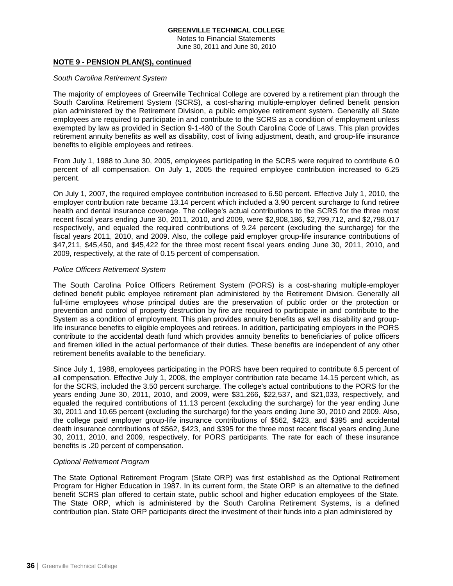Notes to Financial Statements June 30, 2011 and June 30, 2010

### **NOTE 9 - PENSION PLAN(S), continued**

#### *South Carolina Retirement System*

The majority of employees of Greenville Technical College are covered by a retirement plan through the South Carolina Retirement System (SCRS), a cost-sharing multiple-employer defined benefit pension plan administered by the Retirement Division, a public employee retirement system. Generally all State employees are required to participate in and contribute to the SCRS as a condition of employment unless exempted by law as provided in Section 9-1-480 of the South Carolina Code of Laws. This plan provides retirement annuity benefits as well as disability, cost of living adjustment, death, and group-life insurance benefits to eligible employees and retirees.

From July 1, 1988 to June 30, 2005, employees participating in the SCRS were required to contribute 6.0 percent of all compensation. On July 1, 2005 the required employee contribution increased to 6.25 percent.

On July 1, 2007, the required employee contribution increased to 6.50 percent. Effective July 1, 2010, the employer contribution rate became 13.14 percent which included a 3.90 percent surcharge to fund retiree health and dental insurance coverage. The college's actual contributions to the SCRS for the three most recent fiscal years ending June 30, 2011, 2010, and 2009, were \$2,908,186, \$2,799,712, and \$2,798,017 respectively, and equaled the required contributions of 9.24 percent (excluding the surcharge) for the fiscal years 2011, 2010, and 2009. Also, the college paid employer group-life insurance contributions of \$47,211, \$45,450, and \$45,422 for the three most recent fiscal years ending June 30, 2011, 2010, and 2009, respectively, at the rate of 0.15 percent of compensation.

### *Police Officers Retirement System*

The South Carolina Police Officers Retirement System (PORS) is a cost-sharing multiple-employer defined benefit public employee retirement plan administered by the Retirement Division. Generally all full-time employees whose principal duties are the preservation of public order or the protection or prevention and control of property destruction by fire are required to participate in and contribute to the System as a condition of employment. This plan provides annuity benefits as well as disability and grouplife insurance benefits to eligible employees and retirees. In addition, participating employers in the PORS contribute to the accidental death fund which provides annuity benefits to beneficiaries of police officers and firemen killed in the actual performance of their duties. These benefits are independent of any other retirement benefits available to the beneficiary.

Since July 1, 1988, employees participating in the PORS have been required to contribute 6.5 percent of all compensation. Effective July 1, 2008, the employer contribution rate became 14.15 percent which, as for the SCRS, included the 3.50 percent surcharge. The college's actual contributions to the PORS for the years ending June 30, 2011, 2010, and 2009, were \$31,266, \$22,537, and \$21,033, respectively, and equaled the required contributions of 11.13 percent (excluding the surcharge) for the year ending June 30, 2011 and 10.65 percent (excluding the surcharge) for the years ending June 30, 2010 and 2009. Also, the college paid employer group-life insurance contributions of \$562, \$423, and \$395 and accidental death insurance contributions of \$562, \$423, and \$395 for the three most recent fiscal years ending June 30, 2011, 2010, and 2009, respectively, for PORS participants. The rate for each of these insurance benefits is .20 percent of compensation.

### *Optional Retirement Program*

The State Optional Retirement Program (State ORP) was first established as the Optional Retirement Program for Higher Education in 1987. In its current form, the State ORP is an alternative to the defined benefit SCRS plan offered to certain state, public school and higher education employees of the State. The State ORP, which is administered by the South Carolina Retirement Systems, is a defined contribution plan. State ORP participants direct the investment of their funds into a plan administered by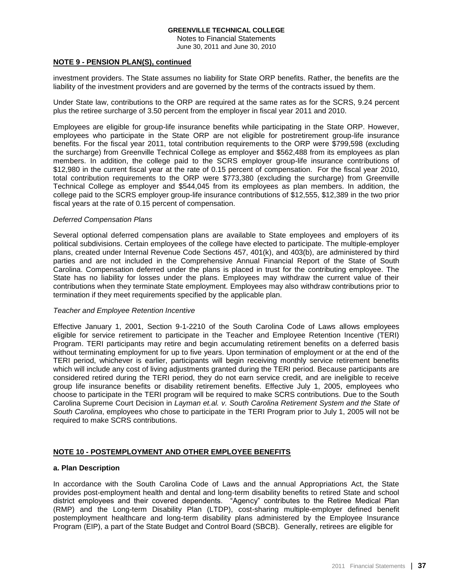Notes to Financial Statements June 30, 2011 and June 30, 2010

### **NOTE 9 - PENSION PLAN(S), continued**

investment providers. The State assumes no liability for State ORP benefits. Rather, the benefits are the liability of the investment providers and are governed by the terms of the contracts issued by them.

Under State law, contributions to the ORP are required at the same rates as for the SCRS, 9.24 percent plus the retiree surcharge of 3.50 percent from the employer in fiscal year 2011 and 2010.

Employees are eligible for group-life insurance benefits while participating in the State ORP. However, employees who participate in the State ORP are not eligible for postretirement group-life insurance benefits. For the fiscal year 2011, total contribution requirements to the ORP were \$799,598 (excluding the surcharge) from Greenville Technical College as employer and \$562,488 from its employees as plan members. In addition, the college paid to the SCRS employer group-life insurance contributions of \$12,980 in the current fiscal year at the rate of 0.15 percent of compensation. For the fiscal year 2010, total contribution requirements to the ORP were \$773,380 (excluding the surcharge) from Greenville Technical College as employer and \$544,045 from its employees as plan members. In addition, the college paid to the SCRS employer group-life insurance contributions of \$12,555, \$12,389 in the two prior fiscal years at the rate of 0.15 percent of compensation.

### *Deferred Compensation Plans*

Several optional deferred compensation plans are available to State employees and employers of its political subdivisions. Certain employees of the college have elected to participate. The multiple-employer plans, created under Internal Revenue Code Sections 457, 401(k), and 403(b), are administered by third parties and are not included in the Comprehensive Annual Financial Report of the State of South Carolina. Compensation deferred under the plans is placed in trust for the contributing employee. The State has no liability for losses under the plans. Employees may withdraw the current value of their contributions when they terminate State employment. Employees may also withdraw contributions prior to termination if they meet requirements specified by the applicable plan.

#### *Teacher and Employee Retention Incentive*

Effective January 1, 2001, Section 9-1-2210 of the South Carolina Code of Laws allows employees eligible for service retirement to participate in the Teacher and Employee Retention Incentive (TERI) Program. TERI participants may retire and begin accumulating retirement benefits on a deferred basis without terminating employment for up to five years. Upon termination of employment or at the end of the TERI period, whichever is earlier, participants will begin receiving monthly service retirement benefits which will include any cost of living adjustments granted during the TERI period. Because participants are considered retired during the TERI period, they do not earn service credit, and are ineligible to receive group life insurance benefits or disability retirement benefits. Effective July 1, 2005, employees who choose to participate in the TERI program will be required to make SCRS contributions. Due to the South Carolina Supreme Court Decision in *Layman et.al. v. South Carolina Retirement System and the State of South Carolina*, employees who chose to participate in the TERI Program prior to July 1, 2005 will not be required to make SCRS contributions.

### **NOTE 10 - POSTEMPLOYMENT AND OTHER EMPLOYEE BENEFITS**

### **a. Plan Description**

In accordance with the South Carolina Code of Laws and the annual Appropriations Act, the State provides post-employment health and dental and long-term disability benefits to retired State and school district employees and their covered dependents. "Agency" contributes to the Retiree Medical Plan (RMP) and the Long-term Disability Plan (LTDP), cost-sharing multiple-employer defined benefit postemployment healthcare and long-term disability plans administered by the Employee Insurance Program (EIP), a part of the State Budget and Control Board (SBCB). Generally, retirees are eligible for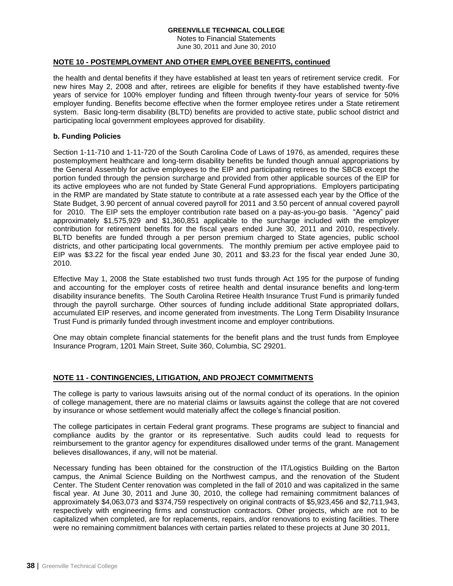Notes to Financial Statements June 30, 2011 and June 30, 2010

# **NOTE 10 - POSTEMPLOYMENT AND OTHER EMPLOYEE BENEFITS, continued**

the health and dental benefits if they have established at least ten years of retirement service credit. For new hires May 2, 2008 and after, retirees are eligible for benefits if they have established twenty-five years of service for 100% employer funding and fifteen through twenty-four years of service for 50% employer funding. Benefits become effective when the former employee retires under a State retirement system. Basic long-term disability (BLTD) benefits are provided to active state, public school district and participating local government employees approved for disability.

# **b. Funding Policies**

Section 1-11-710 and 1-11-720 of the South Carolina Code of Laws of 1976, as amended, requires these postemployment healthcare and long-term disability benefits be funded though annual appropriations by the General Assembly for active employees to the EIP and participating retirees to the SBCB except the portion funded through the pension surcharge and provided from other applicable sources of the EIP for its active employees who are not funded by State General Fund appropriations. Employers participating in the RMP are mandated by State statute to contribute at a rate assessed each year by the Office of the State Budget, 3.90 percent of annual covered payroll for 2011 and 3.50 percent of annual covered payroll for 2010. The EIP sets the employer contribution rate based on a pay-as-you-go basis. "Agency" paid approximately \$1,575,929 and \$1,360,851 applicable to the surcharge included with the employer contribution for retirement benefits for the fiscal years ended June 30, 2011 and 2010, respectively. BLTD benefits are funded through a per person premium charged to State agencies, public school districts, and other participating local governments. The monthly premium per active employee paid to EIP was \$3.22 for the fiscal year ended June 30, 2011 and \$3.23 for the fiscal year ended June 30, 2010.

Effective May 1, 2008 the State established two trust funds through Act 195 for the purpose of funding and accounting for the employer costs of retiree health and dental insurance benefits and long-term disability insurance benefits. The South Carolina Retiree Health Insurance Trust Fund is primarily funded through the payroll surcharge. Other sources of funding include additional State appropriated dollars, accumulated EIP reserves, and income generated from investments. The Long Term Disability Insurance Trust Fund is primarily funded through investment income and employer contributions.

One may obtain complete financial statements for the benefit plans and the trust funds from Employee Insurance Program, 1201 Main Street, Suite 360, Columbia, SC 29201.

# **NOTE 11 - CONTINGENCIES, LITIGATION, AND PROJECT COMMITMENTS**

The college is party to various lawsuits arising out of the normal conduct of its operations. In the opinion of college management, there are no material claims or lawsuits against the college that are not covered by insurance or whose settlement would materially affect the college's financial position.

The college participates in certain Federal grant programs. These programs are subject to financial and compliance audits by the grantor or its representative. Such audits could lead to requests for reimbursement to the grantor agency for expenditures disallowed under terms of the grant. Management believes disallowances, if any, will not be material.

Necessary funding has been obtained for the construction of the IT/Logistics Building on the Barton campus, the Animal Science Building on the Northwest campus, and the renovation of the Student Center. The Student Center renovation was completed in the fall of 2010 and was capitalized in the same fiscal year. At June 30, 2011 and June 30, 2010, the college had remaining commitment balances of approximately \$4,063,073 and \$374,759 respectively on original contracts of \$5,923,456 and \$2,711,943, respectively with engineering firms and construction contractors. Other projects, which are not to be capitalized when completed, are for replacements, repairs, and/or renovations to existing facilities. There were no remaining commitment balances with certain parties related to these projects at June 30 2011,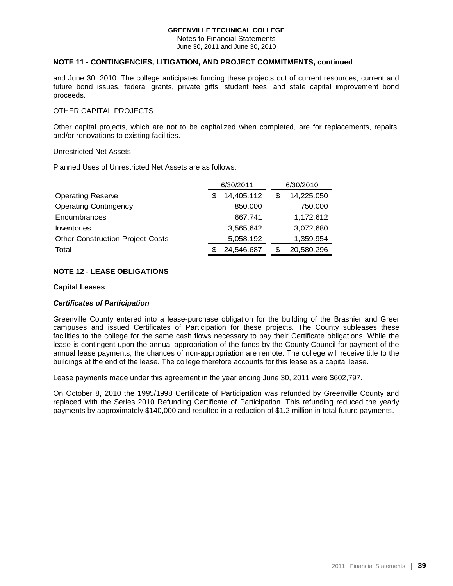Notes to Financial Statements June 30, 2011 and June 30, 2010

## **NOTE 11 - CONTINGENCIES, LITIGATION, AND PROJECT COMMITMENTS, continued**

and June 30, 2010. The college anticipates funding these projects out of current resources, current and future bond issues, federal grants, private gifts, student fees, and state capital improvement bond proceeds.

# OTHER CAPITAL PROJECTS

Other capital projects, which are not to be capitalized when completed, are for replacements, repairs, and/or renovations to existing facilities.

### Unrestricted Net Assets

Planned Uses of Unrestricted Net Assets are as follows:

|                                         | 6/30/2011 |            |  |   | 6/30/2010  |
|-----------------------------------------|-----------|------------|--|---|------------|
| <b>Operating Reserve</b>                |           | 14,405,112 |  | S | 14,225,050 |
| <b>Operating Contingency</b>            |           | 850,000    |  |   | 750,000    |
| Encumbrances                            |           | 667,741    |  |   | 1,172,612  |
| Inventories                             |           | 3,565,642  |  |   | 3,072,680  |
| <b>Other Construction Project Costs</b> |           | 5,058,192  |  |   | 1,359,954  |
| Total                                   |           | 24,546,687 |  | S | 20,580,296 |

# **NOTE 12 - LEASE OBLIGATIONS**

### **Capital Leases**

### *Certificates of Participation*

Greenville County entered into a lease-purchase obligation for the building of the Brashier and Greer campuses and issued Certificates of Participation for these projects. The County subleases these facilities to the college for the same cash flows necessary to pay their Certificate obligations. While the lease is contingent upon the annual appropriation of the funds by the County Council for payment of the annual lease payments, the chances of non-appropriation are remote. The college will receive title to the buildings at the end of the lease. The college therefore accounts for this lease as a capital lease.

Lease payments made under this agreement in the year ending June 30, 2011 were \$602,797.

On October 8, 2010 the 1995/1998 Certificate of Participation was refunded by Greenville County and replaced with the Series 2010 Refunding Certificate of Participation. This refunding reduced the yearly payments by approximately \$140,000 and resulted in a reduction of \$1.2 million in total future payments.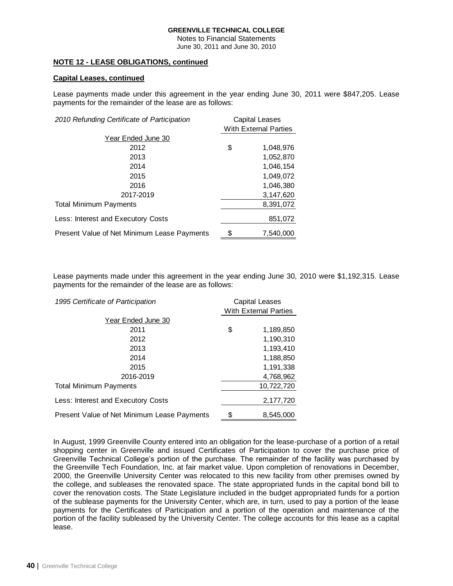Notes to Financial Statements June 30, 2011 and June 30, 2010

# **NOTE 12 - LEASE OBLIGATIONS, continued**

# **Capital Leases, continued**

Lease payments made under this agreement in the year ending June 30, 2011 were \$847,205. Lease payments for the remainder of the lease are as follows:

| <b>Capital Leases</b><br>2010 Refunding Certificate of Participation |    |                       |
|----------------------------------------------------------------------|----|-----------------------|
|                                                                      |    | With External Parties |
| Year Ended June 30                                                   |    |                       |
| 2012                                                                 | \$ | 1,048,976             |
| 2013                                                                 |    | 1,052,870             |
| 2014                                                                 |    | 1,046,154             |
| 2015                                                                 |    | 1,049,072             |
| 2016                                                                 |    | 1,046,380             |
| 2017-2019                                                            |    | 3,147,620             |
| <b>Total Minimum Payments</b>                                        |    | 8,391,072             |
| Less: Interest and Executory Costs                                   |    | 851,072               |
| Present Value of Net Minimum Lease Payments                          | \$ | 7,540,000             |

Lease payments made under this agreement in the year ending June 30, 2010 were \$1,192,315. Lease payments for the remainder of the lease are as follows:

| 1995 Certificate of Participation           |    | <b>Capital Leases</b>        |  |  |
|---------------------------------------------|----|------------------------------|--|--|
|                                             |    | <b>With External Parties</b> |  |  |
| Year Ended June 30                          |    |                              |  |  |
| 2011                                        | \$ | 1,189,850                    |  |  |
| 2012                                        |    | 1,190,310                    |  |  |
| 2013                                        |    | 1,193,410                    |  |  |
| 2014                                        |    | 1,188,850                    |  |  |
| 2015                                        |    | 1,191,338                    |  |  |
| 2016-2019                                   |    | 4,768,962                    |  |  |
| <b>Total Minimum Payments</b>               |    | 10,722,720                   |  |  |
| Less: Interest and Executory Costs          |    | 2,177,720                    |  |  |
| Present Value of Net Minimum Lease Payments |    | 8,545,000                    |  |  |

In August, 1999 Greenville County entered into an obligation for the lease-purchase of a portion of a retail shopping center in Greenville and issued Certificates of Participation to cover the purchase price of Greenville Technical College's portion of the purchase. The remainder of the facility was purchased by the Greenville Tech Foundation, Inc. at fair market value. Upon completion of renovations in December, 2000, the Greenville University Center was relocated to this new facility from other premises owned by the college, and subleases the renovated space. The state appropriated funds in the capital bond bill to cover the renovation costs. The State Legislature included in the budget appropriated funds for a portion of the sublease payments for the University Center, which are, in turn, used to pay a portion of the lease payments for the Certificates of Participation and a portion of the operation and maintenance of the portion of the facility subleased by the University Center. The college accounts for this lease as a capital lease.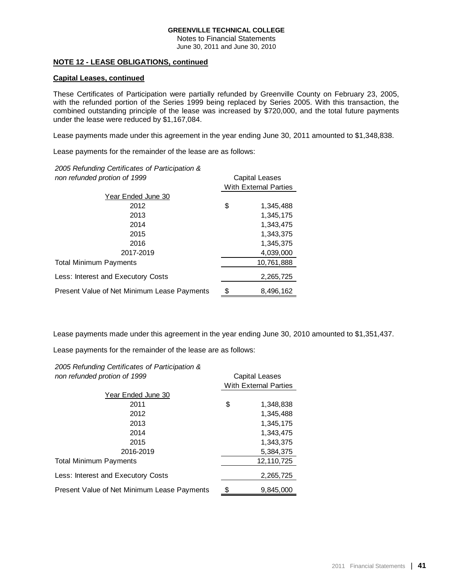Notes to Financial Statements June 30, 2011 and June 30, 2010

### **NOTE 12 - LEASE OBLIGATIONS, continued**

### **Capital Leases, continued**

These Certificates of Participation were partially refunded by Greenville County on February 23, 2005, with the refunded portion of the Series 1999 being replaced by Series 2005. With this transaction, the combined outstanding principle of the lease was increased by \$720,000, and the total future payments under the lease were reduced by \$1,167,084.

Lease payments made under this agreement in the year ending June 30, 2011 amounted to \$1,348,838.

Lease payments for the remainder of the lease are as follows:

*2005 Refunding Certificates of Participation &* 

| non refunded protion of 1999                |    | <b>Capital Leases</b>        |  |  |
|---------------------------------------------|----|------------------------------|--|--|
|                                             |    | <b>With External Parties</b> |  |  |
| Year Ended June 30                          |    |                              |  |  |
| 2012                                        | \$ | 1,345,488                    |  |  |
| 2013                                        |    | 1,345,175                    |  |  |
| 2014                                        |    | 1,343,475                    |  |  |
| 2015                                        |    | 1,343,375                    |  |  |
| 2016                                        |    | 1,345,375                    |  |  |
| 2017-2019                                   |    | 4,039,000                    |  |  |
| Total Minimum Payments                      |    | 10,761,888                   |  |  |
| Less: Interest and Executory Costs          |    | 2,265,725                    |  |  |
| Present Value of Net Minimum Lease Payments |    | 8,496,162                    |  |  |

Lease payments made under this agreement in the year ending June 30, 2010 amounted to \$1,351,437.

Lease payments for the remainder of the lease are as follows:

| 2005 Refunding Certificates of Participation & |                              |  |  |  |
|------------------------------------------------|------------------------------|--|--|--|
| non refunded protion of 1999                   | Capital Leases               |  |  |  |
|                                                | <b>With External Parties</b> |  |  |  |
| Year Ended June 30                             |                              |  |  |  |
| 2011                                           | \$<br>1,348,838              |  |  |  |
| 2012                                           | 1.345.488                    |  |  |  |
| 2013                                           | 1,345,175                    |  |  |  |
| 2014                                           | 1,343,475                    |  |  |  |
| 2015                                           | 1.343.375                    |  |  |  |
| 2016-2019                                      | 5,384,375                    |  |  |  |
| <b>Total Minimum Payments</b>                  | 12,110,725                   |  |  |  |
| Less: Interest and Executory Costs             | 2,265,725                    |  |  |  |
| Present Value of Net Minimum Lease Payments    | \$<br>9.845.000              |  |  |  |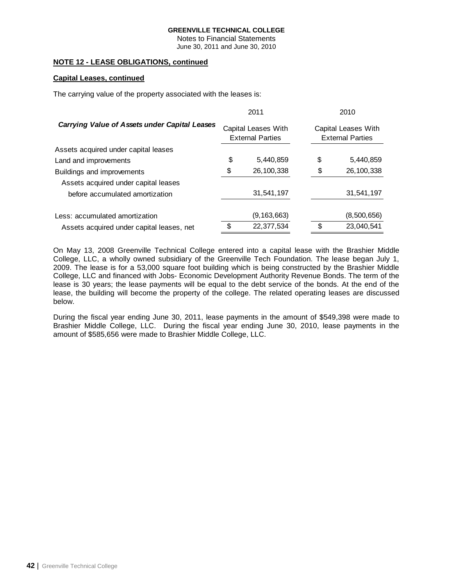Notes to Financial Statements June 30, 2011 and June 30, 2010

# **NOTE 12 - LEASE OBLIGATIONS, continued**

# **Capital Leases, continued**

The carrying value of the property associated with the leases is:

|                                                      |                                                | 2011          | 2010                                           |
|------------------------------------------------------|------------------------------------------------|---------------|------------------------------------------------|
| <b>Carrying Value of Assets under Capital Leases</b> | Capital Leases With<br><b>External Parties</b> |               | Capital Leases With<br><b>External Parties</b> |
| Assets acquired under capital leases                 |                                                |               |                                                |
| Land and improvements                                | \$                                             | 5,440,859     | \$<br>5,440,859                                |
| Buildings and improvements                           | \$                                             | 26,100,338    | \$<br>26,100,338                               |
| Assets acquired under capital leases                 |                                                |               |                                                |
| before accumulated amortization                      |                                                | 31,541,197    | 31,541,197                                     |
|                                                      |                                                |               |                                                |
| Less: accumulated amortization                       |                                                | (9, 163, 663) | (8,500,656)                                    |
| Assets acquired under capital leases, net            | \$                                             | 22,377,534    | \$<br>23,040,541                               |

On May 13, 2008 Greenville Technical College entered into a capital lease with the Brashier Middle College, LLC, a wholly owned subsidiary of the Greenville Tech Foundation. The lease began July 1, 2009. The lease is for a 53,000 square foot building which is being constructed by the Brashier Middle College, LLC and financed with Jobs- Economic Development Authority Revenue Bonds. The term of the lease is 30 years; the lease payments will be equal to the debt service of the bonds. At the end of the lease, the building will become the property of the college. The related operating leases are discussed below.

During the fiscal year ending June 30, 2011, lease payments in the amount of \$549,398 were made to Brashier Middle College, LLC. During the fiscal year ending June 30, 2010, lease payments in the amount of \$585,656 were made to Brashier Middle College, LLC.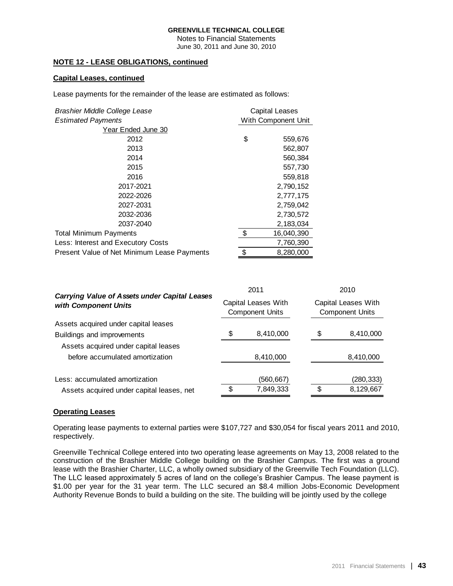Notes to Financial Statements June 30, 2011 and June 30, 2010

# **NOTE 12 - LEASE OBLIGATIONS, continued**

# **Capital Leases, continued**

Lease payments for the remainder of the lease are estimated as follows:

| Brashier Middle College Lease               | <b>Capital Leases</b> |            |
|---------------------------------------------|-----------------------|------------|
| <b>Estimated Payments</b>                   | With Component Unit   |            |
| Year Ended June 30                          |                       |            |
| 2012                                        | \$                    | 559,676    |
| 2013                                        |                       | 562,807    |
| 2014                                        |                       | 560,384    |
| 2015                                        |                       | 557,730    |
| 2016                                        |                       | 559,818    |
| 2017-2021                                   |                       | 2,790,152  |
| 2022-2026                                   |                       | 2,777,175  |
| 2027-2031                                   |                       | 2,759,042  |
| 2032-2036                                   |                       | 2,730,572  |
| 2037-2040                                   |                       | 2,183,034  |
| <b>Total Minimum Payments</b>               | \$                    | 16,040,390 |
| Less: Interest and Executory Costs          |                       | 7,760,390  |
| Present Value of Net Minimum Lease Payments | \$                    | 8,280,000  |

| <b>Carrying Value of Assets under Capital Leases</b><br>with Component Units |    | 2011<br>Capital Leases With<br><b>Component Units</b> |    | 2010<br>Capital Leases With<br><b>Component Units</b> |  |
|------------------------------------------------------------------------------|----|-------------------------------------------------------|----|-------------------------------------------------------|--|
|                                                                              |    |                                                       |    |                                                       |  |
| Buildings and improvements                                                   | \$ | 8,410,000                                             | \$ | 8,410,000                                             |  |
| Assets acquired under capital leases                                         |    |                                                       |    |                                                       |  |
| before accumulated amortization                                              |    | 8,410,000                                             |    | 8,410,000                                             |  |
| Less: accumulated amortization                                               |    | (560,667)                                             |    | (280, 333)                                            |  |
| Assets acquired under capital leases, net                                    | \$ | 7,849,333                                             | \$ | 8,129,667                                             |  |

### **Operating Leases**

Operating lease payments to external parties were \$107,727 and \$30,054 for fiscal years 2011 and 2010, respectively.

Greenville Technical College entered into two operating lease agreements on May 13, 2008 related to the construction of the Brashier Middle College building on the Brashier Campus. The first was a ground lease with the Brashier Charter, LLC, a wholly owned subsidiary of the Greenville Tech Foundation (LLC). The LLC leased approximately 5 acres of land on the college's Brashier Campus. The lease payment is \$1.00 per year for the 31 year term. The LLC secured an \$8.4 million Jobs-Economic Development Authority Revenue Bonds to build a building on the site. The building will be jointly used by the college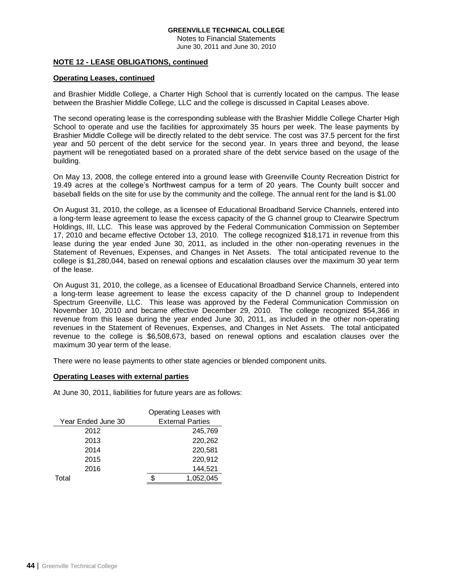Notes to Financial Statements June 30, 2011 and June 30, 2010

## **NOTE 12 - LEASE OBLIGATIONS, continued**

# **Operating Leases, continued**

and Brashier Middle College, a Charter High School that is currently located on the campus. The lease between the Brashier Middle College, LLC and the college is discussed in Capital Leases above.

The second operating lease is the corresponding sublease with the Brashier Middle College Charter High School to operate and use the facilities for approximately 35 hours per week. The lease payments by Brashier Middle College will be directly related to the debt service. The cost was 37.5 percent for the first year and 50 percent of the debt service for the second year. In years three and beyond, the lease payment will be renegotiated based on a prorated share of the debt service based on the usage of the building.

On May 13, 2008, the college entered into a ground lease with Greenville County Recreation District for 19.49 acres at the college's Northwest campus for a term of 20 years. The County built soccer and baseball fields on the site for use by the community and the college. The annual rent for the land is \$1.00

On August 31, 2010, the college, as a licensee of Educational Broadband Service Channels, entered into a long-term lease agreement to lease the excess capacity of the G channel group to Clearwire Spectrum Holdings, III, LLC. This lease was approved by the Federal Communication Commission on September 17, 2010 and became effective October 13, 2010. The college recognized \$18,171 in revenue from this lease during the year ended June 30, 2011, as included in the other non-operating revenues in the Statement of Revenues, Expenses, and Changes in Net Assets. The total anticipated revenue to the college is \$1,280,044, based on renewal options and escalation clauses over the maximum 30 year term of the lease.

On August 31, 2010, the college, as a licensee of Educational Broadband Service Channels, entered into a long-term lease agreement to lease the excess capacity of the D channel group to Independent Spectrum Greenville, LLC. This lease was approved by the Federal Communication Commission on November 10, 2010 and became effective December 29, 2010. The college recognized \$54,366 in revenue from this lease during the year ended June 30, 2011, as included in the other non-operating revenues in the Statement of Revenues, Expenses, and Changes in Net Assets. The total anticipated revenue to the college is \$6,508,673, based on renewal options and escalation clauses over the maximum 30 year term of the lease.

There were no lease payments to other state agencies or blended component units.

### **Operating Leases with external parties**

At June 30, 2011, liabilities for future years are as follows:

|                    | Operating Leases with   |
|--------------------|-------------------------|
| Year Ended June 30 | <b>External Parties</b> |
| 2012               | 245,769                 |
| 2013               | 220,262                 |
| 2014               | 220,581                 |
| 2015               | 220,912                 |
| 2016               | 144,521                 |
| Total              | 1,052,045               |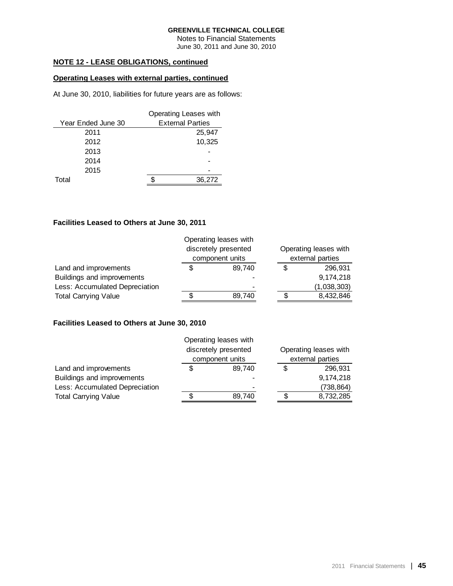Notes to Financial Statements June 30, 2011 and June 30, 2010

# **NOTE 12 - LEASE OBLIGATIONS, continued**

# **Operating Leases with external parties, continued**

At June 30, 2010, liabilities for future years are as follows:

|                    | Operating Leases with   |        |
|--------------------|-------------------------|--------|
| Year Ended June 30 | <b>External Parties</b> |        |
| 2011               |                         | 25,947 |
| 2012               |                         | 10.325 |
| 2013               |                         |        |
| 2014               |                         |        |
| 2015               |                         |        |
| Total              |                         | 36,272 |

### **Facilities Leased to Others at June 30, 2011**

|                                | Operating leases with<br>discretely presented<br>component units |    | Operating leases with<br>external parties |  |  |
|--------------------------------|------------------------------------------------------------------|----|-------------------------------------------|--|--|
| Land and improvements          | \$<br>89.740                                                     | S  | 296,931                                   |  |  |
| Buildings and improvements     |                                                                  |    | 9,174,218                                 |  |  |
| Less: Accumulated Depreciation | -                                                                |    | (1,038,303)                               |  |  |
| <b>Total Carrying Value</b>    | 89,740                                                           | \$ | 8,432,846                                 |  |  |

### **Facilities Leased to Others at June 30, 2010**

|                                | Operating leases with |    |                       |  |  |
|--------------------------------|-----------------------|----|-----------------------|--|--|
|                                | discretely presented  |    | Operating leases with |  |  |
|                                | component units       |    | external parties      |  |  |
| Land and improvements          | \$<br>89.740          | \$ | 296.931               |  |  |
| Buildings and improvements     |                       |    | 9,174,218             |  |  |
| Less: Accumulated Depreciation |                       |    | (738,864)             |  |  |
| <b>Total Carrying Value</b>    | 89,740                | S  | 8,732,285             |  |  |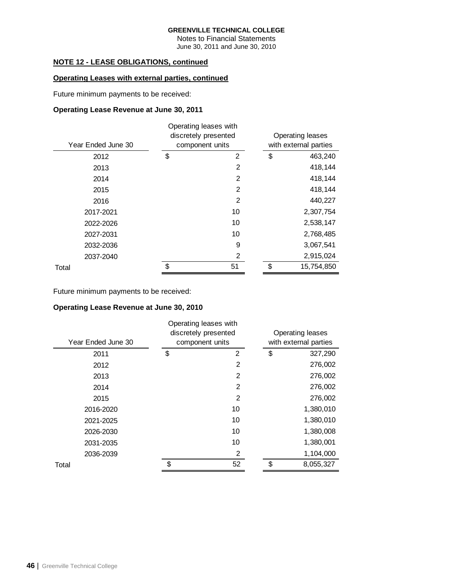Notes to Financial Statements June 30, 2011 and June 30, 2010

# **NOTE 12 - LEASE OBLIGATIONS, continued**

# **Operating Leases with external parties, continued**

Future minimum payments to be received:

# **Operating Lease Revenue at June 30, 2011**

| Operating leases with |                                         |                         |  |  |  |  |
|-----------------------|-----------------------------------------|-------------------------|--|--|--|--|
|                       |                                         | <b>Operating leases</b> |  |  |  |  |
|                       |                                         | with external parties   |  |  |  |  |
| \$<br>2               | \$                                      | 463,240                 |  |  |  |  |
| 2                     |                                         | 418,144                 |  |  |  |  |
| 2                     |                                         | 418,144                 |  |  |  |  |
| 2                     |                                         | 418,144                 |  |  |  |  |
| 2                     |                                         | 440,227                 |  |  |  |  |
| 10                    |                                         | 2,307,754               |  |  |  |  |
| 10                    |                                         | 2,538,147               |  |  |  |  |
| 10                    |                                         | 2,768,485               |  |  |  |  |
| 9                     |                                         | 3,067,541               |  |  |  |  |
| 2                     |                                         | 2,915,024               |  |  |  |  |
| \$<br>51              | \$                                      | 15,754,850              |  |  |  |  |
| Year Ended June 30    | discretely presented<br>component units |                         |  |  |  |  |

Future minimum payments to be received:

# **Operating Lease Revenue at June 30, 2010**

| Year Ended June 30 | Operating leases with<br>discretely presented<br>component units | <b>Operating leases</b><br>with external parties |  |  |  |
|--------------------|------------------------------------------------------------------|--------------------------------------------------|--|--|--|
| 2011               | \$<br>2                                                          | \$<br>327,290                                    |  |  |  |
| 2012               | 2                                                                | 276,002                                          |  |  |  |
| 2013               | 2                                                                | 276,002                                          |  |  |  |
| 2014               | $\overline{2}$                                                   | 276,002                                          |  |  |  |
| 2015               | $\overline{2}$                                                   | 276,002                                          |  |  |  |
| 2016-2020          | 10                                                               | 1,380,010                                        |  |  |  |
| 2021-2025          | 10                                                               | 1,380,010                                        |  |  |  |
| 2026-2030          | 10                                                               | 1,380,008                                        |  |  |  |
| 2031-2035          | 10                                                               | 1,380,001                                        |  |  |  |
| 2036-2039          | 2                                                                | 1,104,000                                        |  |  |  |
| Total              | \$<br>52                                                         | \$<br>8,055,327                                  |  |  |  |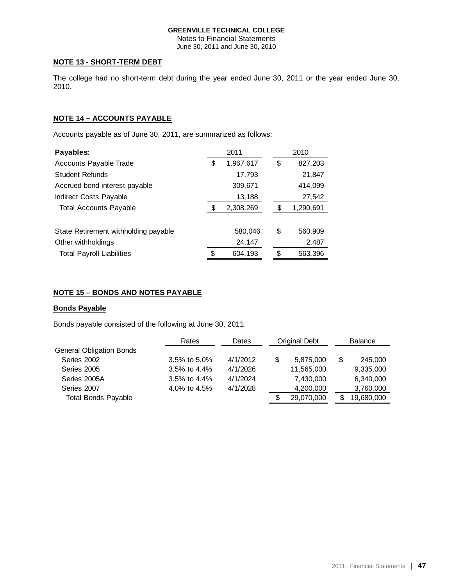Notes to Financial Statements June 30, 2011 and June 30, 2010

## **NOTE 13 - SHORT-TERM DEBT**

The college had no short-term debt during the year ended June 30, 2011 or the year ended June 30, 2010.

# **NOTE 14 – ACCOUNTS PAYABLE**

Accounts payable as of June 30, 2011, are summarized as follows:

| Payables:                            |    | 2011      |    | 2010      |
|--------------------------------------|----|-----------|----|-----------|
| Accounts Payable Trade               | \$ | 1,967,617 | \$ | 827,203   |
| <b>Student Refunds</b>               |    | 17,793    |    | 21,847    |
| Accrued bond interest payable        |    | 309,671   |    | 414,099   |
| Indirect Costs Payable               |    | 13,188    |    | 27,542    |
| <b>Total Accounts Payable</b>        | ß. | 2,308,269 | S. | 1,290,691 |
|                                      |    |           |    |           |
| State Retirement withholding payable |    | 580,046   | \$ | 560,909   |
| Other withholdings                   |    | 24,147    |    | 2,487     |
| <b>Total Payroll Liabilities</b>     | \$ | 604,193   | \$ | 563,396   |

# **NOTE 15 – BONDS AND NOTES PAYABLE**

### **Bonds Payable**

Bonds payable consisted of the following at June 30, 2011:

|                                 | Rates              | Dates    | Original Debt | <b>Balance</b> |            |
|---------------------------------|--------------------|----------|---------------|----------------|------------|
| <b>General Obligation Bonds</b> |                    |          |               |                |            |
| Series 2002                     | $3.5\%$ to 5.0%    | 4/1/2012 | 5,875,000     | S              | 245,000    |
| Series 2005                     | $3.5\%$ to $4.4\%$ | 4/1/2026 | 11,565,000    |                | 9,335,000  |
| Series 2005A                    | $3.5\%$ to $4.4\%$ | 4/1/2024 | 7,430,000     |                | 6,340,000  |
| Series 2007                     | 4.0% to 4.5%       | 4/1/2028 | 4,200,000     |                | 3,760,000  |
| <b>Total Bonds Payable</b>      |                    |          | 29,070,000    | S              | 19,680,000 |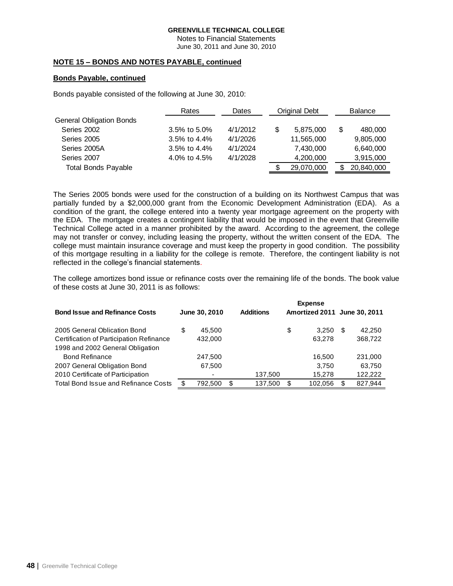Notes to Financial Statements June 30, 2011 and June 30, 2010

# **NOTE 15 – BONDS AND NOTES PAYABLE, continued**

# **Bonds Payable, continued**

Bonds payable consisted of the following at June 30, 2010:

| Rates           | Dates    | Original Debt |            | <b>Balance</b> |            |
|-----------------|----------|---------------|------------|----------------|------------|
|                 |          |               |            |                |            |
| $3.5\%$ to 5.0% | 4/1/2012 | S             | 5,875,000  | S              | 480,000    |
| 3.5% to 4.4%    | 4/1/2026 |               | 11,565,000 |                | 9,805,000  |
| 3.5% to $4.4%$  | 4/1/2024 |               | 7,430,000  |                | 6,640,000  |
| 4.0% to 4.5%    | 4/1/2028 |               | 4,200,000  |                | 3,915,000  |
|                 |          |               | 29,070,000 |                | 20,840,000 |
|                 |          |               |            |                |            |

The Series 2005 bonds were used for the construction of a building on its Northwest Campus that was partially funded by a \$2,000,000 grant from the Economic Development Administration (EDA). As a condition of the grant, the college entered into a twenty year mortgage agreement on the property with the EDA. The mortgage creates a contingent liability that would be imposed in the event that Greenville Technical College acted in a manner prohibited by the award. According to the agreement, the college may not transfer or convey, including leasing the property, without the written consent of the EDA. The college must maintain insurance coverage and must keep the property in good condition. The possibility of this mortgage resulting in a liability for the college is remote. Therefore, the contingent liability is not reflected in the college's financial statements.

The college amortizes bond issue or refinance costs over the remaining life of the bonds. The book value of these costs at June 30, 2011 is as follows:

|                                             |   |               | <b>Expense</b> |                  |    |                              |      |         |
|---------------------------------------------|---|---------------|----------------|------------------|----|------------------------------|------|---------|
| <b>Bond Issue and Refinance Costs</b>       |   | June 30, 2010 |                | <b>Additions</b> |    | Amortized 2011 June 30, 2011 |      |         |
| 2005 General Oblication Bond                | S | 45.500        |                |                  | \$ | 3,250                        | - \$ | 42,250  |
| Certification of Participation Refinance    |   | 432,000       |                |                  |    | 63.278                       |      | 368,722 |
| 1998 and 2002 General Obligation            |   |               |                |                  |    |                              |      |         |
| <b>Bond Refinance</b>                       |   | 247.500       |                |                  |    | 16.500                       |      | 231,000 |
| 2007 General Obligation Bond                |   | 67,500        |                |                  |    | 3.750                        |      | 63,750  |
| 2010 Certificate of Participation           |   |               |                | 137,500          |    | 15,278                       |      | 122.222 |
| <b>Total Bond Issue and Refinance Costs</b> |   | 792.500       | \$             | 137,500          |    | 102,056                      |      | 827.944 |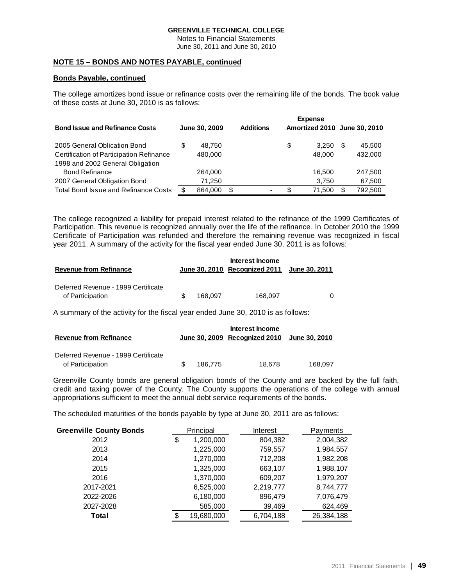Notes to Financial Statements June 30, 2011 and June 30, 2010

## **NOTE 15 – BONDS AND NOTES PAYABLE, continued**

### **Bonds Payable, continued**

The college amortizes bond issue or refinance costs over the remaining life of the bonds. The book value of these costs at June 30, 2010 is as follows:

|                                             |               |                  |    | <b>Expense</b>               |         |
|---------------------------------------------|---------------|------------------|----|------------------------------|---------|
| <b>Bond Issue and Refinance Costs</b>       | June 30, 2009 | <b>Additions</b> |    | Amortized 2010 June 30, 2010 |         |
| 2005 General Oblication Bond                | 48.750        |                  | S  | 3.250                        | 45,500  |
| Certification of Participation Refinance    | 480.000       |                  |    | 48,000                       | 432,000 |
| 1998 and 2002 General Obligation            |               |                  |    |                              |         |
| <b>Bond Refinance</b>                       | 264.000       |                  |    | 16.500                       | 247,500 |
| 2007 General Obligation Bond                | 71,250        |                  |    | 3,750                        | 67,500  |
| <b>Total Bond Issue and Refinance Costs</b> | 864.000       | \$               | £. | 71.500                       | 792,500 |

The college recognized a liability for prepaid interest related to the refinance of the 1999 Certificates of Participation. This revenue is recognized annually over the life of the refinance. In October 2010 the 1999 Certificate of Participation was refunded and therefore the remaining revenue was recognized in fiscal year 2011. A summary of the activity for the fiscal year ended June 30, 2011 is as follows:

|                                     |         | Interest Income                             |  |
|-------------------------------------|---------|---------------------------------------------|--|
| <b>Revenue from Refinance</b>       |         | June 30, 2010 Recognized 2011 June 30, 2011 |  |
| Deferred Revenue - 1999 Certificate |         |                                             |  |
| of Participation                    | 168.097 | 168.097                                     |  |

A summary of the activity for the fiscal year ended June 30, 2010 is as follows:

| <b>Revenue from Refinance</b>                           |    |         | Interest Income<br>June 30, 2009 Recognized 2010 June 30, 2010 |         |
|---------------------------------------------------------|----|---------|----------------------------------------------------------------|---------|
| Deferred Revenue - 1999 Certificate<br>of Participation | £. | 186.775 | 18.678                                                         | 168.097 |

Greenville County bonds are general obligation bonds of the County and are backed by the full faith, credit and taxing power of the County. The County supports the operations of the college with annual appropriations sufficient to meet the annual debt service requirements of the bonds.

The scheduled maturities of the bonds payable by type at June 30, 2011 are as follows:

| <b>Greenville County Bonds</b> |    | Principal  |  | Interest  |            | Payments |
|--------------------------------|----|------------|--|-----------|------------|----------|
| 2012                           | \$ | 1,200,000  |  | 804,382   | 2,004,382  |          |
| 2013                           |    | 1,225,000  |  | 759,557   | 1,984,557  |          |
| 2014                           |    | 1,270,000  |  | 712,208   | 1,982,208  |          |
| 2015                           |    | 1,325,000  |  | 663,107   | 1,988,107  |          |
| 2016                           |    | 1,370,000  |  | 609,207   | 1,979,207  |          |
| 2017-2021                      |    | 6,525,000  |  | 2,219,777 | 8,744,777  |          |
| 2022-2026                      |    | 6,180,000  |  | 896,479   | 7,076,479  |          |
| 2027-2028                      |    | 585,000    |  | 39,469    | 624,469    |          |
| Total                          | \$ | 19,680,000 |  | 6,704,188 | 26,384,188 |          |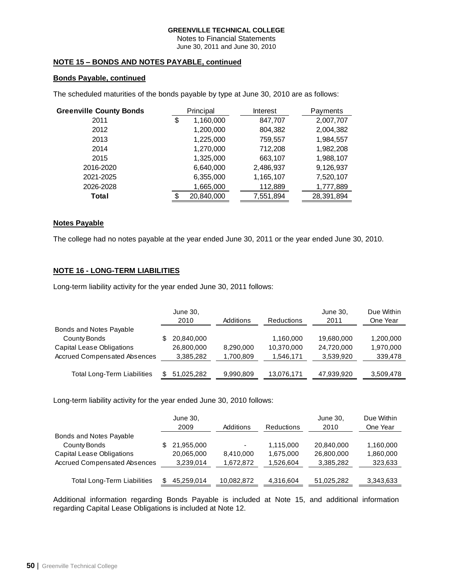Notes to Financial Statements June 30, 2011 and June 30, 2010

# **NOTE 15 – BONDS AND NOTES PAYABLE, continued**

# **Bonds Payable, continued**

The scheduled maturities of the bonds payable by type at June 30, 2010 are as follows:

| <b>Greenville County Bonds</b> |    | Principal  | Interest  | Payments   |
|--------------------------------|----|------------|-----------|------------|
| 2011                           | \$ | 1,160,000  | 847,707   | 2,007,707  |
| 2012                           |    | 1,200,000  | 804,382   | 2,004,382  |
| 2013                           |    | 1,225,000  | 759,557   | 1,984,557  |
| 2014                           |    | 1,270,000  | 712,208   | 1,982,208  |
| 2015                           |    | 1,325,000  | 663,107   | 1,988,107  |
| 2016-2020                      |    | 6,640,000  | 2,486,937 | 9,126,937  |
| 2021-2025                      |    | 6,355,000  | 1,165,107 | 7,520,107  |
| 2026-2028                      |    | 1,665,000  | 112,889   | 1,777,889  |
| Total                          | S. | 20,840,000 | 7,551,894 | 28,391,894 |

### **Notes Payable**

The college had no notes payable at the year ended June 30, 2011 or the year ended June 30, 2010.

# **NOTE 16 - LONG-TERM LIABILITIES**

Long-term liability activity for the year ended June 30, 2011 follows:

|                                     | June 30,<br>2010 | Additions | <b>Reductions</b> | June 30,<br>2011 | Due Within<br>One Year |
|-------------------------------------|------------------|-----------|-------------------|------------------|------------------------|
| Bonds and Notes Payable             |                  |           |                   |                  |                        |
| County Bonds                        | 20,840,000       |           | 1,160,000         | 19,680,000       | 1,200,000              |
| <b>Capital Lease Obligations</b>    | 26,800,000       | 8.290.000 | 10,370,000        | 24.720.000       | 1,970,000              |
| <b>Accrued Compensated Absences</b> | 3,385,282        | 1,700,809 | 1,546,171         | 3,539,920        | 339,478                |
|                                     |                  |           |                   |                  |                        |
| <b>Total Long-Term Liabilities</b>  | 51.025.282       | 9,990,809 | 13,076,171        | 47,939,920       | 3,509,478              |

Long-term liability activity for the year ended June 30, 2010 follows:

|                                     | June 30,<br>2009 | Additions  | <b>Reductions</b> | June 30.<br>2010 | Due Within<br>One Year |
|-------------------------------------|------------------|------------|-------------------|------------------|------------------------|
| Bonds and Notes Payable             |                  |            |                   |                  |                        |
| County Bonds                        | 21,955,000       |            | 1,115,000         | 20,840,000       | 1,160,000              |
| <b>Capital Lease Obligations</b>    | 20,065,000       | 8,410,000  | 1,675,000         | 26,800,000       | 1,860,000              |
| <b>Accrued Compensated Absences</b> | 3,239,014        | 1,672,872  | 1,526,604         | 3,385,282        | 323,633                |
| <b>Total Long-Term Liabilities</b>  | 45.259.014       | 10,082,872 | 4,316,604         | 51,025,282       | 3,343,633              |

Additional information regarding Bonds Payable is included at Note 15, and additional information regarding Capital Lease Obligations is included at Note 12.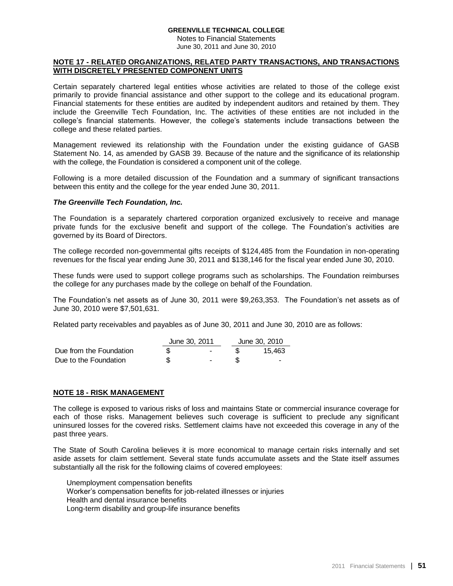Notes to Financial Statements June 30, 2011 and June 30, 2010

### **NOTE 17 - RELATED ORGANIZATIONS, RELATED PARTY TRANSACTIONS, AND TRANSACTIONS WITH DISCRETELY PRESENTED COMPONENT UNITS**

Certain separately chartered legal entities whose activities are related to those of the college exist primarily to provide financial assistance and other support to the college and its educational program. Financial statements for these entities are audited by independent auditors and retained by them. They include the Greenville Tech Foundation, Inc. The activities of these entities are not included in the college's financial statements. However, the college's statements include transactions between the college and these related parties.

Management reviewed its relationship with the Foundation under the existing guidance of GASB Statement No. 14, as amended by GASB 39. Because of the nature and the significance of its relationship with the college, the Foundation is considered a component unit of the college.

Following is a more detailed discussion of the Foundation and a summary of significant transactions between this entity and the college for the year ended June 30, 2011.

### *The Greenville Tech Foundation, Inc.*

The Foundation is a separately chartered corporation organized exclusively to receive and manage private funds for the exclusive benefit and support of the college. The Foundation's activities are governed by its Board of Directors.

The college recorded non-governmental gifts receipts of \$124,485 from the Foundation in non-operating revenues for the fiscal year ending June 30, 2011 and \$138,146 for the fiscal year ended June 30, 2010.

These funds were used to support college programs such as scholarships. The Foundation reimburses the college for any purchases made by the college on behalf of the Foundation.

The Foundation's net assets as of June 30, 2011 were \$9,263,353. The Foundation's net assets as of June 30, 2010 were \$7,501,631.

Related party receivables and payables as of June 30, 2011 and June 30, 2010 are as follows:

|                         | June 30, 2011            | June 30, 2010 |
|-------------------------|--------------------------|---------------|
| Due from the Foundation | $\overline{\phantom{a}}$ | 15.463        |
| Due to the Foundation   | $\sim$                   | . .           |

### **NOTE 18 - RISK MANAGEMENT**

The college is exposed to various risks of loss and maintains State or commercial insurance coverage for each of those risks. Management believes such coverage is sufficient to preclude any significant uninsured losses for the covered risks. Settlement claims have not exceeded this coverage in any of the past three years.

The State of South Carolina believes it is more economical to manage certain risks internally and set aside assets for claim settlement. Several state funds accumulate assets and the State itself assumes substantially all the risk for the following claims of covered employees:

Unemployment compensation benefits Worker's compensation benefits for job-related illnesses or injuries Health and dental insurance benefits Long-term disability and group-life insurance benefits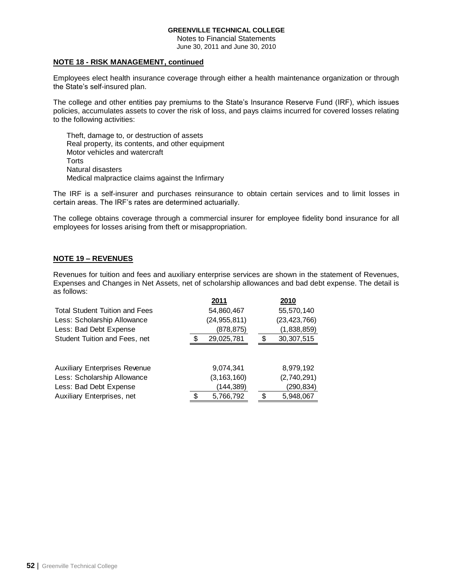Notes to Financial Statements June 30, 2011 and June 30, 2010

### **NOTE 18 - RISK MANAGEMENT, continued**

Employees elect health insurance coverage through either a health maintenance organization or through the State's self-insured plan.

The college and other entities pay premiums to the State's Insurance Reserve Fund (IRF), which issues policies, accumulates assets to cover the risk of loss, and pays claims incurred for covered losses relating to the following activities:

Theft, damage to, or destruction of assets Real property, its contents, and other equipment Motor vehicles and watercraft **Torts** Natural disasters Medical malpractice claims against the Infirmary

The IRF is a self-insurer and purchases reinsurance to obtain certain services and to limit losses in certain areas. The IRF's rates are determined actuarially.

The college obtains coverage through a commercial insurer for employee fidelity bond insurance for all employees for losses arising from theft or misappropriation.

# **NOTE 19 – REVENUES**

Revenues for tuition and fees and auxiliary enterprise services are shown in the statement of Revenues, Expenses and Changes in Net Assets, net of scholarship allowances and bad debt expense. The detail is as follows:

|                                       | 2011            | 2010           |
|---------------------------------------|-----------------|----------------|
| <b>Total Student Tuition and Fees</b> | 54,860,467      | 55,570,140     |
| Less: Scholarship Allowance           | (24, 955, 811)  | (23, 423, 766) |
| Less: Bad Debt Expense                | (878, 875)      | (1,838,859)    |
| Student Tuition and Fees, net         | 29,025,781      | 30, 307, 515   |
|                                       |                 |                |
| <b>Auxiliary Enterprises Revenue</b>  | 9,074,341       | 8,979,192      |
| Less: Scholarship Allowance           | (3, 163, 160)   | (2,740,291)    |
| Less: Bad Debt Expense                | (144,389)       | (290,834)      |
| Auxiliary Enterprises, net            | \$<br>5,766,792 | 5,948,067      |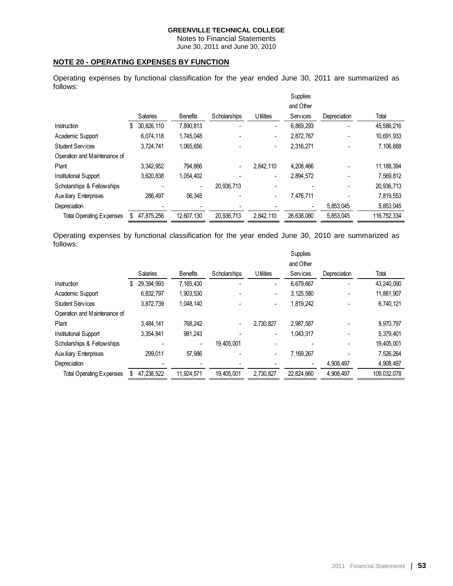Notes to Financial Statements June 30, 2011 and June 30, 2010

# **NOTE 20 - OPERATING EXPENSES BY FUNCTION**

Operating expenses by functional classification for the year ended June 30, 2011 are summarized as follows:

|                                 |   |            |                 |              |                   |                          | Supplies   |              |              |
|---------------------------------|---|------------|-----------------|--------------|-------------------|--------------------------|------------|--------------|--------------|
|                                 |   |            |                 |              |                   |                          | and Other  |              |              |
|                                 |   | Salaries   | <b>Benefits</b> | Scholarships | <b>U</b> tilities |                          | Services   | Depreciation | Total        |
| Instruction                     | S | 30.826.110 | 7,890,813       |              |                   | $\blacksquare$           | 6,869,293  |              | 45,586,216   |
| Academic Support                |   | 6.074.118  | 1,745,048       |              |                   | $\overline{\phantom{a}}$ | 2,872,767  |              | 10,691,933   |
| <b>Student Services</b>         |   | 3,724,741  | 1,065,656       |              |                   | $\overline{\phantom{a}}$ | 2,316,271  |              | 7,106,668    |
| Operation and Maintenance of    |   |            |                 |              |                   |                          |            |              |              |
| Plant                           |   | 3.342.952  | 794.866         | -            | 2.842.110         |                          | 4.208.466  |              | 11, 188, 394 |
| Institutional Support           |   | 3,620,838  | 1,054,402       |              |                   |                          | 2,894,572  |              | 7,569,812    |
| Scholarships & Fellowships      |   |            | ۰               | 20.936.713   |                   | $\overline{\phantom{0}}$ |            |              | 20,936,713   |
| <b>Auxiliary Enterprises</b>    |   | 286.497    | 56.345          |              |                   | $\blacksquare$           | 7.476.711  |              | 7,819,553    |
| Depreciation                    |   |            |                 |              |                   |                          |            | 5,853,045    | 5,853,045    |
| <b>Total Operating Expenses</b> |   | 47.875.256 | 12.607.130      | 20.936.713   | 2.842.110         |                          | 26,638,080 | 5,853,045    | 116.752.334  |

Operating expenses by functional classification for the year ended June 30, 2010 are summarized as follows:

|                                 |    |            |                 |              |   |                   |   | Supplies   |              |  |             |
|---------------------------------|----|------------|-----------------|--------------|---|-------------------|---|------------|--------------|--|-------------|
|                                 |    |            |                 |              |   |                   |   | and Other  |              |  |             |
|                                 |    | Salaries   | <b>Benefits</b> | Scholarships |   | <b>U</b> tilities |   | Services   | Depreciation |  | Total       |
| Instruction                     | S. | 29.394.993 | 7,165,430       |              |   |                   | - | 6,679,667  |              |  | 43,240,090  |
| Academic Support                |    | 6.832.797  | 1,903,530       |              |   |                   |   | 3.125.580  |              |  | 11,861,907  |
| <b>Student Services</b>         |    | 3,872,739  | 1,048,140       |              |   |                   |   | 1,819,242  |              |  | 6,740,121   |
| Operation and Maintenance of    |    |            |                 |              |   |                   |   |            |              |  |             |
| Plant                           |    | 3,484,141  | 768,242         |              | - | 2,730,827         |   | 2.987.587  |              |  | 9,970,797   |
| Institutional Support           |    | 3.354.841  | 981.243         |              |   |                   |   | 1,043,317  |              |  | 5,379,401   |
| Scholarships & Fellowships      |    |            |                 | 19.405.001   |   |                   |   |            |              |  | 19,405,001  |
| <b>Auxiliary Enterprises</b>    |    | 299.011    | 57,986          |              |   |                   |   | 7,169,267  |              |  | 7,526,264   |
| Depreciation                    |    |            |                 |              |   |                   |   |            | 4,908,497    |  | 4,908,497   |
| <b>Total Operating Expenses</b> |    | 47,238,522 | 11,924,571      | 19,405,001   |   | 2,730,827         |   | 22,824,660 | 4,908,497    |  | 109,032,078 |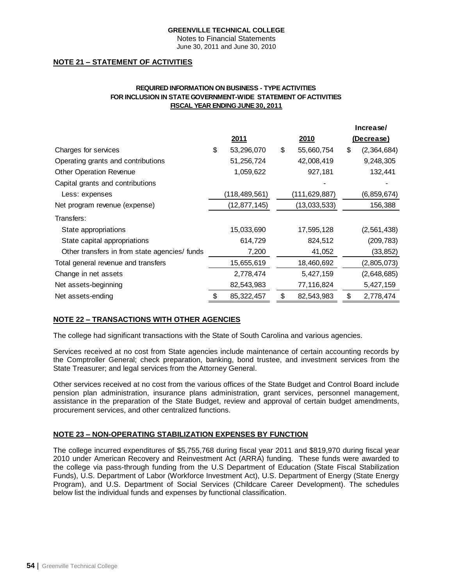Notes to Financial Statements June 30, 2011 and June 30, 2010

# **NOTE 21 – STATEMENT OF ACTIVITIES**

# **REQUIRED INFORMATION ON BUSINESS - TYPE ACTIVITIES FOR INCLUSION IN STATE GOVERNMENT-WIDE STATEMENT OF ACTIVITIES FISCAL YEAR ENDING JUNE 30, 2011**

|                                              |                    |                  | Increase/         |
|----------------------------------------------|--------------------|------------------|-------------------|
|                                              | <u>2011</u>        | 2010             | <u>(Decrease)</u> |
| Charges for services                         | \$<br>53,296,070   | \$<br>55,660,754 | \$<br>(2,364,684) |
| Operating grants and contributions           | 51,256,724         | 42,008,419       | 9,248,305         |
| <b>Other Operation Revenue</b>               | 1,059,622          | 927,181          | 132,441           |
| Capital grants and contributions             |                    |                  |                   |
| Less: expenses                               | (118,489,561)      | (111,629,887)    | (6,859,674)       |
| Net program revenue (expense)                | (12, 877, 145)     | (13,033,533)     | 156,388           |
| Transfers:                                   |                    |                  |                   |
| State appropriations                         | 15,033,690         | 17,595,128       | (2, 561, 438)     |
| State capital appropriations                 | 614,729            | 824,512          | (209, 783)        |
| Other transfers in from state agencies/funds | 7,200              | 41,052           | (33, 852)         |
| Total general revenue and transfers          | 15,655,619         | 18,460,692       | (2,805,073)       |
| Change in net assets                         | 2,778,474          | 5,427,159        | (2,648,685)       |
| Net assets-beginning                         | 82,543,983         | 77,116,824       | 5,427,159         |
| Net assets-ending                            | \$<br>85, 322, 457 | \$<br>82,543,983 | \$<br>2,778,474   |

# **NOTE 22 – TRANSACTIONS WITH OTHER AGENCIES**

The college had significant transactions with the State of South Carolina and various agencies.

Services received at no cost from State agencies include maintenance of certain accounting records by the Comptroller General; check preparation, banking, bond trustee, and investment services from the State Treasurer; and legal services from the Attorney General.

Other services received at no cost from the various offices of the State Budget and Control Board include pension plan administration, insurance plans administration, grant services, personnel management, assistance in the preparation of the State Budget, review and approval of certain budget amendments, procurement services, and other centralized functions.

# **NOTE 23 – NON-OPERATING STABILIZATION EXPENSES BY FUNCTION**

The college incurred expenditures of \$5,755,768 during fiscal year 2011 and \$819,970 during fiscal year 2010 under American Recovery and Reinvestment Act (ARRA) funding. These funds were awarded to the college via pass-through funding from the U.S Department of Education (State Fiscal Stabilization Funds), U.S. Department of Labor (Workforce Investment Act), U.S. Department of Energy (State Energy Program), and U.S. Department of Social Services (Childcare Career Development). The schedules below list the individual funds and expenses by functional classification.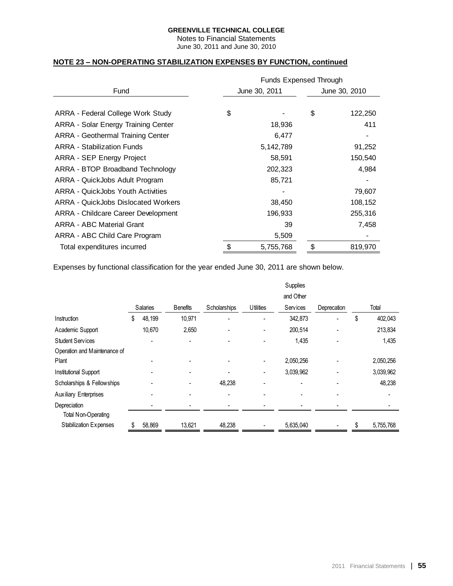Notes to Financial Statements June 30, 2011 and June 30, 2010

# **NOTE 23 – NON-OPERATING STABILIZATION EXPENSES BY FUNCTION, continued**

|                                            | <b>Funds Expensed Through</b> |               |               |         |  |  |  |
|--------------------------------------------|-------------------------------|---------------|---------------|---------|--|--|--|
| Fund                                       |                               | June 30, 2011 | June 30, 2010 |         |  |  |  |
|                                            |                               |               |               |         |  |  |  |
| ARRA - Federal College Work Study          | \$                            |               | \$            | 122,250 |  |  |  |
| ARRA - Solar Energy Training Center        |                               | 18,936        |               | 411     |  |  |  |
| ARRA - Geothermal Training Center          |                               | 6,477         |               |         |  |  |  |
| <b>ARRA - Stabilization Funds</b>          |                               | 5, 142, 789   |               | 91,252  |  |  |  |
| <b>ARRA - SEP Energy Project</b>           |                               | 58,591        |               | 150,540 |  |  |  |
| ARRA - BTOP Broadband Technology           |                               | 202,323       |               | 4,984   |  |  |  |
| ARRA - QuickJobs Adult Program             |                               | 85,721        |               |         |  |  |  |
| ARRA - QuickJobs Youth Activities          |                               |               |               | 79,607  |  |  |  |
| <b>ARRA - QuickJobs Dislocated Workers</b> |                               | 38,450        |               | 108,152 |  |  |  |
| <b>ARRA - Childcare Career Development</b> |                               | 196,933       |               | 255,316 |  |  |  |
| <b>ARRA - ABC Material Grant</b>           |                               | 39            |               | 7,458   |  |  |  |
| ARRA - ABC Child Care Program              |                               | 5,509         |               |         |  |  |  |
| Total expenditures incurred                | \$                            | 5,755,768     | \$            | 819,970 |  |  |  |

Expenses by functional classification for the year ended June 30, 2011 are shown below.

|                              |   |          |                 |              |                          | Supplies        |             |               |
|------------------------------|---|----------|-----------------|--------------|--------------------------|-----------------|-------------|---------------|
|                              |   |          |                 |              |                          | and Other       |             |               |
|                              |   | Salaries | <b>Benefits</b> | Scholarships | <b>U</b> tilities        | <b>Services</b> | Deprecation | Total         |
| Instruction                  | S | 48,199   | 10,971          |              |                          | 342,873         |             | \$<br>402,043 |
| Academic Support             |   | 10,670   | 2,650           |              | -                        | 200,514         |             | 213,834       |
| <b>Student Services</b>      |   |          |                 |              |                          | 1,435           |             | 1,435         |
| Operation and Maintenance of |   |          |                 |              |                          |                 |             |               |
| Plant                        |   |          |                 |              | $\overline{a}$           | 2,050,256       |             | 2,050,256     |
| Institutional Support        |   |          |                 |              | $\overline{\phantom{a}}$ | 3,039,962       |             | 3,039,962     |
| Scholarships & Fellowships   |   |          |                 | 48,238       |                          | ٠               |             | 48,238        |
| <b>Auxiliary Enterprises</b> |   |          |                 |              |                          |                 |             |               |
| Depreciation                 |   |          |                 |              |                          |                 |             |               |
| <b>Total Non-Operating</b>   |   |          |                 |              |                          |                 |             |               |
| Stabilization Expenses       |   | 58,869   | 13,621          | 48,238       |                          | 5,635,040       |             | 5,755,768     |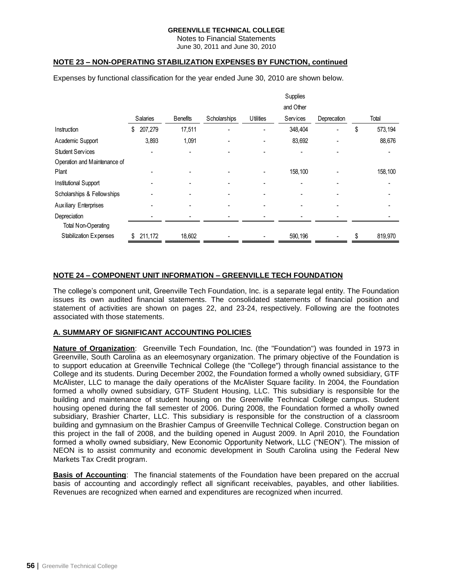Notes to Financial Statements June 30, 2011 and June 30, 2010

# **NOTE 23 – NON-OPERATING STABILIZATION EXPENSES BY FUNCTION, continued**

Expenses by functional classification for the year ended June 30, 2010 are shown below.

|                              |               |                 |              |                          | Supplies  |             |               |
|------------------------------|---------------|-----------------|--------------|--------------------------|-----------|-------------|---------------|
|                              |               |                 |              |                          | and Other |             |               |
|                              | Salaries      | <b>Benefits</b> | Scholarships | <b>Utilities</b>         | Services  | Deprecation | Total         |
| Instruction                  | \$<br>207,279 | 17,511          |              |                          | 348,404   |             | \$<br>573,194 |
| Academic Support             | 3,893         | 1,091           |              | -                        | 83,692    |             | 88,676        |
| <b>Student Services</b>      |               | -               |              |                          |           |             |               |
| Operation and Maintenance of |               |                 |              |                          |           |             |               |
| Plant                        |               |                 |              |                          | 158,100   |             | 158,100       |
| Institutional Support        |               |                 |              |                          |           |             |               |
| Scholarships & Fellowships   |               | ۳               |              | $\overline{\phantom{0}}$ |           |             |               |
| <b>Auxiliary Enterprises</b> |               |                 |              |                          |           |             |               |
| Depreciation                 |               |                 |              |                          |           |             |               |
| <b>Total Non-Operating</b>   |               |                 |              |                          |           |             |               |
| Stabilization Expenses       | 211,172       | 18,602          |              |                          | 590,196   |             | 819,970       |

# **NOTE 24 – COMPONENT UNIT INFORMATION – GREENVILLE TECH FOUNDATION**

The college's component unit, Greenville Tech Foundation, Inc. is a separate legal entity. The Foundation issues its own audited financial statements. The consolidated statements of financial position and statement of activities are shown on pages 22, and 23-24, respectively. Following are the footnotes associated with those statements.

### **A. SUMMARY OF SIGNIFICANT ACCOUNTING POLICIES**

**Nature of Organization**: Greenville Tech Foundation, Inc. (the "Foundation") was founded in 1973 in Greenville, South Carolina as an eleemosynary organization. The primary objective of the Foundation is to support education at Greenville Technical College (the "College") through financial assistance to the College and its students. During December 2002, the Foundation formed a wholly owned subsidiary, GTF McAlister, LLC to manage the daily operations of the McAlister Square facility. In 2004, the Foundation formed a wholly owned subsidiary, GTF Student Housing, LLC. This subsidiary is responsible for the building and maintenance of student housing on the Greenville Technical College campus. Student housing opened during the fall semester of 2006. During 2008, the Foundation formed a wholly owned subsidiary, Brashier Charter, LLC. This subsidiary is responsible for the construction of a classroom building and gymnasium on the Brashier Campus of Greenville Technical College. Construction began on this project in the fall of 2008, and the building opened in August 2009. In April 2010, the Foundation formed a wholly owned subsidiary, New Economic Opportunity Network, LLC ("NEON"). The mission of NEON is to assist community and economic development in South Carolina using the Federal New Markets Tax Credit program.

**Basis of Accounting**: The financial statements of the Foundation have been prepared on the accrual basis of accounting and accordingly reflect all significant receivables, payables, and other liabilities. Revenues are recognized when earned and expenditures are recognized when incurred.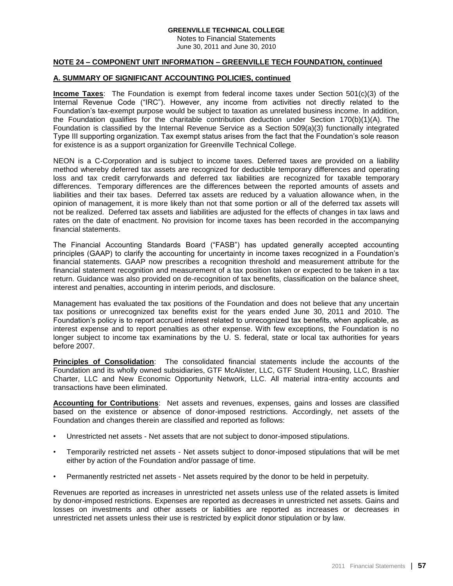Notes to Financial Statements June 30, 2011 and June 30, 2010

### **NOTE 24 – COMPONENT UNIT INFORMATION – GREENVILLE TECH FOUNDATION, continued**

### **A. SUMMARY OF SIGNIFICANT ACCOUNTING POLICIES, continued**

**Income Taxes**: The Foundation is exempt from federal income taxes under Section 501(c)(3) of the Internal Revenue Code ("IRC"). However, any income from activities not directly related to the Foundation's tax-exempt purpose would be subject to taxation as unrelated business income. In addition, the Foundation qualifies for the charitable contribution deduction under Section 170(b)(1)(A). The Foundation is classified by the Internal Revenue Service as a Section 509(a)(3) functionally integrated Type III supporting organization. Tax exempt status arises from the fact that the Foundation's sole reason for existence is as a support organization for Greenville Technical College.

NEON is a C-Corporation and is subject to income taxes. Deferred taxes are provided on a liability method whereby deferred tax assets are recognized for deductible temporary differences and operating loss and tax credit carryforwards and deferred tax liabilities are recognized for taxable temporary differences. Temporary differences are the differences between the reported amounts of assets and liabilities and their tax bases. Deferred tax assets are reduced by a valuation allowance when, in the opinion of management, it is more likely than not that some portion or all of the deferred tax assets will not be realized. Deferred tax assets and liabilities are adjusted for the effects of changes in tax laws and rates on the date of enactment. No provision for income taxes has been recorded in the accompanying financial statements.

The Financial Accounting Standards Board ("FASB") has updated generally accepted accounting principles (GAAP) to clarify the accounting for uncertainty in income taxes recognized in a Foundation's financial statements. GAAP now prescribes a recognition threshold and measurement attribute for the financial statement recognition and measurement of a tax position taken or expected to be taken in a tax return. Guidance was also provided on de-recognition of tax benefits, classification on the balance sheet, interest and penalties, accounting in interim periods, and disclosure.

Management has evaluated the tax positions of the Foundation and does not believe that any uncertain tax positions or unrecognized tax benefits exist for the years ended June 30, 2011 and 2010. The Foundation's policy is to report accrued interest related to unrecognized tax benefits, when applicable, as interest expense and to report penalties as other expense. With few exceptions, the Foundation is no longer subject to income tax examinations by the U. S. federal, state or local tax authorities for years before 2007.

**Principles of Consolidation**: The consolidated financial statements include the accounts of the Foundation and its wholly owned subsidiaries, GTF McAlister, LLC, GTF Student Housing, LLC, Brashier Charter, LLC and New Economic Opportunity Network, LLC. All material intra-entity accounts and transactions have been eliminated.

**Accounting for Contributions**: Net assets and revenues, expenses, gains and losses are classified based on the existence or absence of donor-imposed restrictions. Accordingly, net assets of the Foundation and changes therein are classified and reported as follows:

- Unrestricted net assets Net assets that are not subject to donor-imposed stipulations.
- Temporarily restricted net assets Net assets subject to donor-imposed stipulations that will be met either by action of the Foundation and/or passage of time.
- Permanently restricted net assets Net assets required by the donor to be held in perpetuity.

Revenues are reported as increases in unrestricted net assets unless use of the related assets is limited by donor-imposed restrictions. Expenses are reported as decreases in unrestricted net assets. Gains and losses on investments and other assets or liabilities are reported as increases or decreases in unrestricted net assets unless their use is restricted by explicit donor stipulation or by law.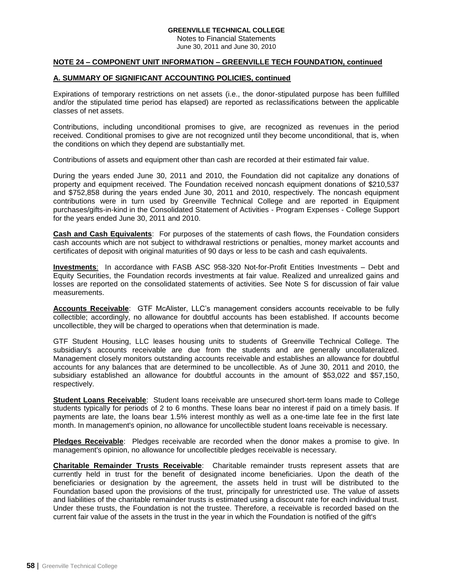Notes to Financial Statements June 30, 2011 and June 30, 2010

### **NOTE 24 – COMPONENT UNIT INFORMATION – GREENVILLE TECH FOUNDATION, continued**

# **A. SUMMARY OF SIGNIFICANT ACCOUNTING POLICIES, continued**

Expirations of temporary restrictions on net assets (i.e., the donor-stipulated purpose has been fulfilled and/or the stipulated time period has elapsed) are reported as reclassifications between the applicable classes of net assets.

Contributions, including unconditional promises to give, are recognized as revenues in the period received. Conditional promises to give are not recognized until they become unconditional, that is, when the conditions on which they depend are substantially met.

Contributions of assets and equipment other than cash are recorded at their estimated fair value.

During the years ended June 30, 2011 and 2010, the Foundation did not capitalize any donations of property and equipment received. The Foundation received noncash equipment donations of \$210,537 and \$752,858 during the years ended June 30, 2011 and 2010, respectively. The noncash equipment contributions were in turn used by Greenville Technical College and are reported in Equipment purchases/gifts-in-kind in the Consolidated Statement of Activities - Program Expenses - College Support for the years ended June 30, 2011 and 2010.

**Cash and Cash Equivalents**: For purposes of the statements of cash flows, the Foundation considers cash accounts which are not subject to withdrawal restrictions or penalties, money market accounts and certificates of deposit with original maturities of 90 days or less to be cash and cash equivalents.

**Investments**: In accordance with FASB ASC 958-320 Not-for-Profit Entities Investments – Debt and Equity Securities, the Foundation records investments at fair value. Realized and unrealized gains and losses are reported on the consolidated statements of activities. See Note S for discussion of fair value measurements.

**Accounts Receivable**: GTF McAlister, LLC's management considers accounts receivable to be fully collectible; accordingly, no allowance for doubtful accounts has been established. If accounts become uncollectible, they will be charged to operations when that determination is made.

GTF Student Housing, LLC leases housing units to students of Greenville Technical College. The subsidiary's accounts receivable are due from the students and are generally uncollateralized. Management closely monitors outstanding accounts receivable and establishes an allowance for doubtful accounts for any balances that are determined to be uncollectible. As of June 30, 2011 and 2010, the subsidiary established an allowance for doubtful accounts in the amount of \$53,022 and \$57,150, respectively.

**Student Loans Receivable**: Student loans receivable are unsecured short-term loans made to College students typically for periods of 2 to 6 months. These loans bear no interest if paid on a timely basis. If payments are late, the loans bear 1.5% interest monthly as well as a one-time late fee in the first late month. In management's opinion, no allowance for uncollectible student loans receivable is necessary.

**Pledges Receivable**: Pledges receivable are recorded when the donor makes a promise to give. In management's opinion, no allowance for uncollectible pledges receivable is necessary.

**Charitable Remainder Trusts Receivable**: Charitable remainder trusts represent assets that are currently held in trust for the benefit of designated income beneficiaries. Upon the death of the beneficiaries or designation by the agreement, the assets held in trust will be distributed to the Foundation based upon the provisions of the trust, principally for unrestricted use. The value of assets and liabilities of the charitable remainder trusts is estimated using a discount rate for each individual trust. Under these trusts, the Foundation is not the trustee. Therefore, a receivable is recorded based on the current fair value of the assets in the trust in the year in which the Foundation is notified of the gift's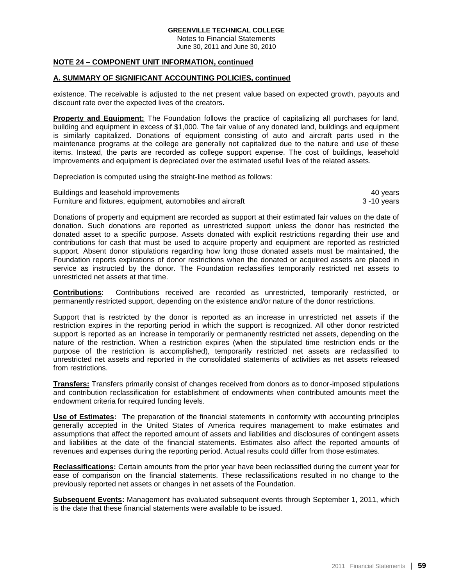Notes to Financial Statements June 30, 2011 and June 30, 2010

# **NOTE 24 – COMPONENT UNIT INFORMATION, continued**

### **A. SUMMARY OF SIGNIFICANT ACCOUNTING POLICIES, continued**

existence. The receivable is adjusted to the net present value based on expected growth, payouts and discount rate over the expected lives of the creators.

**Property and Equipment:** The Foundation follows the practice of capitalizing all purchases for land, building and equipment in excess of \$1,000. The fair value of any donated land, buildings and equipment is similarly capitalized. Donations of equipment consisting of auto and aircraft parts used in the maintenance programs at the college are generally not capitalized due to the nature and use of these items. Instead, the parts are recorded as college support expense. The cost of buildings, leasehold improvements and equipment is depreciated over the estimated useful lives of the related assets.

Depreciation is computed using the straight-line method as follows:

Buildings and leasehold improvements **All and Struck and Struck and Struck** 40 years **40** years Furniture and fixtures, equipment, automobiles and aircraft 3 -10 years

Donations of property and equipment are recorded as support at their estimated fair values on the date of donation. Such donations are reported as unrestricted support unless the donor has restricted the donated asset to a specific purpose. Assets donated with explicit restrictions regarding their use and contributions for cash that must be used to acquire property and equipment are reported as restricted support. Absent donor stipulations regarding how long those donated assets must be maintained, the Foundation reports expirations of donor restrictions when the donated or acquired assets are placed in service as instructed by the donor. The Foundation reclassifies temporarily restricted net assets to unrestricted net assets at that time.

**Contributions**: Contributions received are recorded as unrestricted, temporarily restricted, or permanently restricted support, depending on the existence and/or nature of the donor restrictions.

Support that is restricted by the donor is reported as an increase in unrestricted net assets if the restriction expires in the reporting period in which the support is recognized. All other donor restricted support is reported as an increase in temporarily or permanently restricted net assets, depending on the nature of the restriction. When a restriction expires (when the stipulated time restriction ends or the purpose of the restriction is accomplished), temporarily restricted net assets are reclassified to unrestricted net assets and reported in the consolidated statements of activities as net assets released from restrictions.

**Transfers:** Transfers primarily consist of changes received from donors as to donor-imposed stipulations and contribution reclassification for establishment of endowments when contributed amounts meet the endowment criteria for required funding levels.

**Use of Estimates:** The preparation of the financial statements in conformity with accounting principles generally accepted in the United States of America requires management to make estimates and assumptions that affect the reported amount of assets and liabilities and disclosures of contingent assets and liabilities at the date of the financial statements. Estimates also affect the reported amounts of revenues and expenses during the reporting period. Actual results could differ from those estimates.

**Reclassifications:** Certain amounts from the prior year have been reclassified during the current year for ease of comparison on the financial statements. These reclassifications resulted in no change to the previously reported net assets or changes in net assets of the Foundation.

**Subsequent Events:** Management has evaluated subsequent events through September 1, 2011, which is the date that these financial statements were available to be issued.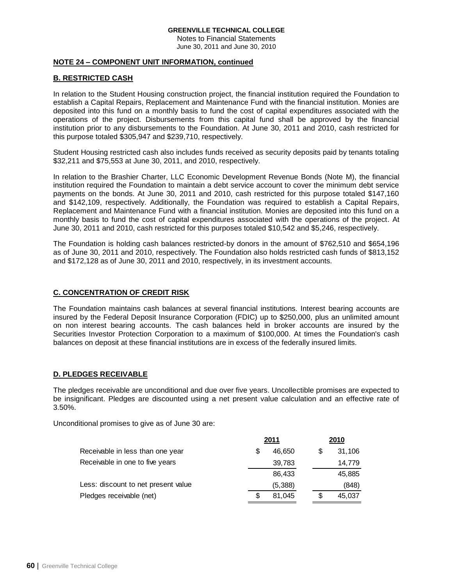Notes to Financial Statements June 30, 2011 and June 30, 2010

## **NOTE 24 – COMPONENT UNIT INFORMATION, continued**

# **B. RESTRICTED CASH**

In relation to the Student Housing construction project, the financial institution required the Foundation to establish a Capital Repairs, Replacement and Maintenance Fund with the financial institution. Monies are deposited into this fund on a monthly basis to fund the cost of capital expenditures associated with the operations of the project. Disbursements from this capital fund shall be approved by the financial institution prior to any disbursements to the Foundation. At June 30, 2011 and 2010, cash restricted for this purpose totaled \$305,947 and \$239,710, respectively.

Student Housing restricted cash also includes funds received as security deposits paid by tenants totaling \$32,211 and \$75,553 at June 30, 2011, and 2010, respectively.

In relation to the Brashier Charter, LLC Economic Development Revenue Bonds (Note M), the financial institution required the Foundation to maintain a debt service account to cover the minimum debt service payments on the bonds. At June 30, 2011 and 2010, cash restricted for this purpose totaled \$147,160 and \$142,109, respectively. Additionally, the Foundation was required to establish a Capital Repairs, Replacement and Maintenance Fund with a financial institution. Monies are deposited into this fund on a monthly basis to fund the cost of capital expenditures associated with the operations of the project. At June 30, 2011 and 2010, cash restricted for this purposes totaled \$10,542 and \$5,246, respectively.

The Foundation is holding cash balances restricted-by donors in the amount of \$762,510 and \$654,196 as of June 30, 2011 and 2010, respectively. The Foundation also holds restricted cash funds of \$813,152 and \$172,128 as of June 30, 2011 and 2010, respectively, in its investment accounts.

# **C. CONCENTRATION OF CREDIT RISK**

The Foundation maintains cash balances at several financial institutions. Interest bearing accounts are insured by the Federal Deposit Insurance Corporation (FDIC) up to \$250,000, plus an unlimited amount on non interest bearing accounts. The cash balances held in broker accounts are insured by the Securities Investor Protection Corporation to a maximum of \$100,000. At times the Foundation's cash balances on deposit at these financial institutions are in excess of the federally insured limits.

# **D. PLEDGES RECEIVABLE**

The pledges receivable are unconditional and due over five years. Uncollectible promises are expected to be insignificant. Pledges are discounted using a net present value calculation and an effective rate of 3.50%.

Unconditional promises to give as of June 30 are:

|                                     |   | 2011    |   | 2010   |
|-------------------------------------|---|---------|---|--------|
| Receivable in less than one year    | S | 46,650  | S | 31,106 |
| Receivable in one to five years     |   | 39,783  |   | 14,779 |
|                                     |   | 86,433  |   | 45,885 |
| Less: discount to net present value |   | (5,388) |   | (848)  |
| Pledges receivable (net)            |   | 81,045  | S | 45,037 |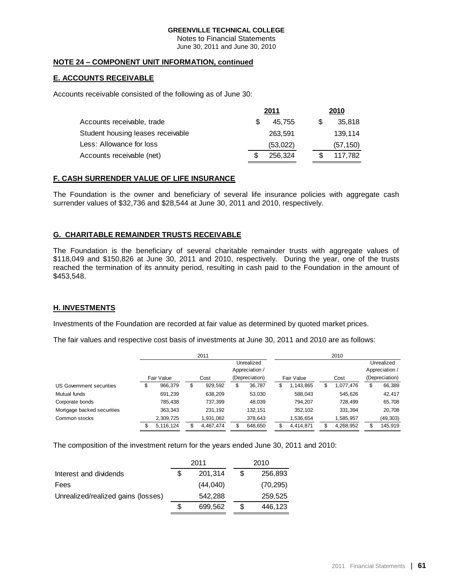Notes to Financial Statements June 30, 2011 and June 30, 2010

# **NOTE 24 – COMPONENT UNIT INFORMATION, continued**

# **E. ACCOUNTS RECEIVABLE**

Accounts receivable consisted of the following as of June 30:

|                                   | 2011 | 2010     |     |           |
|-----------------------------------|------|----------|-----|-----------|
| Accounts receivable, trade        |      | 45.755   | \$. | 35,818    |
| Student housing leases receivable |      | 263.591  |     | 139.114   |
| Less: Allowance for loss          |      | (53,022) |     | (57, 150) |
| Accounts receivable (net)         |      | 256.324  |     | 117.782   |

# **F. CASH SURRENDER VALUE OF LIFE INSURANCE**

The Foundation is the owner and beneficiary of several life insurance policies with aggregate cash surrender values of \$32,736 and \$28,544 at June 30, 2011 and 2010, respectively.

# **G. CHARITABLE REMAINDER TRUSTS RECEIVABLE**

The Foundation is the beneficiary of several charitable remainder trusts with aggregate values of \$118,049 and \$150,826 at June 30, 2011 and 2010, respectively. During the year, one of the trusts reached the termination of its annuity period, resulting in cash paid to the Foundation in the amount of \$453,548.

# **H. INVESTMENTS**

Investments of the Foundation are recorded at fair value as determined by quoted market prices.

The fair values and respective cost basis of investments at June 30, 2011 and 2010 are as follows:

|                            |   |            |   | 2011           |  |                |   |            |   | 2010      |                |
|----------------------------|---|------------|---|----------------|--|----------------|---|------------|---|-----------|----------------|
|                            |   |            |   |                |  | Unrealized     |   |            |   |           | Unrealized     |
|                            |   |            |   | Appreciation / |  |                |   |            |   |           | Appreciation / |
|                            |   | Fair Value |   | Cost           |  | (Depreciation) |   | Fair Value |   | Cost      | (Depreciation) |
| US Government securities   | S | 966,379    | J | 929,592        |  | 36,787         | S | 1,143,865  | S | 1,077,476 | \$<br>66,389   |
| Mutual funds               |   | 691,239    |   | 638,209        |  | 53,030         |   | 588,043    |   | 545,626   | 42,417         |
| Corporate bonds            |   | 785.438    |   | 737.399        |  | 48,039         |   | 794.207    |   | 728.499   | 65,708         |
| Mortgage backed securities |   | 363,343    |   | 231.192        |  | 132.151        |   | 352,102    |   | 331.394   | 20,708         |
| Common stocks              |   | 2,309,725  |   | 1,931,082      |  | 378,643        |   | 1,536,654  |   | 1,585,957 | (49, 303)      |
|                            |   | 5,116,124  |   | 4.467.474      |  | 648,650        | S | 4.414.871  | S | 4,268,952 | \$<br>145,919  |

The composition of the investment return for the years ended June 30, 2011 and 2010:

|                                    |   | 2011     | 2010          |
|------------------------------------|---|----------|---------------|
| Interest and dividends             |   | 201.314  | \$<br>256,893 |
| Fees                               |   | (44,040) | (70, 295)     |
| Unrealized/realized gains (losses) |   | 542,288  | 259.525       |
|                                    | S | 699.562  | \$<br>446.123 |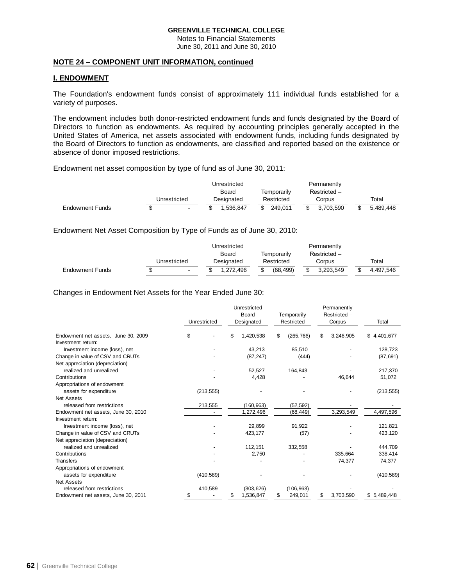Notes to Financial Statements June 30, 2011 and June 30, 2010

### **NOTE 24 – COMPONENT UNIT INFORMATION, continued**

# **I. ENDOWMENT**

The Foundation's endowment funds consist of approximately 111 individual funds established for a variety of purposes.

The endowment includes both donor-restricted endowment funds and funds designated by the Board of Directors to function as endowments. As required by accounting principles generally accepted in the United States of America, net assets associated with endowment funds, including funds designated by the Board of Directors to function as endowments, are classified and reported based on the existence or absence of donor imposed restrictions.

Endowment net asset composition by type of fund as of June 30, 2011:

|                        |                | Unrestricted |               | Permanently  |           |
|------------------------|----------------|--------------|---------------|--------------|-----------|
|                        |                | Board        | Temporarily   | Restricted - |           |
|                        | Unrestricted   | Designated   | Restricted    | Corpus       | Total     |
| <b>Endowment Funds</b> | $\blacksquare$ | 1.536.847    | 249.011<br>\$ | 3.703.590    | 5.489.448 |

Endowment Net Asset Composition by Type of Funds as of June 30, 2010:

|                        |              |                          | Unrestricted         |            |              |            | Permanently |           |  |           |  |
|------------------------|--------------|--------------------------|----------------------|------------|--------------|------------|-------------|-----------|--|-----------|--|
|                        |              |                          | Temporarily<br>Board |            | Restricted - |            |             |           |  |           |  |
|                        | Unrestricted |                          |                      | Designated |              | Restricted |             | Corpus    |  | Total     |  |
| <b>Endowment Funds</b> |              | $\overline{\phantom{a}}$ |                      | 1.272.496  |              | (68.499)   |             | 3.293.549 |  | 4.497.546 |  |

Changes in Endowment Net Assets for the Year Ended June 30:

|                                     |              | Unrestricted    |                  | Permanently     |             |
|-------------------------------------|--------------|-----------------|------------------|-----------------|-------------|
|                                     |              | <b>Board</b>    | Temporarily      | Restricted-     |             |
|                                     | Unrestricted | Designated      | Restricted       | Corpus          | Total       |
| Endowment net assets, June 30, 2009 | \$           | 1,420,538       | \$<br>(265, 766) | \$<br>3,246,905 | \$4,401,677 |
| Investment return:                  |              |                 |                  |                 |             |
| Investment income (loss), net       |              | 43,213          | 85,510           |                 | 128,723     |
| Change in value of CSV and CRUTs    |              | (87, 247)       | (444)            |                 | (87, 691)   |
| Net appreciation (depreciation)     |              |                 |                  |                 |             |
| realized and unrealized             |              | 52,527          | 164,843          |                 | 217,370     |
| Contributions                       |              | 4,428           |                  | 46.644          | 51,072      |
| Appropriations of endowment         |              |                 |                  |                 |             |
| assets for expenditure              | (213, 555)   |                 |                  |                 | (213, 555)  |
| <b>Net Assets</b>                   |              |                 |                  |                 |             |
| released from restrictions          | 213,555      | (160, 963)      | (52, 592)        |                 |             |
| Endowment net assets, June 30, 2010 |              | 1,272,496       | (68, 449)        | 3,293,549       | 4,497,596   |
| Investment return:                  |              |                 |                  |                 |             |
| Investment income (loss), net       |              | 29.899          | 91,922           |                 | 121,821     |
| Change in value of CSV and CRUTs    |              | 423,177         | (57)             |                 | 423,120     |
| Net appreciation (depreciation)     |              |                 |                  |                 |             |
| realized and unrealized             |              | 112,151         | 332,558          |                 | 444,709     |
| Contributions                       |              | 2,750           |                  | 335,664         | 338,414     |
| <b>Transfers</b>                    |              |                 |                  | 74,377          | 74,377      |
| Appropriations of endowment         |              |                 |                  |                 |             |
| assets for expenditure              | (410, 589)   |                 |                  |                 | (410, 589)  |
| <b>Net Assets</b>                   |              |                 |                  |                 |             |
| released from restrictions          | 410,589      | (303, 626)      | (106, 963)       |                 |             |
| Endowment net assets, June 30, 2011 |              | \$<br>1,536,847 | \$<br>249,011    | \$<br>3,703,590 | \$5,489,448 |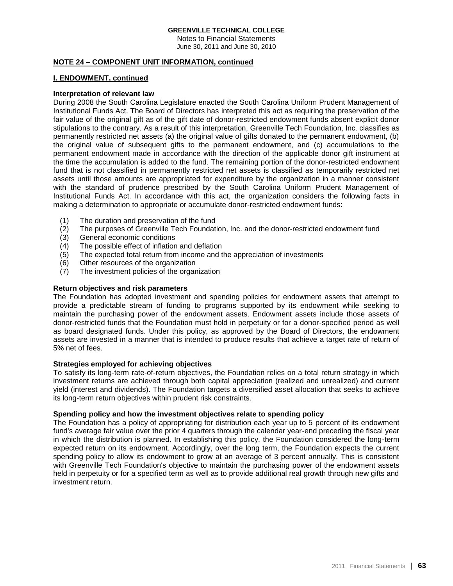Notes to Financial Statements June 30, 2011 and June 30, 2010

## **NOTE 24 – COMPONENT UNIT INFORMATION, continued**

# **I. ENDOWMENT, continued**

# **Interpretation of relevant law**

During 2008 the South Carolina Legislature enacted the South Carolina Uniform Prudent Management of Institutional Funds Act. The Board of Directors has interpreted this act as requiring the preservation of the fair value of the original gift as of the gift date of donor-restricted endowment funds absent explicit donor stipulations to the contrary. As a result of this interpretation, Greenville Tech Foundation, Inc. classifies as permanently restricted net assets (a) the original value of gifts donated to the permanent endowment, (b) the original value of subsequent gifts to the permanent endowment, and (c) accumulations to the permanent endowment made in accordance with the direction of the applicable donor gift instrument at the time the accumulation is added to the fund. The remaining portion of the donor-restricted endowment fund that is not classified in permanently restricted net assets is classified as temporarily restricted net assets until those amounts are appropriated for expenditure by the organization in a manner consistent with the standard of prudence prescribed by the South Carolina Uniform Prudent Management of Institutional Funds Act. In accordance with this act, the organization considers the following facts in making a determination to appropriate or accumulate donor-restricted endowment funds:

- (1) The duration and preservation of the fund<br>(2) The purposes of Greenville Tech Foundati
- The purposes of Greenville Tech Foundation, Inc. and the donor-restricted endowment fund
- (3) General economic conditions
- (4) The possible effect of inflation and deflation
- (5) The expected total return from income and the appreciation of investments
- (6) Other resources of the organization
- (7) The investment policies of the organization

### **Return objectives and risk parameters**

The Foundation has adopted investment and spending policies for endowment assets that attempt to provide a predictable stream of funding to programs supported by its endowment while seeking to maintain the purchasing power of the endowment assets. Endowment assets include those assets of donor-restricted funds that the Foundation must hold in perpetuity or for a donor-specified period as well as board designated funds. Under this policy, as approved by the Board of Directors, the endowment assets are invested in a manner that is intended to produce results that achieve a target rate of return of 5% net of fees.

## **Strategies employed for achieving objectives**

To satisfy its long-term rate-of-return objectives, the Foundation relies on a total return strategy in which investment returns are achieved through both capital appreciation (realized and unrealized) and current yield (interest and dividends). The Foundation targets a diversified asset allocation that seeks to achieve its long-term return objectives within prudent risk constraints.

### **Spending policy and how the investment objectives relate to spending policy**

The Foundation has a policy of appropriating for distribution each year up to 5 percent of its endowment fund's average fair value over the prior 4 quarters through the calendar year-end preceding the fiscal year in which the distribution is planned. In establishing this policy, the Foundation considered the long-term expected return on its endowment. Accordingly, over the long term, the Foundation expects the current spending policy to allow its endowment to grow at an average of 3 percent annually. This is consistent with Greenville Tech Foundation's objective to maintain the purchasing power of the endowment assets held in perpetuity or for a specified term as well as to provide additional real growth through new gifts and investment return.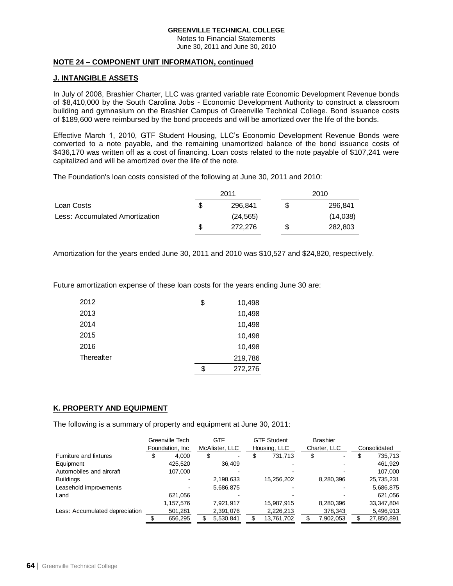Notes to Financial Statements June 30, 2011 and June 30, 2010

## **NOTE 24 – COMPONENT UNIT INFORMATION, continued**

# **J. INTANGIBLE ASSETS**

In July of 2008, Brashier Charter, LLC was granted variable rate Economic Development Revenue bonds of \$8,410,000 by the South Carolina Jobs - Economic Development Authority to construct a classroom building and gymnasium on the Brashier Campus of Greenville Technical College. Bond issuance costs of \$189,600 were reimbursed by the bond proceeds and will be amortized over the life of the bonds.

Effective March 1, 2010, GTF Student Housing, LLC's Economic Development Revenue Bonds were converted to a note payable, and the remaining unamortized balance of the bond issuance costs of \$436,170 was written off as a cost of financing. Loan costs related to the note payable of \$107,241 were capitalized and will be amortized over the life of the note.

The Foundation's loan costs consisted of the following at June 30, 2011 and 2010:

|                                |   | 2011      | 2010 |          |  |
|--------------------------------|---|-----------|------|----------|--|
| Loan Costs                     | S | 296.841   |      | 296,841  |  |
| Less: Accumulated Amortization |   | (24, 565) |      | (14,038) |  |
|                                | S | 272,276   |      | 282,803  |  |

Amortization for the years ended June 30, 2011 and 2010 was \$10,527 and \$24,820, respectively.

Future amortization expense of these loan costs for the years ending June 30 are:

| 2012       | \$<br>10,498  |
|------------|---------------|
| 2013       | 10,498        |
| 2014       | 10,498        |
| 2015       | 10,498        |
| 2016       | 10,498        |
| Thereafter | 219,786       |
|            | \$<br>272,276 |

# **K. PROPERTY AND EQUIPMENT**

The following is a summary of property and equipment at June 30, 2011:

|                                | Greenville Tech |    | GTF                      |   | <b>GTF Student</b> | <b>Brashier</b> |   |              |
|--------------------------------|-----------------|----|--------------------------|---|--------------------|-----------------|---|--------------|
|                                | Foundation, Inc |    | McAlister, LLC           |   | Housing, LLC       | Charter, LLC    |   | Consolidated |
| Furniture and fixtures         | 4,000           | \$ | $\overline{\phantom{0}}$ | D | 731,713            | \$<br>۰         | S | 735,713      |
| Equipment                      | 425.520         |    | 36.409                   |   |                    |                 |   | 461,929      |
| Automobiles and aircraft       | 107.000         |    |                          |   |                    |                 |   | 107,000      |
| <b>Buildings</b>               |                 |    | 2,198,633                |   | 15,256,202         | 8,280,396       |   | 25,735,231   |
| Leasehold improvements         |                 |    | 5,686,875                |   |                    |                 |   | 5,686,875    |
| Land                           | 621,056         |    |                          |   |                    |                 |   | 621,056      |
|                                | 1,157,576       |    | 7.921.917                |   | 15.987.915         | 8,280,396       |   | 33, 347, 804 |
| Less: Accumulated depreciation | 501,281         |    | 2,391,076                |   | 2,226,213          | 378,343         |   | 5,496,913    |
|                                | 656.295         | S  | 5,530,841                |   | 13,761,702         | 7,902,053       |   | 27,850,891   |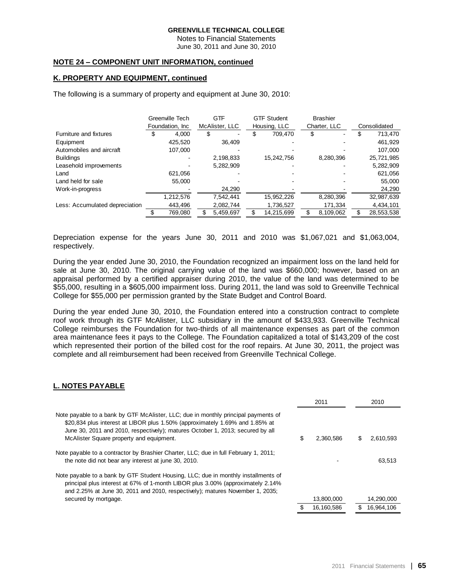Notes to Financial Statements June 30, 2011 and June 30, 2010

### **NOTE 24 – COMPONENT UNIT INFORMATION, continued**

### **K. PROPERTY AND EQUIPMENT, continued**

The following is a summary of property and equipment at June 30, 2010:

|                                | Greenville Tech  |    | <b>GTF</b>     |    | <b>GTF Student</b> |   | <b>Brashier</b> |   |              |
|--------------------------------|------------------|----|----------------|----|--------------------|---|-----------------|---|--------------|
|                                | Foundation, Inc. |    | McAlister, LLC |    | Housing, LLC       |   | Charter, LLC    |   | Consolidated |
| Furniture and fixtures         | 4,000            | S  |                | JЭ | 709.470            | S | ٠               | S | 713,470      |
| Equipment                      | 425,520          |    | 36.409         |    |                    |   |                 |   | 461,929      |
| Automobiles and aircraft       | 107,000          |    |                |    |                    |   |                 |   | 107.000      |
| <b>Buildings</b>               |                  |    | 2,198,833      |    | 15,242,756         |   | 8,280,396       |   | 25,721,985   |
| Leasehold improvements         |                  |    | 5,282,909      |    |                    |   |                 |   | 5,282,909    |
| Land                           | 621.056          |    |                |    |                    |   |                 |   | 621,056      |
| Land held for sale             | 55.000           |    |                |    |                    |   |                 |   | 55.000       |
| Work-in-progress               |                  |    | 24,290         |    |                    |   |                 |   | 24,290       |
|                                | 1,212,576        |    | 7,542,441      |    | 15,952,226         |   | 8,280,396       |   | 32,987,639   |
| Less: Accumulated depreciation | 443,496          |    | 2,082,744      |    | 1,736,527          |   | 171,334         |   | 4,434,101    |
|                                | 769,080          | \$ | 5,459,697      |    | 14,215,699         |   | 8,109,062       |   | 28,553,538   |

Depreciation expense for the years June 30, 2011 and 2010 was \$1,067,021 and \$1,063,004, respectively.

During the year ended June 30, 2010, the Foundation recognized an impairment loss on the land held for sale at June 30, 2010. The original carrying value of the land was \$660,000; however, based on an appraisal performed by a certified appraiser during 2010, the value of the land was determined to be \$55,000, resulting in a \$605,000 impairment loss. During 2011, the land was sold to Greenville Technical College for \$55,000 per permission granted by the State Budget and Control Board.

During the year ended June 30, 2010, the Foundation entered into a construction contract to complete roof work through its GTF McAlister, LLC subsidiary in the amount of \$433,933. Greenville Technical College reimburses the Foundation for two-thirds of all maintenance expenses as part of the common area maintenance fees it pays to the College. The Foundation capitalized a total of \$143,209 of the cost which represented their portion of the billed cost for the roof repairs. At June 30, 2011, the project was complete and all reimbursement had been received from Greenville Technical College.

### **L. NOTES PAYABLE**

|                                                                                                                                                                                                                                                                                                  | 2011            |   | 2010       |
|--------------------------------------------------------------------------------------------------------------------------------------------------------------------------------------------------------------------------------------------------------------------------------------------------|-----------------|---|------------|
| Note payable to a bank by GTF McAlister, LLC; due in monthly principal payments of<br>\$20,834 plus interest at LIBOR plus 1.50% (approximately 1.69% and 1.85% at<br>June 30, 2011 and 2010, respectively); matures October 1, 2013; secured by all<br>McAlister Square property and equipment. | \$<br>2.360.586 | S | 2.610.593  |
| Note payable to a contractor by Brashier Charter, LLC; due in full February 1, 2011;<br>the note did not bear any interest at june 30, 2010.                                                                                                                                                     |                 |   | 63.513     |
| Note payable to a bank by GTF Student Housing, LLC; due in monthly installments of<br>principal plus interest at 67% of 1-month LIBOR plus 3.00% (approximately 2.14%)<br>and 2.25% at June 30, 2011 and 2010, respectively); matures November 1, 2035;                                          |                 |   |            |
| secured by mortgage.                                                                                                                                                                                                                                                                             | 13,800,000      |   | 14,290,000 |
|                                                                                                                                                                                                                                                                                                  | 16,160,586      |   | 16,964,106 |
|                                                                                                                                                                                                                                                                                                  |                 |   |            |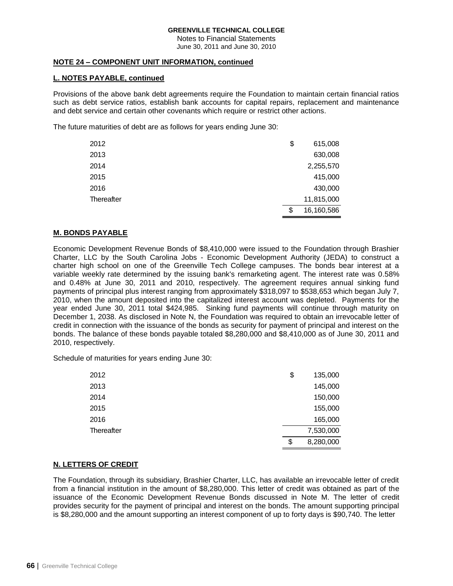Notes to Financial Statements June 30, 2011 and June 30, 2010

## **NOTE 24 – COMPONENT UNIT INFORMATION, continued**

# **L. NOTES PAYABLE, continued**

Provisions of the above bank debt agreements require the Foundation to maintain certain financial ratios such as debt service ratios, establish bank accounts for capital repairs, replacement and maintenance and debt service and certain other covenants which require or restrict other actions.

The future maturities of debt are as follows for years ending June 30:

| 2012       | \$<br>615,008    |
|------------|------------------|
| 2013       | 630,008          |
| 2014       | 2,255,570        |
| 2015       | 415,000          |
| 2016       | 430,000          |
| Thereafter | 11,815,000       |
|            | \$<br>16,160,586 |

# **M. BONDS PAYABLE**

Economic Development Revenue Bonds of \$8,410,000 were issued to the Foundation through Brashier Charter, LLC by the South Carolina Jobs - Economic Development Authority (JEDA) to construct a charter high school on one of the Greenville Tech College campuses. The bonds bear interest at a variable weekly rate determined by the issuing bank's remarketing agent. The interest rate was 0.58% and 0.48% at June 30, 2011 and 2010, respectively. The agreement requires annual sinking fund payments of principal plus interest ranging from approximately \$318,097 to \$538,653 which began July 7, 2010, when the amount deposited into the capitalized interest account was depleted. Payments for the year ended June 30, 2011 total \$424,985. Sinking fund payments will continue through maturity on December 1, 2038. As disclosed in Note N, the Foundation was required to obtain an irrevocable letter of credit in connection with the issuance of the bonds as security for payment of principal and interest on the bonds. The balance of these bonds payable totaled \$8,280,000 and \$8,410,000 as of June 30, 2011 and 2010, respectively.

Schedule of maturities for years ending June 30:

| 2012       | \$<br>135,000   |
|------------|-----------------|
| 2013       | 145,000         |
| 2014       | 150,000         |
| 2015       | 155,000         |
| 2016       | 165,000         |
| Thereafter | 7,530,000       |
|            | \$<br>8,280,000 |

### **N. LETTERS OF CREDIT**

The Foundation, through its subsidiary, Brashier Charter, LLC, has available an irrevocable letter of credit from a financial institution in the amount of \$8,280,000. This letter of credit was obtained as part of the issuance of the Economic Development Revenue Bonds discussed in Note M. The letter of credit provides security for the payment of principal and interest on the bonds. The amount supporting principal is \$8,280,000 and the amount supporting an interest component of up to forty days is \$90,740. The letter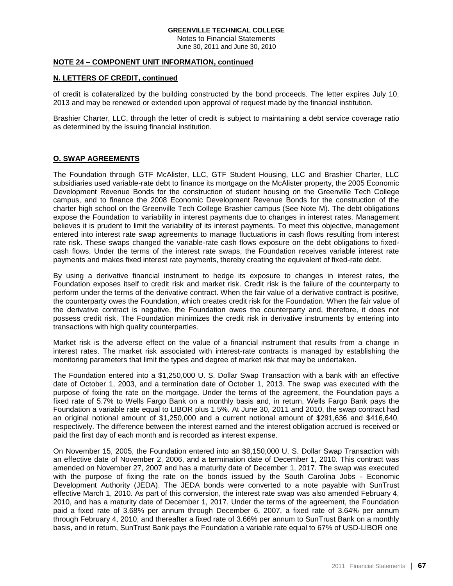Notes to Financial Statements June 30, 2011 and June 30, 2010

### **NOTE 24 – COMPONENT UNIT INFORMATION, continued**

### **N. LETTERS OF CREDIT, continued**

of credit is collateralized by the building constructed by the bond proceeds. The letter expires July 10, 2013 and may be renewed or extended upon approval of request made by the financial institution.

Brashier Charter, LLC, through the letter of credit is subject to maintaining a debt service coverage ratio as determined by the issuing financial institution.

### **O. SWAP AGREEMENTS**

The Foundation through GTF McAlister, LLC, GTF Student Housing, LLC and Brashier Charter, LLC subsidiaries used variable-rate debt to finance its mortgage on the McAlister property, the 2005 Economic Development Revenue Bonds for the construction of student housing on the Greenville Tech College campus, and to finance the 2008 Economic Development Revenue Bonds for the construction of the charter high school on the Greenville Tech College Brashier campus (See Note M). The debt obligations expose the Foundation to variability in interest payments due to changes in interest rates. Management believes it is prudent to limit the variability of its interest payments. To meet this objective, management entered into interest rate swap agreements to manage fluctuations in cash flows resulting from interest rate risk. These swaps changed the variable-rate cash flows exposure on the debt obligations to fixedcash flows. Under the terms of the interest rate swaps, the Foundation receives variable interest rate payments and makes fixed interest rate payments, thereby creating the equivalent of fixed-rate debt.

By using a derivative financial instrument to hedge its exposure to changes in interest rates, the Foundation exposes itself to credit risk and market risk. Credit risk is the failure of the counterparty to perform under the terms of the derivative contract. When the fair value of a derivative contract is positive, the counterparty owes the Foundation, which creates credit risk for the Foundation. When the fair value of the derivative contract is negative, the Foundation owes the counterparty and, therefore, it does not possess credit risk. The Foundation minimizes the credit risk in derivative instruments by entering into transactions with high quality counterparties.

Market risk is the adverse effect on the value of a financial instrument that results from a change in interest rates. The market risk associated with interest-rate contracts is managed by establishing the monitoring parameters that limit the types and degree of market risk that may be undertaken.

The Foundation entered into a \$1,250,000 U. S. Dollar Swap Transaction with a bank with an effective date of October 1, 2003, and a termination date of October 1, 2013. The swap was executed with the purpose of fixing the rate on the mortgage. Under the terms of the agreement, the Foundation pays a fixed rate of 5.7% to Wells Fargo Bank on a monthly basis and, in return, Wells Fargo Bank pays the Foundation a variable rate equal to LIBOR plus 1.5%. At June 30, 2011 and 2010, the swap contract had an original notional amount of \$1,250,000 and a current notional amount of \$291,636 and \$416,640, respectively. The difference between the interest earned and the interest obligation accrued is received or paid the first day of each month and is recorded as interest expense.

On November 15, 2005, the Foundation entered into an \$8,150,000 U. S. Dollar Swap Transaction with an effective date of November 2, 2006, and a termination date of December 1, 2010. This contract was amended on November 27, 2007 and has a maturity date of December 1, 2017. The swap was executed with the purpose of fixing the rate on the bonds issued by the South Carolina Jobs - Economic Development Authority (JEDA). The JEDA bonds were converted to a note payable with SunTrust effective March 1, 2010. As part of this conversion, the interest rate swap was also amended February 4, 2010, and has a maturity date of December 1, 2017. Under the terms of the agreement, the Foundation paid a fixed rate of 3.68% per annum through December 6, 2007, a fixed rate of 3.64% per annum through February 4, 2010, and thereafter a fixed rate of 3.66% per annum to SunTrust Bank on a monthly basis, and in return, SunTrust Bank pays the Foundation a variable rate equal to 67% of USD-LIBOR one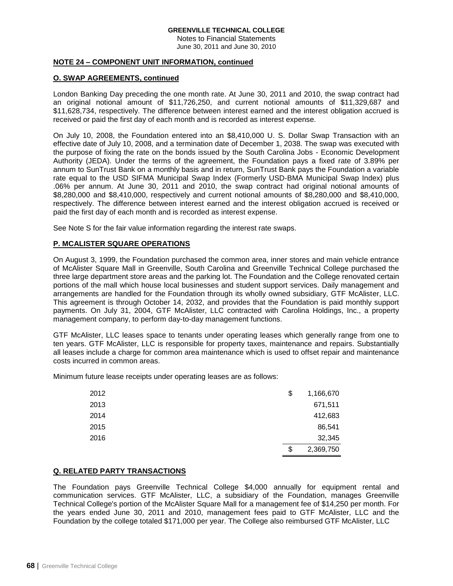Notes to Financial Statements June 30, 2011 and June 30, 2010

## **NOTE 24 – COMPONENT UNIT INFORMATION, continued**

### **O. SWAP AGREEMENTS, continued**

London Banking Day preceding the one month rate. At June 30, 2011 and 2010, the swap contract had an original notional amount of \$11,726,250, and current notional amounts of \$11,329,687 and \$11,628,734, respectively. The difference between interest earned and the interest obligation accrued is received or paid the first day of each month and is recorded as interest expense.

On July 10, 2008, the Foundation entered into an \$8,410,000 U. S. Dollar Swap Transaction with an effective date of July 10, 2008, and a termination date of December 1, 2038. The swap was executed with the purpose of fixing the rate on the bonds issued by the South Carolina Jobs - Economic Development Authority (JEDA). Under the terms of the agreement, the Foundation pays a fixed rate of 3.89% per annum to SunTrust Bank on a monthly basis and in return, SunTrust Bank pays the Foundation a variable rate equal to the USD SIFMA Municipal Swap Index (Formerly USD-BMA Municipal Swap Index) plus .06% per annum. At June 30, 2011 and 2010, the swap contract had original notional amounts of \$8,280,000 and \$8,410,000, respectively and current notional amounts of \$8,280,000 and \$8,410,000, respectively. The difference between interest earned and the interest obligation accrued is received or paid the first day of each month and is recorded as interest expense.

See Note S for the fair value information regarding the interest rate swaps.

# **P. MCALISTER SQUARE OPERATIONS**

On August 3, 1999, the Foundation purchased the common area, inner stores and main vehicle entrance of McAlister Square Mall in Greenville, South Carolina and Greenville Technical College purchased the three large department store areas and the parking lot. The Foundation and the College renovated certain portions of the mall which house local businesses and student support services. Daily management and arrangements are handled for the Foundation through its wholly owned subsidiary, GTF McAlister, LLC. This agreement is through October 14, 2032, and provides that the Foundation is paid monthly support payments. On July 31, 2004, GTF McAlister, LLC contracted with Carolina Holdings, Inc., a property management company, to perform day-to-day management functions.

GTF McAlister, LLC leases space to tenants under operating leases which generally range from one to ten years. GTF McAlister, LLC is responsible for property taxes, maintenance and repairs. Substantially all leases include a charge for common area maintenance which is used to offset repair and maintenance costs incurred in common areas.

Minimum future lease receipts under operating leases are as follows:

| 2012 | \$<br>1,166,670 |
|------|-----------------|
| 2013 | 671,511         |
| 2014 | 412,683         |
| 2015 | 86,541          |
| 2016 | 32,345          |
|      | \$<br>2,369,750 |

# **Q. RELATED PARTY TRANSACTIONS**

The Foundation pays Greenville Technical College \$4,000 annually for equipment rental and communication services. GTF McAlister, LLC, a subsidiary of the Foundation, manages Greenville Technical College's portion of the McAlister Square Mall for a management fee of \$14,250 per month. For the years ended June 30, 2011 and 2010, management fees paid to GTF McAlister, LLC and the Foundation by the college totaled \$171,000 per year. The College also reimbursed GTF McAlister, LLC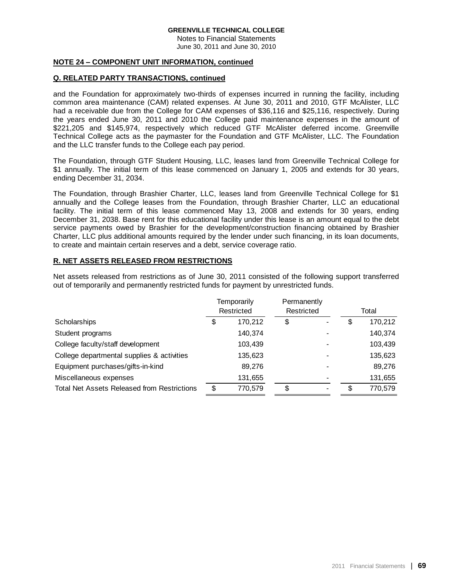Notes to Financial Statements June 30, 2011 and June 30, 2010

## **NOTE 24 – COMPONENT UNIT INFORMATION, continued**

# **Q. RELATED PARTY TRANSACTIONS, continued**

and the Foundation for approximately two-thirds of expenses incurred in running the facility, including common area maintenance (CAM) related expenses. At June 30, 2011 and 2010, GTF McAlister, LLC had a receivable due from the College for CAM expenses of \$36,116 and \$25,116, respectively. During the years ended June 30, 2011 and 2010 the College paid maintenance expenses in the amount of \$221,205 and \$145,974, respectively which reduced GTF McAlister deferred income. Greenville Technical College acts as the paymaster for the Foundation and GTF McAlister, LLC. The Foundation and the LLC transfer funds to the College each pay period.

The Foundation, through GTF Student Housing, LLC, leases land from Greenville Technical College for \$1 annually. The initial term of this lease commenced on January 1, 2005 and extends for 30 years, ending December 31, 2034.

The Foundation, through Brashier Charter, LLC, leases land from Greenville Technical College for \$1 annually and the College leases from the Foundation, through Brashier Charter, LLC an educational facility. The initial term of this lease commenced May 13, 2008 and extends for 30 years, ending December 31, 2038. Base rent for this educational facility under this lease is an amount equal to the debt service payments owed by Brashier for the development/construction financing obtained by Brashier Charter, LLC plus additional amounts required by the lender under such financing, in its loan documents, to create and maintain certain reserves and a debt, service coverage ratio.

# **R. NET ASSETS RELEASED FROM RESTRICTIONS**

Net assets released from restrictions as of June 30, 2011 consisted of the following support transferred out of temporarily and permanently restricted funds for payment by unrestricted funds.

|                                                    | Temporarily<br>Restricted |         | Permanently<br>Restricted |  | Total |         |
|----------------------------------------------------|---------------------------|---------|---------------------------|--|-------|---------|
| Scholarships                                       | \$                        | 170,212 | \$                        |  | \$    | 170,212 |
| Student programs                                   |                           | 140,374 |                           |  |       | 140,374 |
| College faculty/staff development                  |                           | 103,439 |                           |  |       | 103,439 |
| College departmental supplies & activities         |                           | 135,623 |                           |  |       | 135,623 |
| Equipment purchases/gifts-in-kind                  |                           | 89.276  |                           |  |       | 89,276  |
| Miscellaneous expenses                             |                           | 131,655 |                           |  |       | 131,655 |
| <b>Total Net Assets Released from Restrictions</b> | \$                        | 770,579 | S                         |  | S     | 770,579 |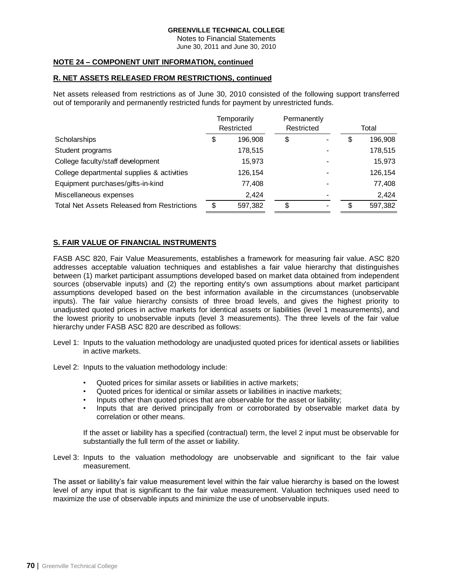Notes to Financial Statements June 30, 2011 and June 30, 2010

# **NOTE 24 – COMPONENT UNIT INFORMATION, continued**

# **R. NET ASSETS RELEASED FROM RESTRICTIONS, continued**

Net assets released from restrictions as of June 30, 2010 consisted of the following support transferred out of temporarily and permanently restricted funds for payment by unrestricted funds.

|                                                    | Temporarily<br>Restricted |         | Permanently<br>Restricted |  |       |         |
|----------------------------------------------------|---------------------------|---------|---------------------------|--|-------|---------|
|                                                    |                           |         |                           |  | Total |         |
| Scholarships                                       | \$                        | 196,908 | \$                        |  | \$    | 196,908 |
| Student programs                                   |                           | 178,515 |                           |  |       | 178,515 |
| College faculty/staff development                  |                           | 15,973  |                           |  |       | 15,973  |
| College departmental supplies & activities         |                           | 126,154 |                           |  |       | 126,154 |
| Equipment purchases/gifts-in-kind                  |                           | 77,408  |                           |  |       | 77,408  |
| Miscellaneous expenses                             |                           | 2.424   |                           |  |       | 2,424   |
| <b>Total Net Assets Released from Restrictions</b> | S                         | 597,382 | \$                        |  | \$    | 597,382 |

# **S. FAIR VALUE OF FINANCIAL INSTRUMENTS**

FASB ASC 820, Fair Value Measurements, establishes a framework for measuring fair value. ASC 820 addresses acceptable valuation techniques and establishes a fair value hierarchy that distinguishes between (1) market participant assumptions developed based on market data obtained from independent sources (observable inputs) and (2) the reporting entity's own assumptions about market participant assumptions developed based on the best information available in the circumstances (unobservable inputs). The fair value hierarchy consists of three broad levels, and gives the highest priority to unadjusted quoted prices in active markets for identical assets or liabilities (level 1 measurements), and the lowest priority to unobservable inputs (level 3 measurements). The three levels of the fair value hierarchy under FASB ASC 820 are described as follows:

Level 1: Inputs to the valuation methodology are unadjusted quoted prices for identical assets or liabilities in active markets.

Level 2: Inputs to the valuation methodology include:

- Quoted prices for similar assets or liabilities in active markets;
- Quoted prices for identical or similar assets or liabilities in inactive markets;
- Inputs other than quoted prices that are observable for the asset or liability;
- Inputs that are derived principally from or corroborated by observable market data by correlation or other means.

If the asset or liability has a specified (contractual) term, the level 2 input must be observable for substantially the full term of the asset or liability.

Level 3: Inputs to the valuation methodology are unobservable and significant to the fair value measurement.

The asset or liability's fair value measurement level within the fair value hierarchy is based on the lowest level of any input that is significant to the fair value measurement. Valuation techniques used need to maximize the use of observable inputs and minimize the use of unobservable inputs.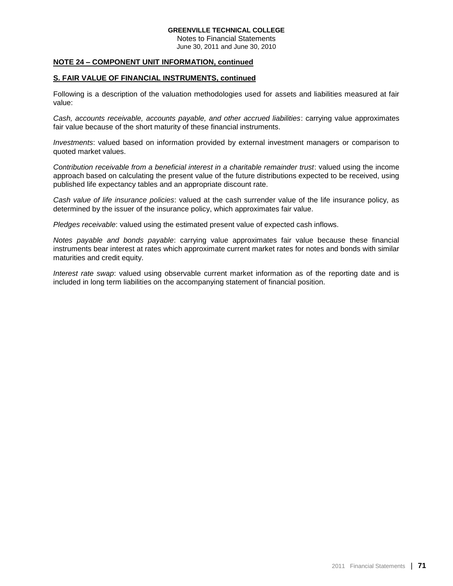Notes to Financial Statements June 30, 2011 and June 30, 2010

### **NOTE 24 – COMPONENT UNIT INFORMATION, continued**

#### **S. FAIR VALUE OF FINANCIAL INSTRUMENTS, continued**

Following is a description of the valuation methodologies used for assets and liabilities measured at fair value:

*Cash, accounts receivable, accounts payable, and other accrued liabilities*: carrying value approximates fair value because of the short maturity of these financial instruments.

*Investments*: valued based on information provided by external investment managers or comparison to quoted market values.

*Contribution receivable from a beneficial interest in a charitable remainder trust*: valued using the income approach based on calculating the present value of the future distributions expected to be received, using published life expectancy tables and an appropriate discount rate.

*Cash value of life insurance policies*: valued at the cash surrender value of the life insurance policy, as determined by the issuer of the insurance policy, which approximates fair value.

*Pledges receivable*: valued using the estimated present value of expected cash inflows.

*Notes payable and bonds payable*: carrying value approximates fair value because these financial instruments bear interest at rates which approximate current market rates for notes and bonds with similar maturities and credit equity.

*Interest rate swap*: valued using observable current market information as of the reporting date and is included in long term liabilities on the accompanying statement of financial position.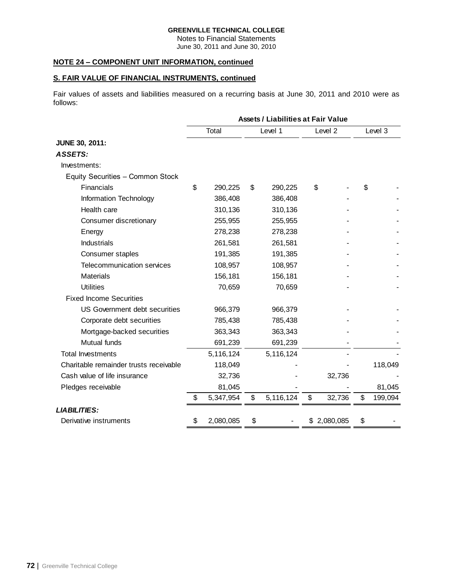Notes to Financial Statements June 30, 2011 and June 30, 2010

## **NOTE 24 – COMPONENT UNIT INFORMATION, continued**

## **S. FAIR VALUE OF FINANCIAL INSTRUMENTS, continued**

Fair values of assets and liabilities measured on a recurring basis at June 30, 2011 and 2010 were as follows:

|                                        | <b>Assets / Liabilities at Fair Value</b> |           |    |           |    |             |    |         |  |
|----------------------------------------|-------------------------------------------|-----------|----|-----------|----|-------------|----|---------|--|
|                                        |                                           | Total     |    | Level 1   |    | Level 2     |    | Level 3 |  |
| <b>JUNE 30, 2011:</b>                  |                                           |           |    |           |    |             |    |         |  |
| ASSETS:                                |                                           |           |    |           |    |             |    |         |  |
| Investments:                           |                                           |           |    |           |    |             |    |         |  |
| Equity Securities - Common Stock       |                                           |           |    |           |    |             |    |         |  |
| <b>Financials</b>                      | \$                                        | 290,225   | \$ | 290,225   |    | \$          | \$ |         |  |
| Information Technology                 |                                           | 386,408   |    | 386,408   |    |             |    |         |  |
| Health care                            |                                           | 310,136   |    | 310,136   |    |             |    |         |  |
| Consumer discretionary                 |                                           | 255,955   |    | 255,955   |    |             |    |         |  |
| Energy                                 |                                           | 278,238   |    | 278,238   |    |             |    |         |  |
| <b>Industrials</b>                     |                                           | 261,581   |    | 261,581   |    |             |    |         |  |
| Consumer staples                       |                                           | 191,385   |    | 191,385   |    |             |    |         |  |
| <b>Telecommunication services</b>      |                                           | 108,957   |    | 108,957   |    |             |    |         |  |
| <b>Materials</b>                       |                                           | 156,181   |    | 156,181   |    |             |    |         |  |
| <b>Utilities</b>                       |                                           | 70,659    |    | 70,659    |    |             |    |         |  |
| <b>Fixed Income Securities</b>         |                                           |           |    |           |    |             |    |         |  |
| US Government debt securities          |                                           | 966,379   |    | 966,379   |    |             |    |         |  |
| Corporate debt securities              |                                           | 785,438   |    | 785,438   |    |             |    |         |  |
| Mortgage-backed securities             |                                           | 363,343   |    | 363,343   |    |             |    |         |  |
| Mutual funds                           |                                           | 691,239   |    | 691,239   |    |             |    |         |  |
| <b>Total Investments</b>               |                                           | 5,116,124 |    | 5,116,124 |    |             |    |         |  |
| Charitable remainder trusts receivable |                                           | 118,049   |    |           |    |             |    | 118,049 |  |
| Cash value of life insurance           |                                           | 32,736    |    |           |    | 32,736      |    |         |  |
| Pledges receivable                     |                                           | 81,045    |    |           |    |             |    | 81,045  |  |
|                                        | \$                                        | 5,347,954 | \$ | 5,116,124 | \$ | 32,736      | \$ | 199,094 |  |
| <b>LIABILITIES:</b>                    |                                           |           |    |           |    |             |    |         |  |
| Derivative instruments                 | \$                                        | 2,080,085 | \$ |           |    | \$2,080,085 | \$ |         |  |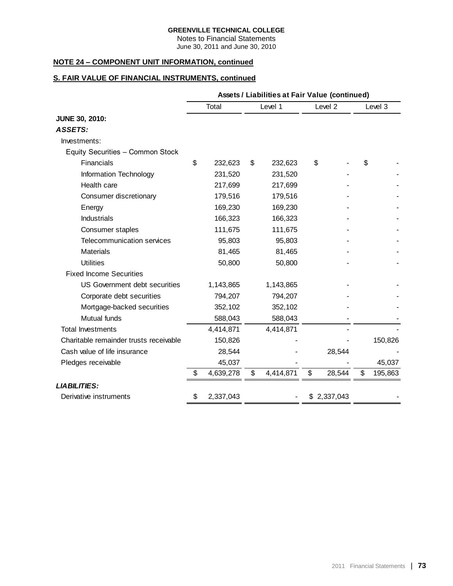Notes to Financial Statements June 30, 2011 and June 30, 2010

# **NOTE 24 – COMPONENT UNIT INFORMATION, continued**

# **S. FAIR VALUE OF FINANCIAL INSTRUMENTS, continued**

|                                        | Assets / Liabilities at Fair Value (continued) |           |    |           |    |             |    |         |  |
|----------------------------------------|------------------------------------------------|-----------|----|-----------|----|-------------|----|---------|--|
|                                        |                                                | Total     |    | Level 1   |    | Level 2     |    | Level 3 |  |
| <b>JUNE 30, 2010:</b>                  |                                                |           |    |           |    |             |    |         |  |
| ASSETS:                                |                                                |           |    |           |    |             |    |         |  |
| Investments:                           |                                                |           |    |           |    |             |    |         |  |
| Equity Securities - Common Stock       |                                                |           |    |           |    |             |    |         |  |
| Financials                             | \$                                             | 232,623   | \$ | 232,623   | \$ |             | \$ |         |  |
| Information Technology                 |                                                | 231,520   |    | 231,520   |    |             |    |         |  |
| Health care                            |                                                | 217,699   |    | 217,699   |    |             |    |         |  |
| Consumer discretionary                 |                                                | 179,516   |    | 179,516   |    |             |    |         |  |
| Energy                                 |                                                | 169,230   |    | 169,230   |    |             |    |         |  |
| Industrials                            |                                                | 166,323   |    | 166,323   |    |             |    |         |  |
| Consumer staples                       |                                                | 111,675   |    | 111,675   |    |             |    |         |  |
| Telecommunication services             |                                                | 95,803    |    | 95,803    |    |             |    |         |  |
| <b>Materials</b>                       |                                                | 81,465    |    | 81,465    |    |             |    |         |  |
| <b>Utilities</b>                       |                                                | 50,800    |    | 50,800    |    |             |    |         |  |
| <b>Fixed Income Securities</b>         |                                                |           |    |           |    |             |    |         |  |
| US Government debt securities          |                                                | 1,143,865 |    | 1,143,865 |    |             |    |         |  |
| Corporate debt securities              |                                                | 794,207   |    | 794,207   |    |             |    |         |  |
| Mortgage-backed securities             |                                                | 352,102   |    | 352,102   |    |             |    |         |  |
| Mutual funds                           |                                                | 588,043   |    | 588,043   |    |             |    |         |  |
| <b>Total Investments</b>               |                                                | 4,414,871 |    | 4,414,871 |    |             |    |         |  |
| Charitable remainder trusts receivable |                                                | 150,826   |    |           |    |             |    | 150,826 |  |
| Cash value of life insurance           |                                                | 28,544    |    |           |    | 28,544      |    |         |  |
| Pledges receivable                     |                                                | 45,037    |    |           |    |             |    | 45,037  |  |
|                                        | \$                                             | 4,639,278 | \$ | 4,414,871 | \$ | 28,544      | \$ | 195,863 |  |
| <b>LIABILITIES:</b>                    |                                                |           |    |           |    |             |    |         |  |
| Derivative instruments                 | \$                                             | 2,337,043 |    |           |    | \$2,337,043 |    |         |  |